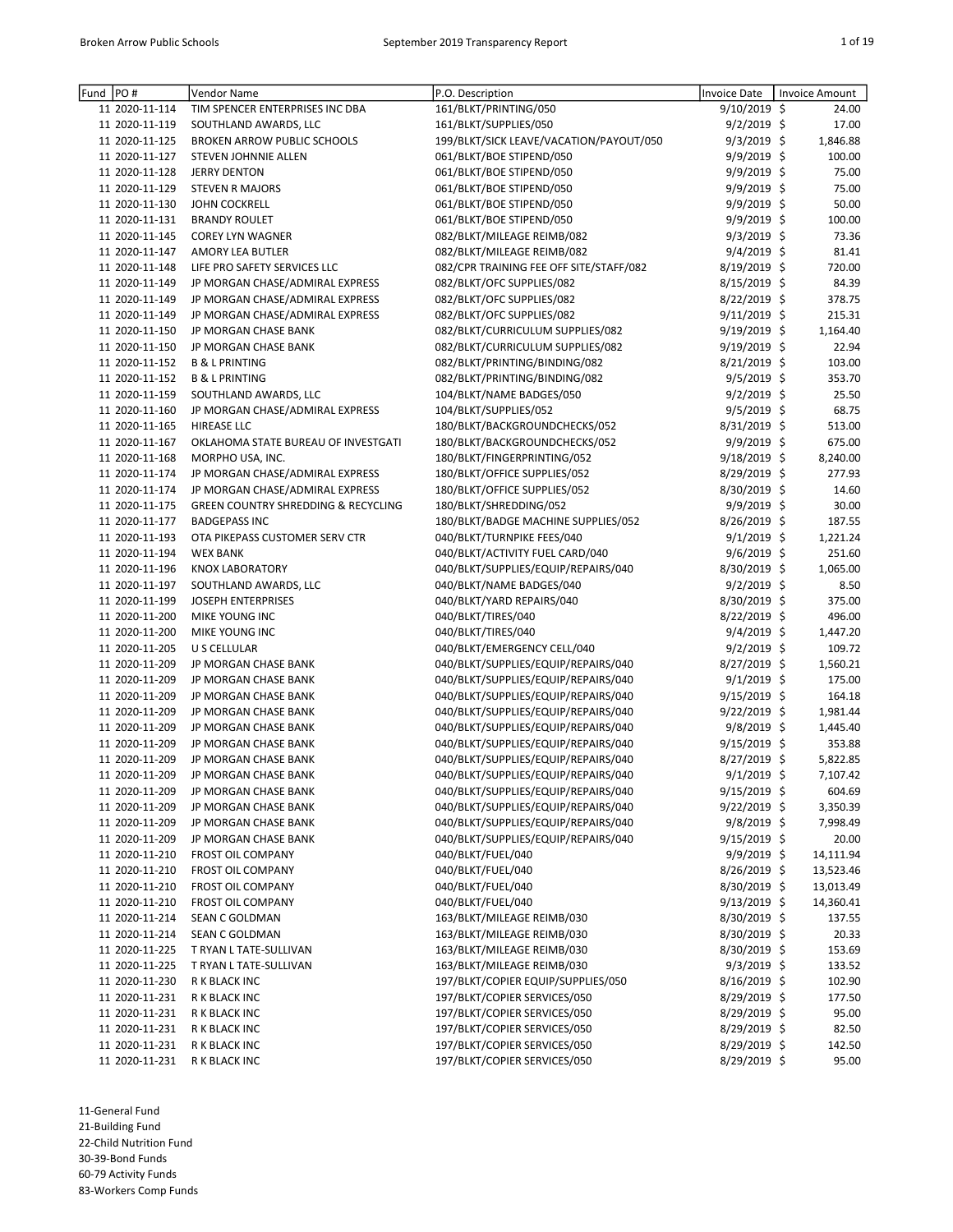| Fund | PO#            | Vendor Name                         | P.O. Description                        | Invoice Date   | Invoice Amount |
|------|----------------|-------------------------------------|-----------------------------------------|----------------|----------------|
|      | 11 2020-11-114 | TIM SPENCER ENTERPRISES INC DBA     | 161/BLKT/PRINTING/050                   | 9/10/2019 \$   | 24.00          |
|      | 11 2020-11-119 | SOUTHLAND AWARDS, LLC               | 161/BLKT/SUPPLIES/050                   | 9/2/2019 \$    | 17.00          |
|      | 11 2020-11-125 | <b>BROKEN ARROW PUBLIC SCHOOLS</b>  | 199/BLKT/SICK LEAVE/VACATION/PAYOUT/050 | 9/3/2019 \$    | 1,846.88       |
|      | 11 2020-11-127 | <b>STEVEN JOHNNIE ALLEN</b>         | 061/BLKT/BOE STIPEND/050                | 9/9/2019 \$    | 100.00         |
|      | 11 2020-11-128 | <b>JERRY DENTON</b>                 | 061/BLKT/BOE STIPEND/050                | 9/9/2019 \$    | 75.00          |
|      | 11 2020-11-129 | <b>STEVEN R MAJORS</b>              | 061/BLKT/BOE STIPEND/050                | 9/9/2019 \$    | 75.00          |
|      | 11 2020-11-130 | <b>JOHN COCKRELL</b>                | 061/BLKT/BOE STIPEND/050                | $9/9/2019$ \$  | 50.00          |
|      | 11 2020-11-131 | <b>BRANDY ROULET</b>                | 061/BLKT/BOE STIPEND/050                | 9/9/2019 \$    | 100.00         |
|      | 11 2020-11-145 | <b>COREY LYN WAGNER</b>             | 082/BLKT/MILEAGE REIMB/082              | 9/3/2019 \$    | 73.36          |
|      | 11 2020-11-147 | AMORY LEA BUTLER                    | 082/BLKT/MILEAGE REIMB/082              | $9/4/2019$ \$  | 81.41          |
|      | 11 2020-11-148 | LIFE PRO SAFETY SERVICES LLC        | 082/CPR TRAINING FEE OFF SITE/STAFF/082 | 8/19/2019 \$   | 720.00         |
|      | 11 2020-11-149 | JP MORGAN CHASE/ADMIRAL EXPRESS     | 082/BLKT/OFC SUPPLIES/082               | 8/15/2019 \$   | 84.39          |
|      | 11 2020-11-149 | JP MORGAN CHASE/ADMIRAL EXPRESS     | 082/BLKT/OFC SUPPLIES/082               | 8/22/2019 \$   | 378.75         |
|      | 11 2020-11-149 | JP MORGAN CHASE/ADMIRAL EXPRESS     | 082/BLKT/OFC SUPPLIES/082               | $9/11/2019$ \$ | 215.31         |
|      | 11 2020-11-150 | JP MORGAN CHASE BANK                | 082/BLKT/CURRICULUM SUPPLIES/082        | $9/19/2019$ \$ | 1,164.40       |
|      | 11 2020-11-150 | JP MORGAN CHASE BANK                | 082/BLKT/CURRICULUM SUPPLIES/082        | $9/19/2019$ \$ | 22.94          |
|      | 11 2020-11-152 | <b>B &amp; L PRINTING</b>           | 082/BLKT/PRINTING/BINDING/082           | $8/21/2019$ \$ | 103.00         |
|      | 11 2020-11-152 | <b>B &amp; L PRINTING</b>           | 082/BLKT/PRINTING/BINDING/082           | 9/5/2019 \$    | 353.70         |
|      | 11 2020-11-159 | SOUTHLAND AWARDS, LLC               | 104/BLKT/NAME BADGES/050                | 9/2/2019 \$    | 25.50          |
|      | 11 2020-11-160 | JP MORGAN CHASE/ADMIRAL EXPRESS     | 104/BLKT/SUPPLIES/052                   | $9/5/2019$ \$  | 68.75          |
|      | 11 2020-11-165 | <b>HIREASE LLC</b>                  | 180/BLKT/BACKGROUNDCHECKS/052           | 8/31/2019 \$   | 513.00         |
|      | 11 2020-11-167 | OKLAHOMA STATE BUREAU OF INVESTGATI | 180/BLKT/BACKGROUNDCHECKS/052           | 9/9/2019 \$    | 675.00         |
|      | 11 2020-11-168 | MORPHO USA, INC.                    | 180/BLKT/FINGERPRINTING/052             | 9/18/2019 \$   | 8,240.00       |
|      | 11 2020-11-174 | JP MORGAN CHASE/ADMIRAL EXPRESS     | 180/BLKT/OFFICE SUPPLIES/052            | 8/29/2019 \$   | 277.93         |
|      | 11 2020-11-174 | JP MORGAN CHASE/ADMIRAL EXPRESS     | 180/BLKT/OFFICE SUPPLIES/052            | 8/30/2019 \$   | 14.60          |
|      | 11 2020-11-175 | GREEN COUNTRY SHREDDING & RECYCLING | 180/BLKT/SHREDDING/052                  | $9/9/2019$ \$  | 30.00          |
|      | 11 2020-11-177 | <b>BADGEPASS INC</b>                | 180/BLKT/BADGE MACHINE SUPPLIES/052     | 8/26/2019 \$   | 187.55         |
|      | 11 2020-11-193 | OTA PIKEPASS CUSTOMER SERV CTR      | 040/BLKT/TURNPIKE FEES/040              | $9/1/2019$ \$  | 1,221.24       |
|      | 11 2020-11-194 | <b>WEX BANK</b>                     | 040/BLKT/ACTIVITY FUEL CARD/040         | 9/6/2019 \$    | 251.60         |
|      | 11 2020-11-196 | <b>KNOX LABORATORY</b>              | 040/BLKT/SUPPLIES/EQUIP/REPAIRS/040     | 8/30/2019 \$   | 1,065.00       |
|      | 11 2020-11-197 | SOUTHLAND AWARDS, LLC               | 040/BLKT/NAME BADGES/040                | $9/2/2019$ \$  | 8.50           |
|      | 11 2020-11-199 | <b>JOSEPH ENTERPRISES</b>           | 040/BLKT/YARD REPAIRS/040               | 8/30/2019 \$   | 375.00         |
|      | 11 2020-11-200 | MIKE YOUNG INC                      | 040/BLKT/TIRES/040                      | 8/22/2019 \$   | 496.00         |
|      | 11 2020-11-200 | MIKE YOUNG INC                      | 040/BLKT/TIRES/040                      | $9/4/2019$ \$  | 1,447.20       |
|      | 11 2020-11-205 | U S CELLULAR                        | 040/BLKT/EMERGENCY CELL/040             | $9/2/2019$ \$  | 109.72         |
|      | 11 2020-11-209 | JP MORGAN CHASE BANK                | 040/BLKT/SUPPLIES/EQUIP/REPAIRS/040     | 8/27/2019 \$   | 1,560.21       |
|      | 11 2020-11-209 | JP MORGAN CHASE BANK                | 040/BLKT/SUPPLIES/EQUIP/REPAIRS/040     | $9/1/2019$ \$  | 175.00         |
|      | 11 2020-11-209 | JP MORGAN CHASE BANK                | 040/BLKT/SUPPLIES/EQUIP/REPAIRS/040     | 9/15/2019 \$   | 164.18         |
|      | 11 2020-11-209 | JP MORGAN CHASE BANK                | 040/BLKT/SUPPLIES/EQUIP/REPAIRS/040     | $9/22/2019$ \$ | 1,981.44       |
|      | 11 2020-11-209 | JP MORGAN CHASE BANK                | 040/BLKT/SUPPLIES/EQUIP/REPAIRS/040     | $9/8/2019$ \$  | 1,445.40       |
|      | 11 2020-11-209 | JP MORGAN CHASE BANK                | 040/BLKT/SUPPLIES/EQUIP/REPAIRS/040     | 9/15/2019 \$   | 353.88         |
|      | 11 2020-11-209 | JP MORGAN CHASE BANK                | 040/BLKT/SUPPLIES/EQUIP/REPAIRS/040     | 8/27/2019 \$   | 5,822.85       |
|      | 11 2020-11-209 | JP MORGAN CHASE BANK                | 040/BLKT/SUPPLIES/EQUIP/REPAIRS/040     | 9/1/2019 \$    | 7,107.42       |
|      | 11 2020-11-209 | JP MORGAN CHASE BANK                | 040/BLKT/SUPPLIES/EQUIP/REPAIRS/040     | 9/15/2019 \$   | 604.69         |
|      | 11 2020-11-209 | JP MORGAN CHASE BANK                | 040/BLKT/SUPPLIES/EQUIP/REPAIRS/040     | $9/22/2019$ \$ | 3,350.39       |
|      | 11 2020-11-209 | JP MORGAN CHASE BANK                | 040/BLKT/SUPPLIES/EQUIP/REPAIRS/040     | 9/8/2019 \$    | 7,998.49       |
|      | 11 2020-11-209 | JP MORGAN CHASE BANK                | 040/BLKT/SUPPLIES/EQUIP/REPAIRS/040     | $9/15/2019$ \$ | 20.00          |
|      | 11 2020-11-210 | FROST OIL COMPANY                   | 040/BLKT/FUEL/040                       | 9/9/2019 \$    | 14,111.94      |
|      | 11 2020-11-210 | <b>FROST OIL COMPANY</b>            | 040/BLKT/FUEL/040                       | 8/26/2019 \$   | 13,523.46      |
|      | 11 2020-11-210 | <b>FROST OIL COMPANY</b>            | 040/BLKT/FUEL/040                       | 8/30/2019 \$   | 13,013.49      |
|      | 11 2020-11-210 | <b>FROST OIL COMPANY</b>            | 040/BLKT/FUEL/040                       | 9/13/2019 \$   | 14,360.41      |
|      | 11 2020-11-214 | SEAN C GOLDMAN                      | 163/BLKT/MILEAGE REIMB/030              | 8/30/2019 \$   | 137.55         |
|      | 11 2020-11-214 | SEAN C GOLDMAN                      | 163/BLKT/MILEAGE REIMB/030              | 8/30/2019 \$   | 20.33          |
|      | 11 2020-11-225 | T RYAN L TATE-SULLIVAN              | 163/BLKT/MILEAGE REIMB/030              | 8/30/2019 \$   | 153.69         |
|      | 11 2020-11-225 | T RYAN L TATE-SULLIVAN              | 163/BLKT/MILEAGE REIMB/030              | $9/3/2019$ \$  | 133.52         |
|      | 11 2020-11-230 | R K BLACK INC                       | 197/BLKT/COPIER EQUIP/SUPPLIES/050      | 8/16/2019 \$   | 102.90         |
|      | 11 2020-11-231 | R K BLACK INC                       | 197/BLKT/COPIER SERVICES/050            | 8/29/2019 \$   | 177.50         |
|      | 11 2020-11-231 | R K BLACK INC                       | 197/BLKT/COPIER SERVICES/050            | 8/29/2019 \$   | 95.00          |
|      | 11 2020-11-231 | R K BLACK INC                       | 197/BLKT/COPIER SERVICES/050            | $8/29/2019$ \$ | 82.50          |
|      | 11 2020-11-231 | R K BLACK INC                       | 197/BLKT/COPIER SERVICES/050            | $8/29/2019$ \$ | 142.50         |
|      | 11 2020-11-231 | R K BLACK INC                       | 197/BLKT/COPIER SERVICES/050            | 8/29/2019 \$   | 95.00          |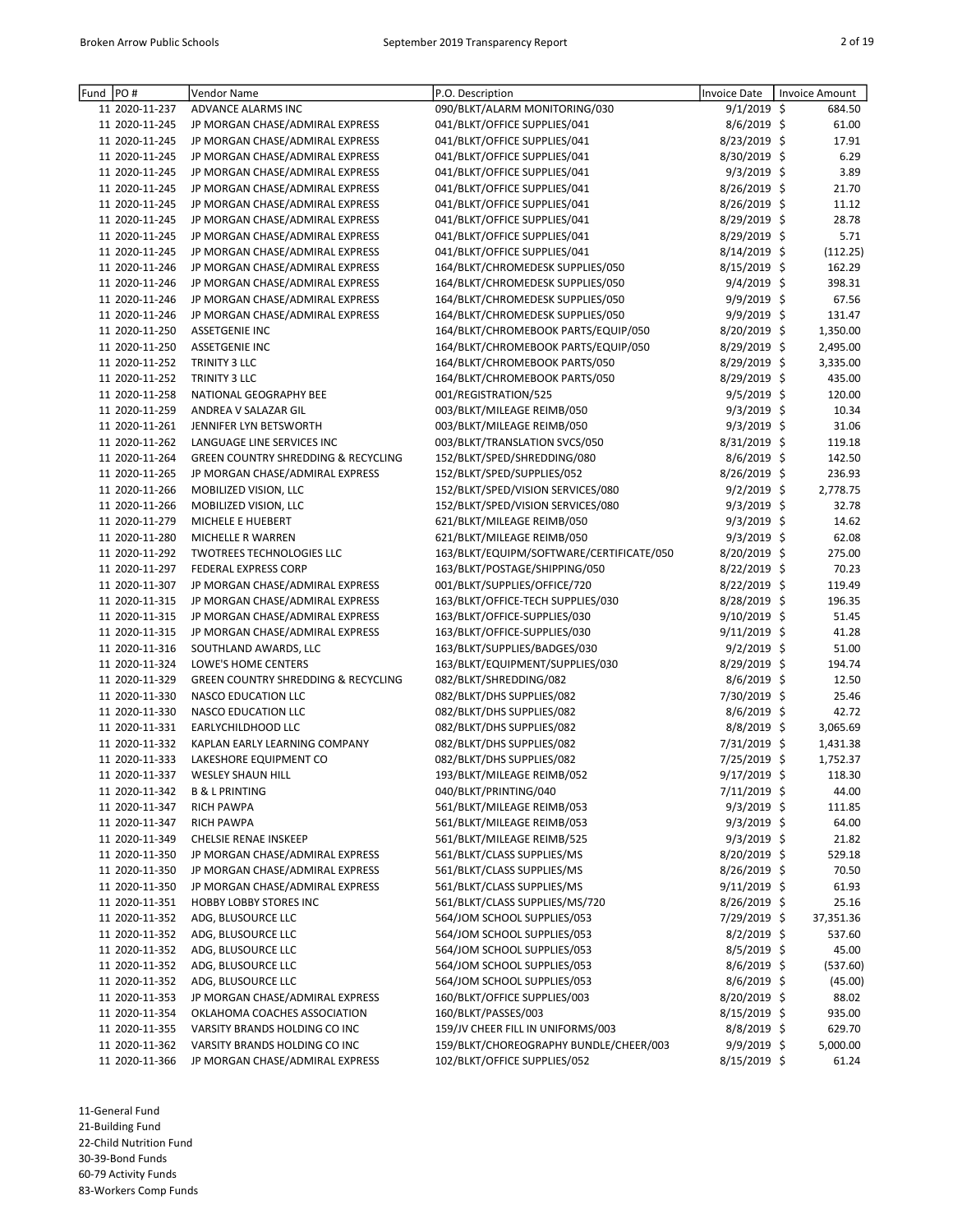| Fund | PO#                              | Vendor Name                                                        | P.O. Description                                                  | <b>Invoice Date</b>          | <b>Invoice Amount</b> |
|------|----------------------------------|--------------------------------------------------------------------|-------------------------------------------------------------------|------------------------------|-----------------------|
|      | 11 2020-11-237                   | ADVANCE ALARMS INC                                                 | 090/BLKT/ALARM MONITORING/030                                     | $9/1/2019$ \$                | 684.50                |
|      | 11 2020-11-245                   | JP MORGAN CHASE/ADMIRAL EXPRESS                                    | 041/BLKT/OFFICE SUPPLIES/041                                      | 8/6/2019 \$                  | 61.00                 |
|      | 11 2020-11-245                   | JP MORGAN CHASE/ADMIRAL EXPRESS                                    | 041/BLKT/OFFICE SUPPLIES/041                                      | 8/23/2019 \$                 | 17.91                 |
|      | 11 2020-11-245                   | JP MORGAN CHASE/ADMIRAL EXPRESS                                    | 041/BLKT/OFFICE SUPPLIES/041                                      | 8/30/2019 \$                 | 6.29                  |
|      | 11 2020-11-245                   | JP MORGAN CHASE/ADMIRAL EXPRESS                                    | 041/BLKT/OFFICE SUPPLIES/041                                      | $9/3/2019$ \$                | 3.89                  |
|      | 11 2020-11-245                   | JP MORGAN CHASE/ADMIRAL EXPRESS                                    | 041/BLKT/OFFICE SUPPLIES/041                                      | 8/26/2019 \$                 | 21.70                 |
|      | 11 2020-11-245                   | JP MORGAN CHASE/ADMIRAL EXPRESS                                    | 041/BLKT/OFFICE SUPPLIES/041                                      | 8/26/2019 \$                 | 11.12                 |
|      | 11 2020-11-245                   | JP MORGAN CHASE/ADMIRAL EXPRESS                                    | 041/BLKT/OFFICE SUPPLIES/041                                      | 8/29/2019 \$                 | 28.78                 |
|      | 11 2020-11-245                   | JP MORGAN CHASE/ADMIRAL EXPRESS                                    | 041/BLKT/OFFICE SUPPLIES/041                                      | 8/29/2019 \$                 | 5.71                  |
|      | 11 2020-11-245                   | JP MORGAN CHASE/ADMIRAL EXPRESS                                    | 041/BLKT/OFFICE SUPPLIES/041                                      | 8/14/2019 \$                 | (112.25)              |
|      | 11 2020-11-246                   | JP MORGAN CHASE/ADMIRAL EXPRESS                                    | 164/BLKT/CHROMEDESK SUPPLIES/050                                  | 8/15/2019 \$                 | 162.29                |
|      | 11 2020-11-246                   | JP MORGAN CHASE/ADMIRAL EXPRESS                                    | 164/BLKT/CHROMEDESK SUPPLIES/050                                  | $9/4/2019$ \$                | 398.31                |
|      | 11 2020-11-246                   | JP MORGAN CHASE/ADMIRAL EXPRESS                                    | 164/BLKT/CHROMEDESK SUPPLIES/050                                  | 9/9/2019 \$                  | 67.56                 |
|      | 11 2020-11-246                   | JP MORGAN CHASE/ADMIRAL EXPRESS                                    | 164/BLKT/CHROMEDESK SUPPLIES/050                                  | $9/9/2019$ \$                | 131.47                |
|      | 11 2020-11-250                   | ASSETGENIE INC                                                     | 164/BLKT/CHROMEBOOK PARTS/EQUIP/050                               | 8/20/2019 \$                 | 1,350.00              |
|      | 11 2020-11-250                   | <b>ASSETGENIE INC</b>                                              | 164/BLKT/CHROMEBOOK PARTS/EQUIP/050                               | 8/29/2019 \$                 | 2,495.00              |
|      | 11 2020-11-252                   | TRINITY 3 LLC                                                      | 164/BLKT/CHROMEBOOK PARTS/050                                     | 8/29/2019 \$                 | 3,335.00              |
|      | 11 2020-11-252                   | TRINITY 3 LLC                                                      | 164/BLKT/CHROMEBOOK PARTS/050                                     | 8/29/2019 \$                 | 435.00                |
|      | 11 2020-11-258                   | NATIONAL GEOGRAPHY BEE                                             | 001/REGISTRATION/525                                              | $9/5/2019$ \$                | 120.00                |
|      | 11 2020-11-259                   | ANDREA V SALAZAR GIL                                               | 003/BLKT/MILEAGE REIMB/050                                        | 9/3/2019 \$                  | 10.34                 |
|      | 11 2020-11-261                   | JENNIFER LYN BETSWORTH                                             | 003/BLKT/MILEAGE REIMB/050                                        | $9/3/2019$ \$                | 31.06                 |
|      | 11 2020-11-262                   | LANGUAGE LINE SERVICES INC                                         | 003/BLKT/TRANSLATION SVCS/050                                     | 8/31/2019 \$                 | 119.18                |
|      | 11 2020-11-264                   | <b>GREEN COUNTRY SHREDDING &amp; RECYCLING</b>                     | 152/BLKT/SPED/SHREDDING/080                                       | $8/6/2019$ \$                | 142.50                |
|      | 11 2020-11-265                   | JP MORGAN CHASE/ADMIRAL EXPRESS                                    | 152/BLKT/SPED/SUPPLIES/052                                        | 8/26/2019 \$                 | 236.93                |
|      | 11 2020-11-266                   | MOBILIZED VISION, LLC                                              | 152/BLKT/SPED/VISION SERVICES/080                                 | $9/2/2019$ \$                | 2,778.75              |
|      | 11 2020-11-266                   | MOBILIZED VISION, LLC                                              | 152/BLKT/SPED/VISION SERVICES/080                                 | $9/3/2019$ \$                | 32.78                 |
|      | 11 2020-11-279                   | MICHELE E HUEBERT                                                  | 621/BLKT/MILEAGE REIMB/050                                        | $9/3/2019$ \$                | 14.62                 |
|      | 11 2020-11-280                   | MICHELLE R WARREN                                                  | 621/BLKT/MILEAGE REIMB/050                                        | $9/3/2019$ \$                | 62.08                 |
|      | 11 2020-11-292                   | <b>TWOTREES TECHNOLOGIES LLC</b>                                   | 163/BLKT/EQUIPM/SOFTWARE/CERTIFICATE/050                          | 8/20/2019 \$                 | 275.00                |
|      | 11 2020-11-297                   | <b>FEDERAL EXPRESS CORP</b>                                        | 163/BLKT/POSTAGE/SHIPPING/050                                     | 8/22/2019 \$                 | 70.23                 |
|      | 11 2020-11-307<br>11 2020-11-315 | JP MORGAN CHASE/ADMIRAL EXPRESS                                    | 001/BLKT/SUPPLIES/OFFICE/720                                      | 8/22/2019 \$                 | 119.49                |
|      | 11 2020-11-315                   | JP MORGAN CHASE/ADMIRAL EXPRESS<br>JP MORGAN CHASE/ADMIRAL EXPRESS | 163/BLKT/OFFICE-TECH SUPPLIES/030<br>163/BLKT/OFFICE-SUPPLIES/030 | 8/28/2019 \$<br>9/10/2019 \$ | 196.35<br>51.45       |
|      | 11 2020-11-315                   | JP MORGAN CHASE/ADMIRAL EXPRESS                                    | 163/BLKT/OFFICE-SUPPLIES/030                                      | $9/11/2019$ \$               | 41.28                 |
|      | 11 2020-11-316                   | SOUTHLAND AWARDS, LLC                                              | 163/BLKT/SUPPLIES/BADGES/030                                      | $9/2/2019$ \$                | 51.00                 |
|      | 11 2020-11-324                   | LOWE'S HOME CENTERS                                                | 163/BLKT/EQUIPMENT/SUPPLIES/030                                   | 8/29/2019 \$                 | 194.74                |
|      | 11 2020-11-329                   | <b>GREEN COUNTRY SHREDDING &amp; RECYCLING</b>                     | 082/BLKT/SHREDDING/082                                            | $8/6/2019$ \$                | 12.50                 |
|      | 11 2020-11-330                   | <b>NASCO EDUCATION LLC</b>                                         | 082/BLKT/DHS SUPPLIES/082                                         | 7/30/2019 \$                 | 25.46                 |
|      | 11 2020-11-330                   | NASCO EDUCATION LLC                                                | 082/BLKT/DHS SUPPLIES/082                                         | $8/6/2019$ \$                | 42.72                 |
|      | 11 2020-11-331                   | EARLYCHILDHOOD LLC                                                 | 082/BLKT/DHS SUPPLIES/082                                         | $8/8/2019$ \$                | 3,065.69              |
|      | 11 2020-11-332                   | KAPLAN EARLY LEARNING COMPANY                                      | 082/BLKT/DHS SUPPLIES/082                                         | 7/31/2019 \$                 | 1,431.38              |
|      | 11 2020-11-333                   | LAKESHORE EQUIPMENT CO                                             | 082/BLKT/DHS SUPPLIES/082                                         | 7/25/2019 \$                 | 1,752.37              |
|      | 11 2020-11-337                   | <b>WESLEY SHAUN HILL</b>                                           | 193/BLKT/MILEAGE REIMB/052                                        | 9/17/2019 \$                 | 118.30                |
|      | 11 2020-11-342                   | <b>B &amp; L PRINTING</b>                                          | 040/BLKT/PRINTING/040                                             | 7/11/2019 \$                 | 44.00                 |
|      | 11 2020-11-347                   | RICH PAWPA                                                         | 561/BLKT/MILEAGE REIMB/053                                        | $9/3/2019$ \$                | 111.85                |
|      | 11 2020-11-347                   | RICH PAWPA                                                         | 561/BLKT/MILEAGE REIMB/053                                        | $9/3/2019$ \$                | 64.00                 |
|      | 11 2020-11-349                   | CHELSIE RENAE INSKEEP                                              | 561/BLKT/MILEAGE REIMB/525                                        | $9/3/2019$ \$                | 21.82                 |
|      | 11 2020-11-350                   | JP MORGAN CHASE/ADMIRAL EXPRESS                                    | 561/BLKT/CLASS SUPPLIES/MS                                        | 8/20/2019 \$                 | 529.18                |
|      | 11 2020-11-350                   | JP MORGAN CHASE/ADMIRAL EXPRESS                                    | 561/BLKT/CLASS SUPPLIES/MS                                        | 8/26/2019 \$                 | 70.50                 |
|      | 11 2020-11-350                   | JP MORGAN CHASE/ADMIRAL EXPRESS                                    | 561/BLKT/CLASS SUPPLIES/MS                                        | $9/11/2019$ \$               | 61.93                 |
|      | 11 2020-11-351                   | HOBBY LOBBY STORES INC                                             | 561/BLKT/CLASS SUPPLIES/MS/720                                    | 8/26/2019 \$                 | 25.16                 |
|      | 11 2020-11-352                   | ADG, BLUSOURCE LLC                                                 | 564/JOM SCHOOL SUPPLIES/053                                       | 7/29/2019 \$                 | 37,351.36             |
|      | 11 2020-11-352                   | ADG, BLUSOURCE LLC                                                 | 564/JOM SCHOOL SUPPLIES/053                                       | $8/2/2019$ \$                | 537.60                |
|      | 11 2020-11-352                   | ADG, BLUSOURCE LLC                                                 | 564/JOM SCHOOL SUPPLIES/053                                       | $8/5/2019$ \$                | 45.00                 |
|      | 11 2020-11-352                   | ADG, BLUSOURCE LLC                                                 | 564/JOM SCHOOL SUPPLIES/053                                       | $8/6/2019$ \$                | (537.60)              |
|      | 11 2020-11-352                   | ADG, BLUSOURCE LLC                                                 | 564/JOM SCHOOL SUPPLIES/053                                       | $8/6/2019$ \$                | (45.00)               |
|      | 11 2020-11-353                   | JP MORGAN CHASE/ADMIRAL EXPRESS                                    | 160/BLKT/OFFICE SUPPLIES/003                                      | 8/20/2019 \$                 | 88.02                 |
|      | 11 2020-11-354                   | OKLAHOMA COACHES ASSOCIATION                                       | 160/BLKT/PASSES/003                                               | 8/15/2019 \$                 | 935.00                |
|      | 11 2020-11-355                   | VARSITY BRANDS HOLDING CO INC                                      | 159/JV CHEER FILL IN UNIFORMS/003                                 | $8/8/2019$ \$                | 629.70                |
|      | 11 2020-11-362                   | VARSITY BRANDS HOLDING CO INC                                      | 159/BLKT/CHOREOGRAPHY BUNDLE/CHEER/003                            | $9/9/2019$ \$                | 5,000.00              |
|      | 11 2020-11-366                   | JP MORGAN CHASE/ADMIRAL EXPRESS                                    | 102/BLKT/OFFICE SUPPLIES/052                                      | 8/15/2019 \$                 | 61.24                 |

21-Building Fund

22-Child Nutrition Fund

30-39-Bond Funds

60-79 Activity Funds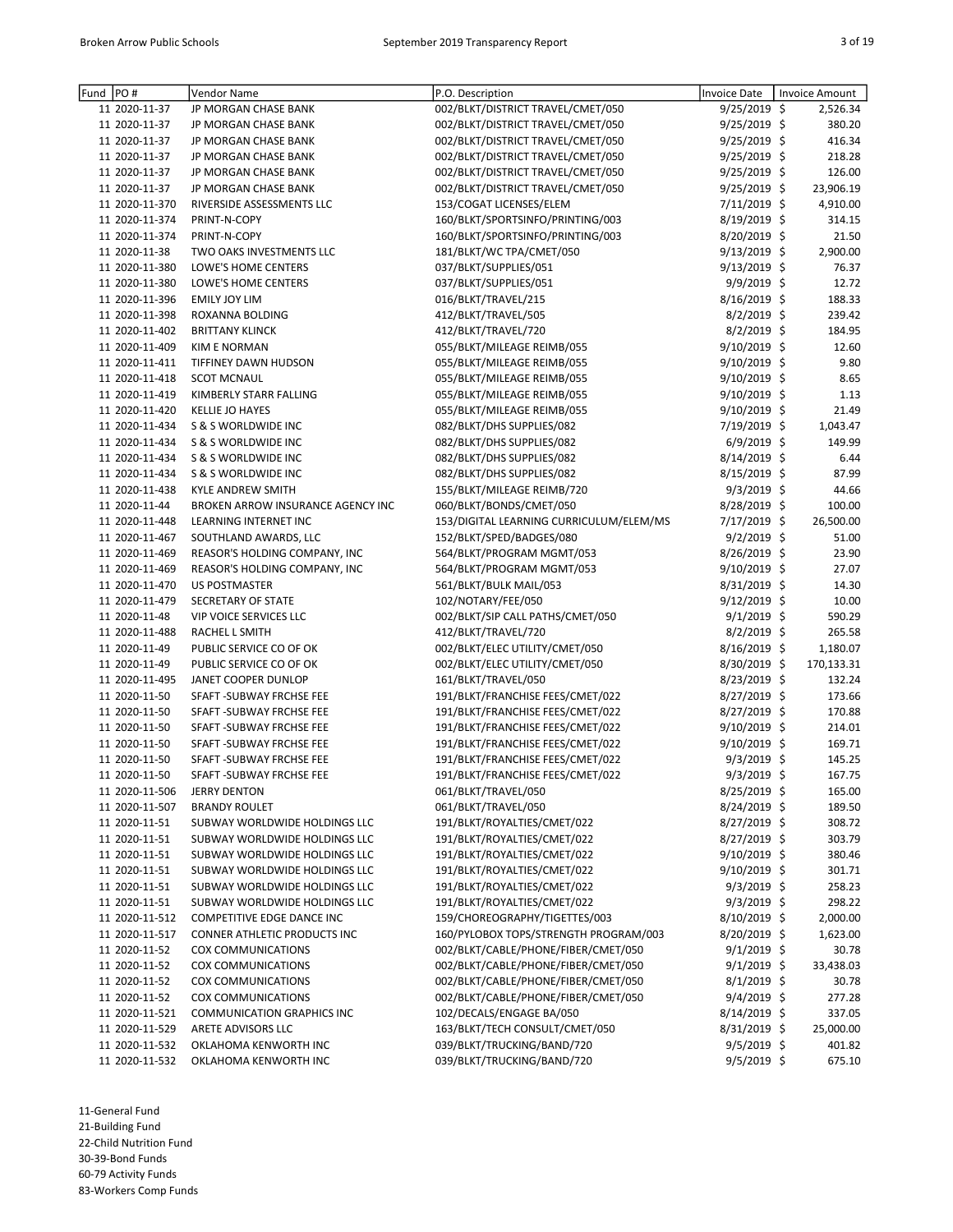| Fund  PO# |                                 | Vendor Name                                    | P.O. Description                                        | Invoice Date                 | Invoice Amount   |
|-----------|---------------------------------|------------------------------------------------|---------------------------------------------------------|------------------------------|------------------|
|           | 11 2020-11-37                   | JP MORGAN CHASE BANK                           | 002/BLKT/DISTRICT TRAVEL/CMET/050                       | $9/25/2019$ \$               | 2,526.34         |
|           | 11 2020-11-37                   | JP MORGAN CHASE BANK                           | 002/BLKT/DISTRICT TRAVEL/CMET/050                       | $9/25/2019$ \$               | 380.20           |
|           | 11 2020-11-37                   | JP MORGAN CHASE BANK                           | 002/BLKT/DISTRICT TRAVEL/CMET/050                       | 9/25/2019 \$                 | 416.34           |
|           | 11 2020-11-37                   | JP MORGAN CHASE BANK                           | 002/BLKT/DISTRICT TRAVEL/CMET/050                       | 9/25/2019 \$                 | 218.28           |
|           | 11 2020-11-37                   | JP MORGAN CHASE BANK                           | 002/BLKT/DISTRICT TRAVEL/CMET/050                       | 9/25/2019 \$                 | 126.00           |
|           | 11 2020-11-37                   | <b>JP MORGAN CHASE BANK</b>                    | 002/BLKT/DISTRICT TRAVEL/CMET/050                       | $9/25/2019$ \$               | 23,906.19        |
|           | 11 2020-11-370                  | RIVERSIDE ASSESSMENTS LLC                      | 153/COGAT LICENSES/ELEM                                 | 7/11/2019 \$                 | 4,910.00         |
|           | 11 2020-11-374                  | PRINT-N-COPY                                   | 160/BLKT/SPORTSINFO/PRINTING/003                        | 8/19/2019 \$                 | 314.15           |
|           | 11 2020-11-374                  | PRINT-N-COPY                                   | 160/BLKT/SPORTSINFO/PRINTING/003                        | 8/20/2019 \$                 | 21.50            |
|           | 11 2020-11-38                   | TWO OAKS INVESTMENTS LLC                       | 181/BLKT/WC TPA/CMET/050                                | 9/13/2019 \$                 | 2,900.00         |
|           | 11 2020-11-380                  | <b>LOWE'S HOME CENTERS</b>                     | 037/BLKT/SUPPLIES/051                                   | 9/13/2019 \$                 | 76.37            |
|           | 11 2020-11-380                  | LOWE'S HOME CENTERS                            | 037/BLKT/SUPPLIES/051                                   | 9/9/2019 \$                  | 12.72            |
|           | 11 2020-11-396                  | <b>EMILY JOY LIM</b>                           | 016/BLKT/TRAVEL/215                                     | 8/16/2019 \$                 | 188.33           |
|           | 11 2020-11-398                  | ROXANNA BOLDING                                | 412/BLKT/TRAVEL/505                                     | $8/2/2019$ \$                | 239.42           |
|           | 11 2020-11-402                  | <b>BRITTANY KLINCK</b>                         | 412/BLKT/TRAVEL/720                                     | 8/2/2019 \$                  | 184.95           |
|           | 11 2020-11-409                  | <b>KIM E NORMAN</b>                            | 055/BLKT/MILEAGE REIMB/055                              | 9/10/2019 \$                 | 12.60            |
|           | 11 2020-11-411                  | TIFFINEY DAWN HUDSON                           | 055/BLKT/MILEAGE REIMB/055                              | 9/10/2019 \$                 | 9.80             |
|           | 11 2020-11-418                  | <b>SCOT MCNAUL</b>                             | 055/BLKT/MILEAGE REIMB/055                              | 9/10/2019 \$                 | 8.65             |
|           | 11 2020-11-419                  | KIMBERLY STARR FALLING                         | 055/BLKT/MILEAGE REIMB/055                              | 9/10/2019 \$                 | 1.13             |
|           | 11 2020-11-420                  | <b>KELLIE JO HAYES</b>                         | 055/BLKT/MILEAGE REIMB/055                              | 9/10/2019 \$                 | 21.49            |
|           | 11 2020-11-434                  | <b>S &amp; S WORLDWIDE INC</b>                 | 082/BLKT/DHS SUPPLIES/082                               | 7/19/2019 \$                 | 1,043.47         |
|           | 11 2020-11-434                  | S & S WORLDWIDE INC                            | 082/BLKT/DHS SUPPLIES/082                               | $6/9/2019$ \$                | 149.99           |
|           | 11 2020-11-434                  | S & S WORLDWIDE INC                            | 082/BLKT/DHS SUPPLIES/082                               | 8/14/2019 \$                 | 6.44             |
|           | 11 2020-11-434                  | S & S WORLDWIDE INC                            | 082/BLKT/DHS SUPPLIES/082                               | 8/15/2019 \$                 | 87.99            |
|           | 11 2020-11-438                  | <b>KYLE ANDREW SMITH</b>                       | 155/BLKT/MILEAGE REIMB/720                              | $9/3/2019$ \$                | 44.66            |
|           | 11 2020-11-44                   | BROKEN ARROW INSURANCE AGENCY INC              | 060/BLKT/BONDS/CMET/050                                 | 8/28/2019 \$                 | 100.00           |
|           | 11 2020-11-448                  | LEARNING INTERNET INC                          | 153/DIGITAL LEARNING CURRICULUM/ELEM/MS                 | 7/17/2019 \$                 | 26,500.00        |
|           | 11 2020-11-467                  | SOUTHLAND AWARDS, LLC                          | 152/BLKT/SPED/BADGES/080                                | $9/2/2019$ \$                | 51.00            |
|           | 11 2020-11-469                  | REASOR'S HOLDING COMPANY, INC                  | 564/BLKT/PROGRAM MGMT/053                               | 8/26/2019 \$                 | 23.90            |
|           | 11 2020-11-469                  | REASOR'S HOLDING COMPANY, INC                  | 564/BLKT/PROGRAM MGMT/053                               | 9/10/2019 \$                 | 27.07            |
|           | 11 2020-11-470                  | <b>US POSTMASTER</b>                           | 561/BLKT/BULK MAIL/053                                  | 8/31/2019 \$                 | 14.30            |
|           | 11 2020-11-479                  | SECRETARY OF STATE                             | 102/NOTARY/FEE/050                                      | 9/12/2019 \$                 | 10.00            |
|           | 11 2020-11-48                   | VIP VOICE SERVICES LLC                         | 002/BLKT/SIP CALL PATHS/CMET/050                        | $9/1/2019$ \$                | 590.29           |
|           | 11 2020-11-488                  | RACHEL L SMITH                                 | 412/BLKT/TRAVEL/720                                     | $8/2/2019$ \$                | 265.58           |
|           | 11 2020-11-49                   | PUBLIC SERVICE CO OF OK                        | 002/BLKT/ELEC UTILITY/CMET/050                          | $8/16/2019$ \$               | 1,180.07         |
|           | 11 2020-11-49<br>11 2020-11-495 | PUBLIC SERVICE CO OF OK<br>JANET COOPER DUNLOP | 002/BLKT/ELEC UTILITY/CMET/050                          | 8/30/2019 \$                 | 170,133.31       |
|           | 11 2020-11-50                   | SFAFT - SUBWAY FRCHSE FEE                      | 161/BLKT/TRAVEL/050<br>191/BLKT/FRANCHISE FEES/CMET/022 | 8/23/2019 \$<br>8/27/2019 \$ | 132.24<br>173.66 |
|           | 11 2020-11-50                   | SFAFT - SUBWAY FRCHSE FEE                      | 191/BLKT/FRANCHISE FEES/CMET/022                        | 8/27/2019 \$                 | 170.88           |
|           | 11 2020-11-50                   | SFAFT - SUBWAY FRCHSE FEE                      | 191/BLKT/FRANCHISE FEES/CMET/022                        | 9/10/2019 \$                 | 214.01           |
|           | 11 2020-11-50                   | SFAFT - SUBWAY FRCHSE FEE                      | 191/BLKT/FRANCHISE FEES/CMET/022                        | 9/10/2019 \$                 | 169.71           |
|           | 11 2020-11-50                   | SFAFT - SUBWAY FRCHSE FEE                      | 191/BLKT/FRANCHISE FEES/CMET/022                        | $9/3/2019$ \$                | 145.25           |
|           | 11 2020-11-50                   | SFAFT - SUBWAY FRCHSE FEE                      | 191/BLKT/FRANCHISE FEES/CMET/022                        | 9/3/2019 \$                  | 167.75           |
|           | 11 2020-11-506                  | <b>JERRY DENTON</b>                            | 061/BLKT/TRAVEL/050                                     | $8/25/2019$ \$               | 165.00           |
|           | 11 2020-11-507                  | <b>BRANDY ROULET</b>                           | 061/BLKT/TRAVEL/050                                     | 8/24/2019 \$                 | 189.50           |
|           | 11 2020-11-51                   | SUBWAY WORLDWIDE HOLDINGS LLC                  | 191/BLKT/ROYALTIES/CMET/022                             | 8/27/2019 \$                 | 308.72           |
|           | 11 2020-11-51                   | SUBWAY WORLDWIDE HOLDINGS LLC                  | 191/BLKT/ROYALTIES/CMET/022                             | 8/27/2019 \$                 | 303.79           |
|           | 11 2020-11-51                   | SUBWAY WORLDWIDE HOLDINGS LLC                  | 191/BLKT/ROYALTIES/CMET/022                             | $9/10/2019$ \$               | 380.46           |
|           | 11 2020-11-51                   | SUBWAY WORLDWIDE HOLDINGS LLC                  | 191/BLKT/ROYALTIES/CMET/022                             | $9/10/2019$ \$               | 301.71           |
|           | 11 2020-11-51                   | SUBWAY WORLDWIDE HOLDINGS LLC                  | 191/BLKT/ROYALTIES/CMET/022                             | $9/3/2019$ \$                | 258.23           |
|           | 11 2020-11-51                   | SUBWAY WORLDWIDE HOLDINGS LLC                  | 191/BLKT/ROYALTIES/CMET/022                             | $9/3/2019$ \$                | 298.22           |
|           | 11 2020-11-512                  | COMPETITIVE EDGE DANCE INC                     | 159/CHOREOGRAPHY/TIGETTES/003                           | $8/10/2019$ \$               | 2,000.00         |
|           | 11 2020-11-517                  | CONNER ATHLETIC PRODUCTS INC                   | 160/PYLOBOX TOPS/STRENGTH PROGRAM/003                   | 8/20/2019 \$                 | 1,623.00         |
|           | 11 2020-11-52                   | COX COMMUNICATIONS                             | 002/BLKT/CABLE/PHONE/FIBER/CMET/050                     | $9/1/2019$ \$                | 30.78            |
|           | 11 2020-11-52                   | <b>COX COMMUNICATIONS</b>                      | 002/BLKT/CABLE/PHONE/FIBER/CMET/050                     | $9/1/2019$ \$                | 33,438.03        |
|           | 11 2020-11-52                   | COX COMMUNICATIONS                             | 002/BLKT/CABLE/PHONE/FIBER/CMET/050                     | $8/1/2019$ \$                | 30.78            |
|           | 11 2020-11-52                   | COX COMMUNICATIONS                             | 002/BLKT/CABLE/PHONE/FIBER/CMET/050                     | $9/4/2019$ \$                | 277.28           |
|           | 11 2020-11-521                  | <b>COMMUNICATION GRAPHICS INC</b>              | 102/DECALS/ENGAGE BA/050                                | $8/14/2019$ \$               | 337.05           |
|           | 11 2020-11-529                  | ARETE ADVISORS LLC                             | 163/BLKT/TECH CONSULT/CMET/050                          | 8/31/2019 \$                 | 25,000.00        |
|           | 11 2020-11-532                  | OKLAHOMA KENWORTH INC                          | 039/BLKT/TRUCKING/BAND/720                              | $9/5/2019$ \$                | 401.82           |
|           | 11 2020-11-532                  | OKLAHOMA KENWORTH INC                          | 039/BLKT/TRUCKING/BAND/720                              | 9/5/2019 \$                  | 675.10           |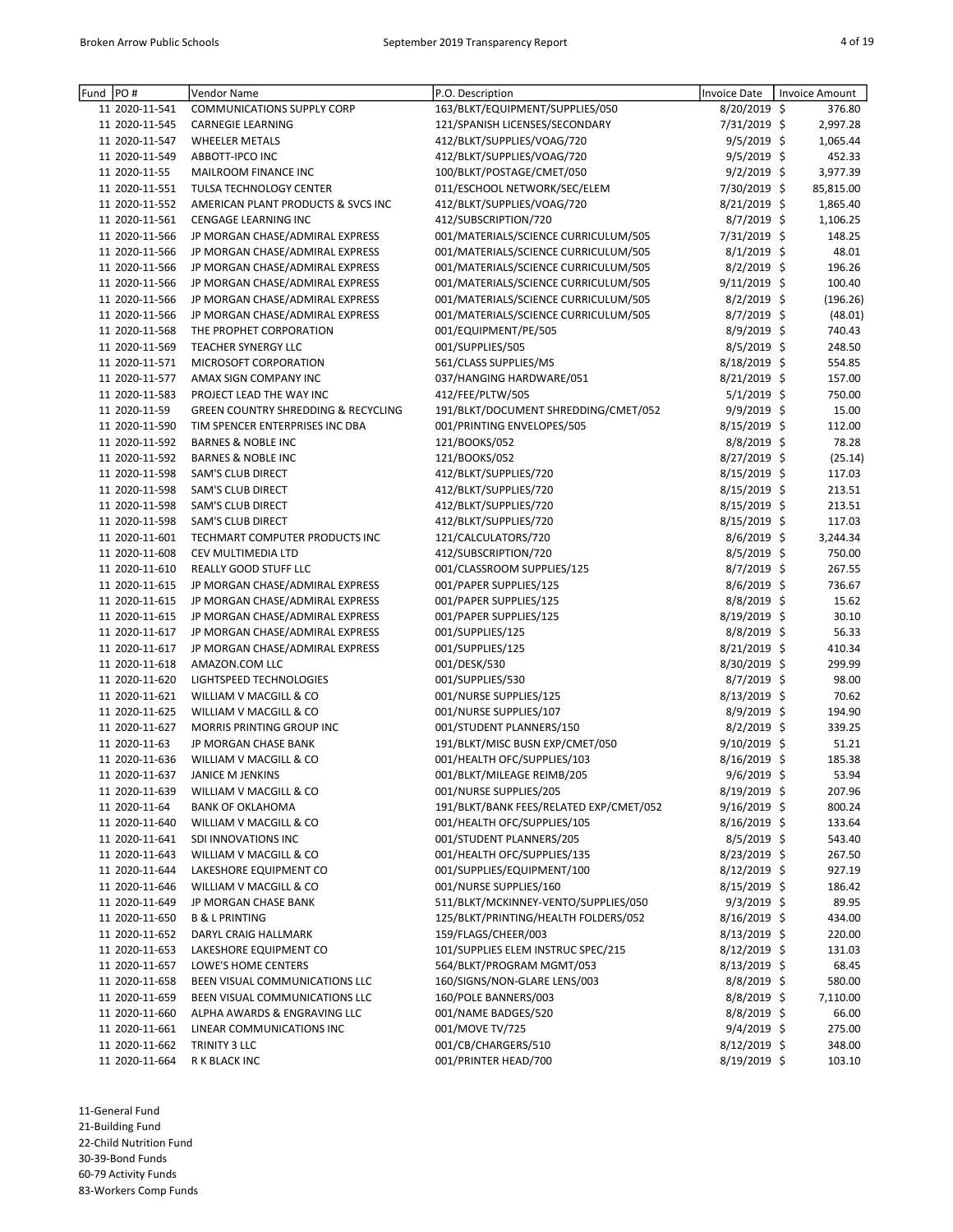| Fund | PO#            | Vendor Name                         | P.O. Description                        | <b>Invoice Date</b> | <b>Invoice Amount</b> |
|------|----------------|-------------------------------------|-----------------------------------------|---------------------|-----------------------|
|      | 11 2020-11-541 | <b>COMMUNICATIONS SUPPLY CORP</b>   | 163/BLKT/EQUIPMENT/SUPPLIES/050         | 8/20/2019 \$        | 376.80                |
|      | 11 2020-11-545 | <b>CARNEGIE LEARNING</b>            | 121/SPANISH LICENSES/SECONDARY          | 7/31/2019 \$        | 2,997.28              |
|      | 11 2020-11-547 | <b>WHEELER METALS</b>               | 412/BLKT/SUPPLIES/VOAG/720              | $9/5/2019$ \$       | 1,065.44              |
|      | 11 2020-11-549 | ABBOTT-IPCO INC                     | 412/BLKT/SUPPLIES/VOAG/720              | $9/5/2019$ \$       | 452.33                |
|      | 11 2020-11-55  | MAILROOM FINANCE INC                | 100/BLKT/POSTAGE/CMET/050               | $9/2/2019$ \$       | 3,977.39              |
|      | 11 2020-11-551 | TULSA TECHNOLOGY CENTER             | 011/ESCHOOL NETWORK/SEC/ELEM            | 7/30/2019 \$        | 85,815.00             |
|      | 11 2020-11-552 | AMERICAN PLANT PRODUCTS & SVCS INC  | 412/BLKT/SUPPLIES/VOAG/720              | 8/21/2019 \$        | 1,865.40              |
|      | 11 2020-11-561 | <b>CENGAGE LEARNING INC</b>         | 412/SUBSCRIPTION/720                    | 8/7/2019 \$         | 1,106.25              |
|      | 11 2020-11-566 | JP MORGAN CHASE/ADMIRAL EXPRESS     | 001/MATERIALS/SCIENCE CURRICULUM/505    | 7/31/2019 \$        | 148.25                |
|      | 11 2020-11-566 | JP MORGAN CHASE/ADMIRAL EXPRESS     | 001/MATERIALS/SCIENCE CURRICULUM/505    | 8/1/2019 \$         | 48.01                 |
|      | 11 2020-11-566 | JP MORGAN CHASE/ADMIRAL EXPRESS     | 001/MATERIALS/SCIENCE CURRICULUM/505    | $8/2/2019$ \$       | 196.26                |
|      | 11 2020-11-566 | JP MORGAN CHASE/ADMIRAL EXPRESS     | 001/MATERIALS/SCIENCE CURRICULUM/505    | 9/11/2019 \$        | 100.40                |
|      | 11 2020-11-566 | JP MORGAN CHASE/ADMIRAL EXPRESS     | 001/MATERIALS/SCIENCE CURRICULUM/505    | $8/2/2019$ \$       | (196.26)              |
|      | 11 2020-11-566 | JP MORGAN CHASE/ADMIRAL EXPRESS     | 001/MATERIALS/SCIENCE CURRICULUM/505    | 8/7/2019 \$         | (48.01)               |
|      | 11 2020-11-568 | THE PROPHET CORPORATION             | 001/EQUIPMENT/PE/505                    | $8/9/2019$ \$       | 740.43                |
|      | 11 2020-11-569 | TEACHER SYNERGY LLC                 | 001/SUPPLIES/505                        | 8/5/2019 \$         | 248.50                |
|      | 11 2020-11-571 |                                     |                                         |                     |                       |
|      |                | MICROSOFT CORPORATION               | 561/CLASS SUPPLIES/MS                   | 8/18/2019 \$        | 554.85                |
|      | 11 2020-11-577 | AMAX SIGN COMPANY INC               | 037/HANGING HARDWARE/051                | 8/21/2019 \$        | 157.00                |
|      | 11 2020-11-583 | PROJECT LEAD THE WAY INC            | 412/FEE/PLTW/505                        | 5/1/2019 \$         | 750.00                |
|      | 11 2020-11-59  | GREEN COUNTRY SHREDDING & RECYCLING | 191/BLKT/DOCUMENT SHREDDING/CMET/052    | 9/9/2019 \$         | 15.00                 |
|      | 11 2020-11-590 | TIM SPENCER ENTERPRISES INC DBA     | 001/PRINTING ENVELOPES/505              | 8/15/2019 \$        | 112.00                |
|      | 11 2020-11-592 | <b>BARNES &amp; NOBLE INC</b>       | 121/BOOKS/052                           | 8/8/2019 \$         | 78.28                 |
|      | 11 2020-11-592 | <b>BARNES &amp; NOBLE INC</b>       | 121/BOOKS/052                           | 8/27/2019 \$        | (25.14)               |
|      | 11 2020-11-598 | SAM'S CLUB DIRECT                   | 412/BLKT/SUPPLIES/720                   | $8/15/2019$ \$      | 117.03                |
|      | 11 2020-11-598 | <b>SAM'S CLUB DIRECT</b>            | 412/BLKT/SUPPLIES/720                   | $8/15/2019$ \$      | 213.51                |
|      | 11 2020-11-598 | <b>SAM'S CLUB DIRECT</b>            | 412/BLKT/SUPPLIES/720                   | 8/15/2019 \$        | 213.51                |
|      | 11 2020-11-598 | SAM'S CLUB DIRECT                   | 412/BLKT/SUPPLIES/720                   | 8/15/2019 \$        | 117.03                |
|      | 11 2020-11-601 | TECHMART COMPUTER PRODUCTS INC      | 121/CALCULATORS/720                     | 8/6/2019 \$         | 3,244.34              |
|      | 11 2020-11-608 | CEV MULTIMEDIA LTD                  | 412/SUBSCRIPTION/720                    | 8/5/2019 \$         | 750.00                |
|      | 11 2020-11-610 | REALLY GOOD STUFF LLC               | 001/CLASSROOM SUPPLIES/125              | 8/7/2019 \$         | 267.55                |
|      | 11 2020-11-615 | JP MORGAN CHASE/ADMIRAL EXPRESS     | 001/PAPER SUPPLIES/125                  | 8/6/2019 \$         | 736.67                |
|      | 11 2020-11-615 | JP MORGAN CHASE/ADMIRAL EXPRESS     | 001/PAPER SUPPLIES/125                  | 8/8/2019 \$         | 15.62                 |
|      | 11 2020-11-615 | JP MORGAN CHASE/ADMIRAL EXPRESS     | 001/PAPER SUPPLIES/125                  | 8/19/2019 \$        | 30.10                 |
|      | 11 2020-11-617 | JP MORGAN CHASE/ADMIRAL EXPRESS     | 001/SUPPLIES/125                        | 8/8/2019 \$         | 56.33                 |
|      | 11 2020-11-617 | JP MORGAN CHASE/ADMIRAL EXPRESS     | 001/SUPPLIES/125                        | 8/21/2019 \$        | 410.34                |
|      | 11 2020-11-618 | AMAZON.COM LLC                      | 001/DESK/530                            | 8/30/2019 \$        | 299.99                |
|      | 11 2020-11-620 | LIGHTSPEED TECHNOLOGIES             | 001/SUPPLIES/530                        | 8/7/2019 \$         | 98.00                 |
|      | 11 2020-11-621 | WILLIAM V MACGILL & CO              | 001/NURSE SUPPLIES/125                  | 8/13/2019 \$        | 70.62                 |
|      | 11 2020-11-625 | WILLIAM V MACGILL & CO              | 001/NURSE SUPPLIES/107                  | $8/9/2019$ \$       | 194.90                |
|      | 11 2020-11-627 | MORRIS PRINTING GROUP INC           | 001/STUDENT PLANNERS/150                | $8/2/2019$ \$       | 339.25                |
|      | 11 2020-11-63  | JP MORGAN CHASE BANK                | 191/BLKT/MISC BUSN EXP/CMET/050         | 9/10/2019 \$        | 51.21                 |
|      | 11 2020-11-636 | WILLIAM V MACGILL & CO              | 001/HEALTH OFC/SUPPLIES/103             | 8/16/2019 \$        | 185.38                |
|      | 11 2020-11-637 | JANICE M JENKINS                    | 001/BLKT/MILEAGE REIMB/205              | 9/6/2019 \$         | 53.94                 |
|      | 11 2020-11-639 | WILLIAM V MACGILL & CO              | 001/NURSE SUPPLIES/205                  | $8/19/2019$ \$      | 207.96                |
|      | 11 2020-11-64  | <b>BANK OF OKLAHOMA</b>             | 191/BLKT/BANK FEES/RELATED EXP/CMET/052 | $9/16/2019$ \$      | 800.24                |
|      | 11 2020-11-640 | WILLIAM V MACGILL & CO              | 001/HEALTH OFC/SUPPLIES/105             | $8/16/2019$ \$      | 133.64                |
|      | 11 2020-11-641 | SDI INNOVATIONS INC                 | 001/STUDENT PLANNERS/205                | $8/5/2019$ \$       | 543.40                |
|      | 11 2020-11-643 | WILLIAM V MACGILL & CO              | 001/HEALTH OFC/SUPPLIES/135             | 8/23/2019 \$        | 267.50                |
|      | 11 2020-11-644 | LAKESHORE EQUIPMENT CO              | 001/SUPPLIES/EQUIPMENT/100              | $8/12/2019$ \$      | 927.19                |
|      | 11 2020-11-646 | WILLIAM V MACGILL & CO              | 001/NURSE SUPPLIES/160                  | $8/15/2019$ \$      | 186.42                |
|      |                |                                     |                                         |                     |                       |
|      | 11 2020-11-649 | JP MORGAN CHASE BANK                | 511/BLKT/MCKINNEY-VENTO/SUPPLIES/050    | $9/3/2019$ \$       | 89.95                 |
|      | 11 2020-11-650 | <b>B &amp; L PRINTING</b>           | 125/BLKT/PRINTING/HEALTH FOLDERS/052    | $8/16/2019$ \$      | 434.00                |
|      | 11 2020-11-652 | DARYL CRAIG HALLMARK                | 159/FLAGS/CHEER/003                     | $8/13/2019$ \$      | 220.00                |
|      | 11 2020-11-653 | LAKESHORE EQUIPMENT CO              | 101/SUPPLIES ELEM INSTRUC SPEC/215      | 8/12/2019 \$        | 131.03                |
|      | 11 2020-11-657 | LOWE'S HOME CENTERS                 | 564/BLKT/PROGRAM MGMT/053               | $8/13/2019$ \$      | 68.45                 |
|      | 11 2020-11-658 | BEEN VISUAL COMMUNICATIONS LLC      | 160/SIGNS/NON-GLARE LENS/003            | $8/8/2019$ \$       | 580.00                |
|      | 11 2020-11-659 | BEEN VISUAL COMMUNICATIONS LLC      | 160/POLE BANNERS/003                    | $8/8/2019$ \$       | 7,110.00              |
|      | 11 2020-11-660 | ALPHA AWARDS & ENGRAVING LLC        | 001/NAME BADGES/520                     | 8/8/2019 \$         | 66.00                 |
|      | 11 2020-11-661 | LINEAR COMMUNICATIONS INC           | 001/MOVE TV/725                         | $9/4/2019$ \$       | 275.00                |
|      | 11 2020-11-662 | TRINITY 3 LLC                       | 001/CB/CHARGERS/510                     | $8/12/2019$ \$      | 348.00                |
|      | 11 2020-11-664 | R K BLACK INC                       | 001/PRINTER HEAD/700                    | $8/19/2019$ \$      | 103.10                |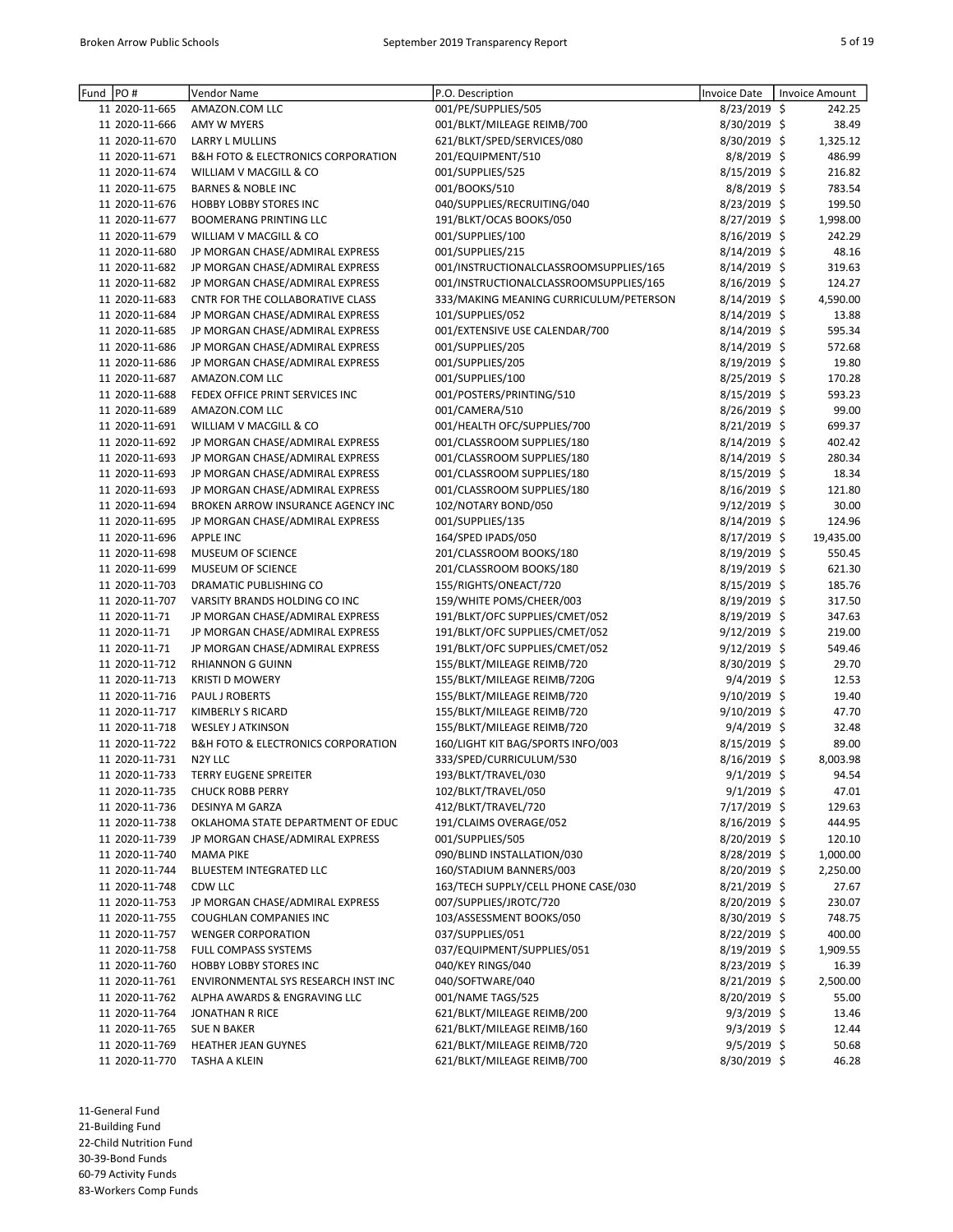| Fund | PO#            | <b>Vendor Name</b>                                | P.O. Description                       | <b>Invoice Date</b> | <b>Invoice Amount</b> |
|------|----------------|---------------------------------------------------|----------------------------------------|---------------------|-----------------------|
|      | 11 2020-11-665 | AMAZON.COM LLC                                    | 001/PE/SUPPLIES/505                    | 8/23/2019 \$        | 242.25                |
|      | 11 2020-11-666 | <b>AMY W MYERS</b>                                | 001/BLKT/MILEAGE REIMB/700             | 8/30/2019 \$        | 38.49                 |
|      | 11 2020-11-670 | LARRY L MULLINS                                   | 621/BLKT/SPED/SERVICES/080             | 8/30/2019 \$        | 1,325.12              |
|      | 11 2020-11-671 | <b>B&amp;H FOTO &amp; ELECTRONICS CORPORATION</b> | 201/EQUIPMENT/510                      | $8/8/2019$ \$       | 486.99                |
|      | 11 2020-11-674 | WILLIAM V MACGILL & CO                            | 001/SUPPLIES/525                       | 8/15/2019 \$        | 216.82                |
|      | 11 2020-11-675 | <b>BARNES &amp; NOBLE INC</b>                     | 001/BOOKS/510                          | 8/8/2019 \$         | 783.54                |
|      | 11 2020-11-676 | HOBBY LOBBY STORES INC                            | 040/SUPPLIES/RECRUITING/040            | 8/23/2019 \$        | 199.50                |
|      | 11 2020-11-677 | <b>BOOMERANG PRINTING LLC</b>                     | 191/BLKT/OCAS BOOKS/050                | 8/27/2019 \$        | 1,998.00              |
|      | 11 2020-11-679 | WILLIAM V MACGILL & CO                            | 001/SUPPLIES/100                       | 8/16/2019 \$        | 242.29                |
|      | 11 2020-11-680 | JP MORGAN CHASE/ADMIRAL EXPRESS                   | 001/SUPPLIES/215                       | 8/14/2019 \$        | 48.16                 |
|      | 11 2020-11-682 | JP MORGAN CHASE/ADMIRAL EXPRESS                   | 001/INSTRUCTIONALCLASSROOMSUPPLIES/165 | 8/14/2019 \$        | 319.63                |
|      |                |                                                   | 001/INSTRUCTIONALCLASSROOMSUPPLIES/165 |                     |                       |
|      | 11 2020-11-682 | JP MORGAN CHASE/ADMIRAL EXPRESS                   |                                        | 8/16/2019 \$        | 124.27                |
|      | 11 2020-11-683 | CNTR FOR THE COLLABORATIVE CLASS                  | 333/MAKING MEANING CURRICULUM/PETERSON | 8/14/2019 \$        | 4,590.00              |
|      | 11 2020-11-684 | JP MORGAN CHASE/ADMIRAL EXPRESS                   | 101/SUPPLIES/052                       | 8/14/2019 \$        | 13.88                 |
|      | 11 2020-11-685 | JP MORGAN CHASE/ADMIRAL EXPRESS                   | 001/EXTENSIVE USE CALENDAR/700         | 8/14/2019 \$        | 595.34                |
|      | 11 2020-11-686 | JP MORGAN CHASE/ADMIRAL EXPRESS                   | 001/SUPPLIES/205                       | 8/14/2019 \$        | 572.68                |
|      | 11 2020-11-686 | JP MORGAN CHASE/ADMIRAL EXPRESS                   | 001/SUPPLIES/205                       | 8/19/2019 \$        | 19.80                 |
|      | 11 2020-11-687 | AMAZON.COM LLC                                    | 001/SUPPLIES/100                       | $8/25/2019$ \$      | 170.28                |
|      | 11 2020-11-688 | FEDEX OFFICE PRINT SERVICES INC                   | 001/POSTERS/PRINTING/510               | $8/15/2019$ \$      | 593.23                |
|      | 11 2020-11-689 | AMAZON.COM LLC                                    | 001/CAMERA/510                         | 8/26/2019 \$        | 99.00                 |
|      | 11 2020-11-691 | WILLIAM V MACGILL & CO                            | 001/HEALTH OFC/SUPPLIES/700            | 8/21/2019 \$        | 699.37                |
|      | 11 2020-11-692 | JP MORGAN CHASE/ADMIRAL EXPRESS                   | 001/CLASSROOM SUPPLIES/180             | 8/14/2019 \$        | 402.42                |
|      | 11 2020-11-693 | JP MORGAN CHASE/ADMIRAL EXPRESS                   | 001/CLASSROOM SUPPLIES/180             | 8/14/2019 \$        | 280.34                |
|      | 11 2020-11-693 | JP MORGAN CHASE/ADMIRAL EXPRESS                   | 001/CLASSROOM SUPPLIES/180             | 8/15/2019 \$        | 18.34                 |
|      | 11 2020-11-693 | JP MORGAN CHASE/ADMIRAL EXPRESS                   | 001/CLASSROOM SUPPLIES/180             | $8/16/2019$ \$      | 121.80                |
|      | 11 2020-11-694 | BROKEN ARROW INSURANCE AGENCY INC                 | 102/NOTARY BOND/050                    | 9/12/2019 \$        | 30.00                 |
|      | 11 2020-11-695 | JP MORGAN CHASE/ADMIRAL EXPRESS                   | 001/SUPPLIES/135                       | 8/14/2019 \$        | 124.96                |
|      | 11 2020-11-696 | <b>APPLE INC</b>                                  | 164/SPED IPADS/050                     | 8/17/2019 \$        | 19,435.00             |
|      | 11 2020-11-698 | MUSEUM OF SCIENCE                                 | 201/CLASSROOM BOOKS/180                | 8/19/2019 \$        | 550.45                |
|      | 11 2020-11-699 | MUSEUM OF SCIENCE                                 | 201/CLASSROOM BOOKS/180                | 8/19/2019 \$        | 621.30                |
|      | 11 2020-11-703 | DRAMATIC PUBLISHING CO                            | 155/RIGHTS/ONEACT/720                  | 8/15/2019 \$        | 185.76                |
|      | 11 2020-11-707 | VARSITY BRANDS HOLDING CO INC                     | 159/WHITE POMS/CHEER/003               | 8/19/2019 \$        | 317.50                |
|      | 11 2020-11-71  | JP MORGAN CHASE/ADMIRAL EXPRESS                   | 191/BLKT/OFC SUPPLIES/CMET/052         |                     | 347.63                |
|      |                |                                                   |                                        | 8/19/2019 \$        |                       |
|      | 11 2020-11-71  | JP MORGAN CHASE/ADMIRAL EXPRESS                   | 191/BLKT/OFC SUPPLIES/CMET/052         | 9/12/2019 \$        | 219.00                |
|      | 11 2020-11-71  | JP MORGAN CHASE/ADMIRAL EXPRESS                   | 191/BLKT/OFC SUPPLIES/CMET/052         | $9/12/2019$ \$      | 549.46                |
|      | 11 2020-11-712 | <b>RHIANNON G GUINN</b>                           | 155/BLKT/MILEAGE REIMB/720             | 8/30/2019 \$        | 29.70                 |
|      | 11 2020-11-713 | <b>KRISTI D MOWERY</b>                            | 155/BLKT/MILEAGE REIMB/720G            | $9/4/2019$ \$       | 12.53                 |
|      | 11 2020-11-716 | PAUL J ROBERTS                                    | 155/BLKT/MILEAGE REIMB/720             | 9/10/2019 \$        | 19.40                 |
|      | 11 2020-11-717 | KIMBERLY S RICARD                                 | 155/BLKT/MILEAGE REIMB/720             | $9/10/2019$ \$      | 47.70                 |
|      | 11 2020-11-718 | <b>WESLEY J ATKINSON</b>                          | 155/BLKT/MILEAGE REIMB/720             | $9/4/2019$ \$       | 32.48                 |
|      | 11 2020-11-722 | <b>B&amp;H FOTO &amp; ELECTRONICS CORPORATION</b> | 160/LIGHT KIT BAG/SPORTS INFO/003      | 8/15/2019 \$        | 89.00                 |
|      | 11 2020-11-731 | N2Y LLC                                           | 333/SPED/CURRICULUM/530                | 8/16/2019 \$        | 8,003.98              |
|      | 11 2020-11-733 | <b>TERRY EUGENE SPREITER</b>                      | 193/BLKT/TRAVEL/030                    | 9/1/2019 \$         | 94.54                 |
|      | 11 2020-11-735 | <b>CHUCK ROBB PERRY</b>                           | 102/BLKT/TRAVEL/050                    | $9/1/2019$ \$       | 47.01                 |
|      | 11 2020-11-736 | DESINYA M GARZA                                   | 412/BLKT/TRAVEL/720                    | 7/17/2019 \$        | 129.63                |
|      | 11 2020-11-738 | OKLAHOMA STATE DEPARTMENT OF EDUC                 | 191/CLAIMS OVERAGE/052                 | $8/16/2019$ \$      | 444.95                |
|      | 11 2020-11-739 | JP MORGAN CHASE/ADMIRAL EXPRESS                   | 001/SUPPLIES/505                       | 8/20/2019 \$        | 120.10                |
|      | 11 2020-11-740 | <b>MAMA PIKE</b>                                  | 090/BLIND INSTALLATION/030             | $8/28/2019$ \$      | 1,000.00              |
|      | 11 2020-11-744 | BLUESTEM INTEGRATED LLC                           | 160/STADIUM BANNERS/003                | 8/20/2019 \$        | 2,250.00              |
|      | 11 2020-11-748 | CDW LLC                                           | 163/TECH SUPPLY/CELL PHONE CASE/030    | 8/21/2019 \$        | 27.67                 |
|      | 11 2020-11-753 | JP MORGAN CHASE/ADMIRAL EXPRESS                   | 007/SUPPLIES/JROTC/720                 | 8/20/2019 \$        | 230.07                |
|      | 11 2020-11-755 | COUGHLAN COMPANIES INC                            | 103/ASSESSMENT BOOKS/050               | 8/30/2019 \$        | 748.75                |
|      | 11 2020-11-757 | <b>WENGER CORPORATION</b>                         | 037/SUPPLIES/051                       | 8/22/2019 \$        | 400.00                |
|      |                | <b>FULL COMPASS SYSTEMS</b>                       | 037/EQUIPMENT/SUPPLIES/051             |                     | 1,909.55              |
|      | 11 2020-11-758 |                                                   |                                        | 8/19/2019 \$        |                       |
|      | 11 2020-11-760 | HOBBY LOBBY STORES INC                            | 040/KEY RINGS/040                      | $8/23/2019$ \$      | 16.39                 |
|      | 11 2020-11-761 | ENVIRONMENTAL SYS RESEARCH INST INC               | 040/SOFTWARE/040                       | $8/21/2019$ \$      | 2,500.00              |
|      | 11 2020-11-762 | ALPHA AWARDS & ENGRAVING LLC                      | 001/NAME TAGS/525                      | 8/20/2019 \$        | 55.00                 |
|      | 11 2020-11-764 | <b>JONATHAN R RICE</b>                            | 621/BLKT/MILEAGE REIMB/200             | $9/3/2019$ \$       | 13.46                 |
|      | 11 2020-11-765 | SUE N BAKER                                       | 621/BLKT/MILEAGE REIMB/160             | $9/3/2019$ \$       | 12.44                 |
|      | 11 2020-11-769 | HEATHER JEAN GUYNES                               | 621/BLKT/MILEAGE REIMB/720             | $9/5/2019$ \$       | 50.68                 |
|      | 11 2020-11-770 | TASHA A KLEIN                                     | 621/BLKT/MILEAGE REIMB/700             | $8/30/2019$ \$      | 46.28                 |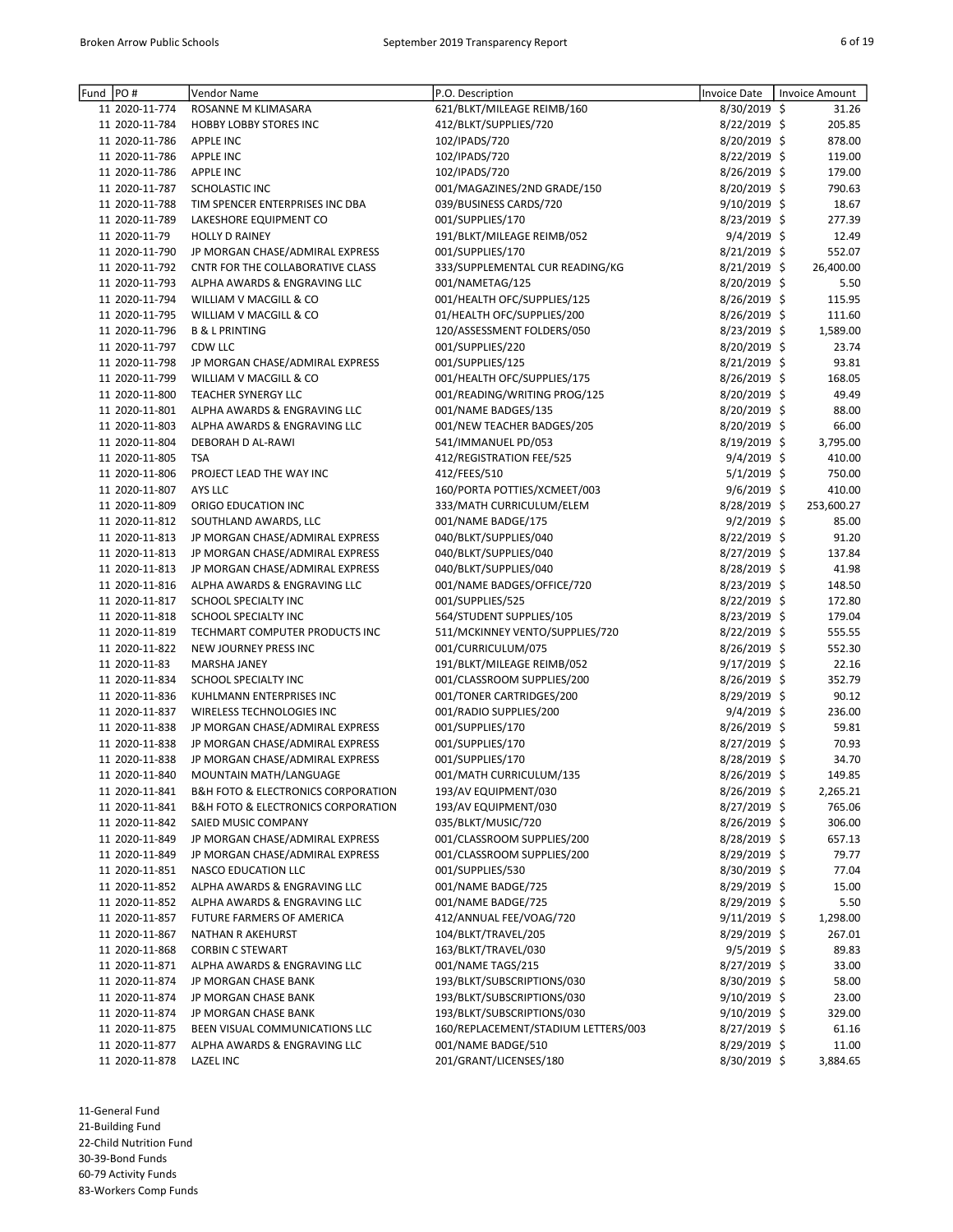| Fund | PO#            | Vendor Name                                       | P.O. Description                    | <b>Invoice Date</b> | <b>Invoice Amount</b> |
|------|----------------|---------------------------------------------------|-------------------------------------|---------------------|-----------------------|
|      | 11 2020-11-774 | ROSANNE M KLIMASARA                               | 621/BLKT/MILEAGE REIMB/160          | 8/30/2019 \$        | 31.26                 |
|      | 11 2020-11-784 | <b>HOBBY LOBBY STORES INC</b>                     | 412/BLKT/SUPPLIES/720               | 8/22/2019 \$        | 205.85                |
|      | 11 2020-11-786 | <b>APPLE INC</b>                                  | 102/IPADS/720                       | 8/20/2019 \$        | 878.00                |
|      | 11 2020-11-786 | <b>APPLE INC</b>                                  | 102/IPADS/720                       | 8/22/2019 \$        | 119.00                |
|      | 11 2020-11-786 | <b>APPLE INC</b>                                  | 102/IPADS/720                       |                     | 179.00                |
|      |                |                                                   |                                     | $8/26/2019$ \$      |                       |
|      | 11 2020-11-787 | SCHOLASTIC INC                                    | 001/MAGAZINES/2ND GRADE/150         | 8/20/2019 \$        | 790.63                |
|      | 11 2020-11-788 | TIM SPENCER ENTERPRISES INC DBA                   | 039/BUSINESS CARDS/720              | 9/10/2019 \$        | 18.67                 |
|      | 11 2020-11-789 | LAKESHORE EQUIPMENT CO                            | 001/SUPPLIES/170                    | 8/23/2019 \$        | 277.39                |
|      | 11 2020-11-79  | <b>HOLLY D RAINEY</b>                             | 191/BLKT/MILEAGE REIMB/052          | $9/4/2019$ \$       | 12.49                 |
|      | 11 2020-11-790 | JP MORGAN CHASE/ADMIRAL EXPRESS                   | 001/SUPPLIES/170                    | 8/21/2019 \$        | 552.07                |
|      | 11 2020-11-792 | CNTR FOR THE COLLABORATIVE CLASS                  | 333/SUPPLEMENTAL CUR READING/KG     | 8/21/2019 \$        | 26,400.00             |
|      | 11 2020-11-793 | ALPHA AWARDS & ENGRAVING LLC                      | 001/NAMETAG/125                     | 8/20/2019 \$        | 5.50                  |
|      | 11 2020-11-794 | WILLIAM V MACGILL & CO                            | 001/HEALTH OFC/SUPPLIES/125         | 8/26/2019 \$        | 115.95                |
|      | 11 2020-11-795 | WILLIAM V MACGILL & CO                            | 01/HEALTH OFC/SUPPLIES/200          | 8/26/2019 \$        | 111.60                |
|      | 11 2020-11-796 | <b>B &amp; L PRINTING</b>                         | 120/ASSESSMENT FOLDERS/050          | $8/23/2019$ \$      | 1,589.00              |
|      | 11 2020-11-797 | CDW LLC                                           | 001/SUPPLIES/220                    | 8/20/2019 \$        | 23.74                 |
|      | 11 2020-11-798 | JP MORGAN CHASE/ADMIRAL EXPRESS                   | 001/SUPPLIES/125                    | 8/21/2019 \$        | 93.81                 |
|      | 11 2020-11-799 | WILLIAM V MACGILL & CO                            | 001/HEALTH OFC/SUPPLIES/175         | 8/26/2019 \$        | 168.05                |
|      | 11 2020-11-800 | TEACHER SYNERGY LLC                               | 001/READING/WRITING PROG/125        | 8/20/2019 \$        | 49.49                 |
|      | 11 2020-11-801 | ALPHA AWARDS & ENGRAVING LLC                      | 001/NAME BADGES/135                 | 8/20/2019 \$        | 88.00                 |
|      | 11 2020-11-803 | ALPHA AWARDS & ENGRAVING LLC                      | 001/NEW TEACHER BADGES/205          | 8/20/2019 \$        | 66.00                 |
|      | 11 2020-11-804 | DEBORAH D AL-RAWI                                 | 541/IMMANUEL PD/053                 | 8/19/2019 \$        | 3,795.00              |
|      | 11 2020-11-805 | <b>TSA</b>                                        | 412/REGISTRATION FEE/525            | $9/4/2019$ \$       | 410.00                |
|      | 11 2020-11-806 | PROJECT LEAD THE WAY INC                          | 412/FEES/510                        | $5/1/2019$ \$       | 750.00                |
|      | 11 2020-11-807 | AYS LLC                                           | 160/PORTA POTTIES/XCMEET/003        | $9/6/2019$ \$       | 410.00                |
|      | 11 2020-11-809 | ORIGO EDUCATION INC                               | 333/MATH CURRICULUM/ELEM            | 8/28/2019 \$        | 253,600.27            |
|      | 11 2020-11-812 | SOUTHLAND AWARDS, LLC                             | 001/NAME BADGE/175                  | $9/2/2019$ \$       | 85.00                 |
|      | 11 2020-11-813 | JP MORGAN CHASE/ADMIRAL EXPRESS                   | 040/BLKT/SUPPLIES/040               | 8/22/2019 \$        | 91.20                 |
|      | 11 2020-11-813 | JP MORGAN CHASE/ADMIRAL EXPRESS                   | 040/BLKT/SUPPLIES/040               | 8/27/2019 \$        | 137.84                |
|      | 11 2020-11-813 | JP MORGAN CHASE/ADMIRAL EXPRESS                   | 040/BLKT/SUPPLIES/040               | 8/28/2019 \$        | 41.98                 |
|      | 11 2020-11-816 | ALPHA AWARDS & ENGRAVING LLC                      | 001/NAME BADGES/OFFICE/720          | 8/23/2019 \$        | 148.50                |
|      | 11 2020-11-817 | SCHOOL SPECIALTY INC                              | 001/SUPPLIES/525                    | 8/22/2019 \$        | 172.80                |
|      | 11 2020-11-818 | SCHOOL SPECIALTY INC                              | 564/STUDENT SUPPLIES/105            | 8/23/2019 \$        | 179.04                |
|      | 11 2020-11-819 | TECHMART COMPUTER PRODUCTS INC                    | 511/MCKINNEY VENTO/SUPPLIES/720     | 8/22/2019 \$        | 555.55                |
|      | 11 2020-11-822 | NEW JOURNEY PRESS INC                             | 001/CURRICULUM/075                  | $8/26/2019$ \$      | 552.30                |
|      | 11 2020-11-83  | MARSHA JANEY                                      | 191/BLKT/MILEAGE REIMB/052          | 9/17/2019 \$        | 22.16                 |
|      | 11 2020-11-834 | SCHOOL SPECIALTY INC                              | 001/CLASSROOM SUPPLIES/200          | 8/26/2019 \$        | 352.79                |
|      | 11 2020-11-836 | KUHLMANN ENTERPRISES INC                          | 001/TONER CARTRIDGES/200            | 8/29/2019 \$        | 90.12                 |
|      | 11 2020-11-837 | WIRELESS TECHNOLOGIES INC                         | 001/RADIO SUPPLIES/200              | $9/4/2019$ \$       | 236.00                |
|      | 11 2020-11-838 | JP MORGAN CHASE/ADMIRAL EXPRESS                   | 001/SUPPLIES/170                    | 8/26/2019 \$        | 59.81                 |
|      | 11 2020-11-838 | JP MORGAN CHASE/ADMIRAL EXPRESS                   | 001/SUPPLIES/170                    | 8/27/2019 \$        | 70.93                 |
|      | 11 2020-11-838 | JP MORGAN CHASE/ADMIRAL EXPRESS                   | 001/SUPPLIES/170                    | 8/28/2019 \$        | 34.70                 |
|      | 11 2020-11-840 | MOUNTAIN MATH/LANGUAGE                            | 001/MATH CURRICULUM/135             | 8/26/2019 \$        | 149.85                |
|      | 11 2020-11-841 | <b>B&amp;H FOTO &amp; ELECTRONICS CORPORATION</b> | 193/AV EQUIPMENT/030                | 8/26/2019 \$        | 2,265.21              |
|      | 11 2020-11-841 | <b>B&amp;H FOTO &amp; ELECTRONICS CORPORATION</b> | 193/AV EQUIPMENT/030                | 8/27/2019 \$        | 765.06                |
|      | 11 2020-11-842 | SAIED MUSIC COMPANY                               | 035/BLKT/MUSIC/720                  | 8/26/2019 \$        | 306.00                |
|      | 11 2020-11-849 | JP MORGAN CHASE/ADMIRAL EXPRESS                   | 001/CLASSROOM SUPPLIES/200          |                     | 657.13                |
|      |                |                                                   | 001/CLASSROOM SUPPLIES/200          | 8/28/2019 \$        |                       |
|      | 11 2020-11-849 | JP MORGAN CHASE/ADMIRAL EXPRESS                   |                                     | 8/29/2019 \$        | 79.77                 |
|      | 11 2020-11-851 | NASCO EDUCATION LLC                               | 001/SUPPLIES/530                    | $8/30/2019$ \$      | 77.04                 |
|      | 11 2020-11-852 | ALPHA AWARDS & ENGRAVING LLC                      | 001/NAME BADGE/725                  | 8/29/2019 \$        | 15.00                 |
|      | 11 2020-11-852 | ALPHA AWARDS & ENGRAVING LLC                      | 001/NAME BADGE/725                  | 8/29/2019 \$        | 5.50                  |
|      | 11 2020-11-857 | FUTURE FARMERS OF AMERICA                         | 412/ANNUAL FEE/VOAG/720             | $9/11/2019$ \$      | 1,298.00              |
|      | 11 2020-11-867 | NATHAN R AKEHURST                                 | 104/BLKT/TRAVEL/205                 | 8/29/2019 \$        | 267.01                |
|      | 11 2020-11-868 | <b>CORBIN C STEWART</b>                           | 163/BLKT/TRAVEL/030                 | $9/5/2019$ \$       | 89.83                 |
|      | 11 2020-11-871 | ALPHA AWARDS & ENGRAVING LLC                      | 001/NAME TAGS/215                   | 8/27/2019 \$        | 33.00                 |
|      | 11 2020-11-874 | JP MORGAN CHASE BANK                              | 193/BLKT/SUBSCRIPTIONS/030          | 8/30/2019 \$        | 58.00                 |
|      | 11 2020-11-874 | JP MORGAN CHASE BANK                              | 193/BLKT/SUBSCRIPTIONS/030          | $9/10/2019$ \$      | 23.00                 |
|      | 11 2020-11-874 | JP MORGAN CHASE BANK                              | 193/BLKT/SUBSCRIPTIONS/030          | 9/10/2019 \$        | 329.00                |
|      | 11 2020-11-875 | BEEN VISUAL COMMUNICATIONS LLC                    | 160/REPLACEMENT/STADIUM LETTERS/003 | 8/27/2019 \$        | 61.16                 |
|      | 11 2020-11-877 | ALPHA AWARDS & ENGRAVING LLC                      | 001/NAME BADGE/510                  | 8/29/2019 \$        | 11.00                 |
|      | 11 2020-11-878 | LAZEL INC                                         | 201/GRANT/LICENSES/180              | $8/30/2019$ \$      | 3,884.65              |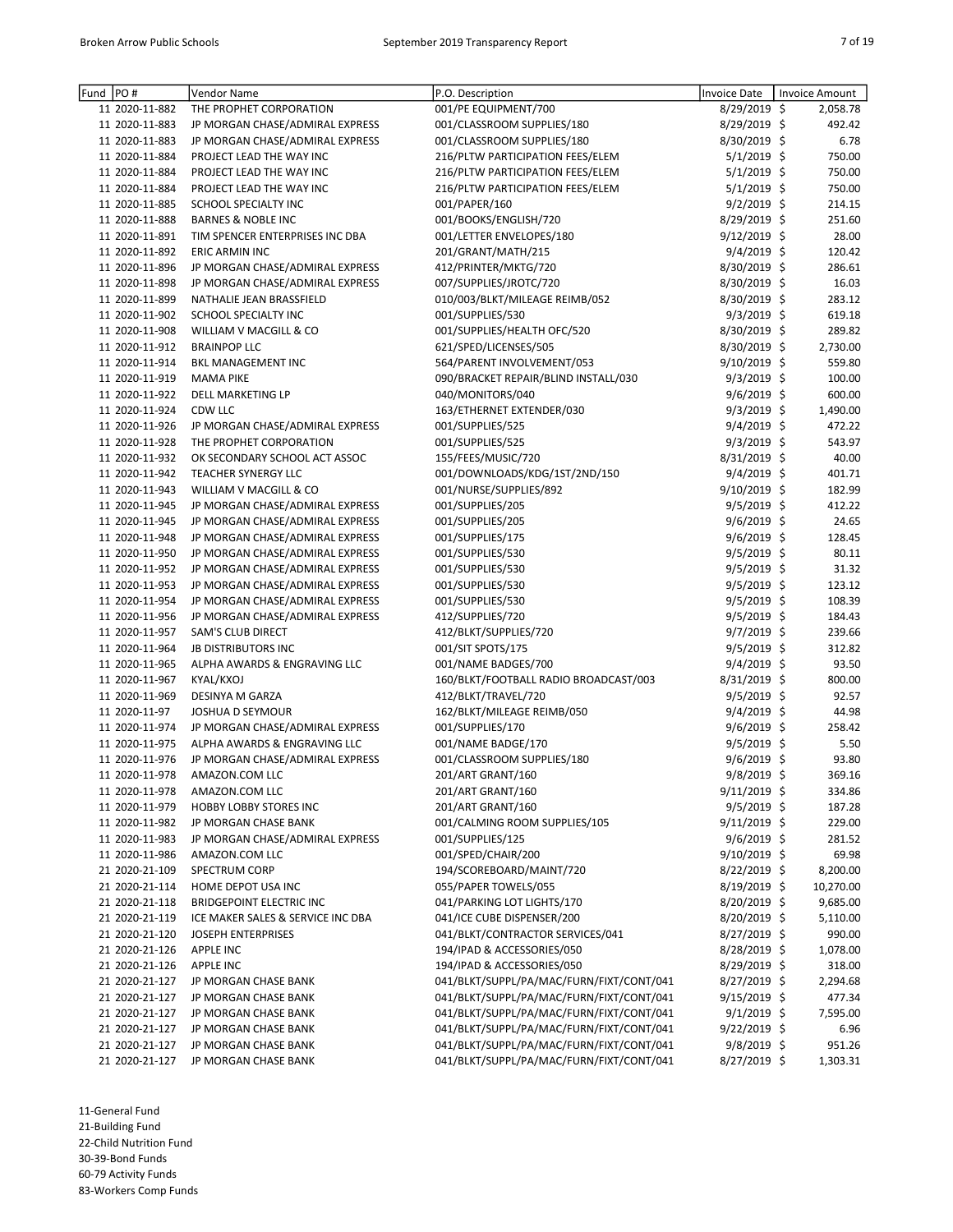| Fund | PO#                              | Vendor Name                                  | P.O. Description                                                                     | Invoice Date                  | Invoice Amount |
|------|----------------------------------|----------------------------------------------|--------------------------------------------------------------------------------------|-------------------------------|----------------|
|      | 11 2020-11-882                   | THE PROPHET CORPORATION                      | 001/PE EQUIPMENT/700                                                                 | 8/29/2019 \$                  | 2,058.78       |
|      | 11 2020-11-883                   | JP MORGAN CHASE/ADMIRAL EXPRESS              | 001/CLASSROOM SUPPLIES/180                                                           | 8/29/2019 \$                  | 492.42         |
|      | 11 2020-11-883                   | JP MORGAN CHASE/ADMIRAL EXPRESS              | 001/CLASSROOM SUPPLIES/180                                                           | 8/30/2019 \$                  | 6.78           |
|      | 11 2020-11-884                   | PROJECT LEAD THE WAY INC                     | 216/PLTW PARTICIPATION FEES/ELEM                                                     | $5/1/2019$ \$                 | 750.00         |
|      | 11 2020-11-884                   | PROJECT LEAD THE WAY INC                     | 216/PLTW PARTICIPATION FEES/ELEM                                                     | $5/1/2019$ \$                 | 750.00         |
|      | 11 2020-11-884                   | PROJECT LEAD THE WAY INC                     | 216/PLTW PARTICIPATION FEES/ELEM                                                     | $5/1/2019$ \$                 | 750.00         |
|      | 11 2020-11-885                   | SCHOOL SPECIALTY INC                         | 001/PAPER/160                                                                        | $9/2/2019$ \$                 | 214.15         |
|      | 11 2020-11-888                   | <b>BARNES &amp; NOBLE INC</b>                | 001/BOOKS/ENGLISH/720                                                                | 8/29/2019 \$                  | 251.60         |
|      | 11 2020-11-891                   | TIM SPENCER ENTERPRISES INC DBA              | 001/LETTER ENVELOPES/180                                                             | $9/12/2019$ \$                | 28.00          |
|      | 11 2020-11-892                   | ERIC ARMIN INC                               | 201/GRANT/MATH/215                                                                   | 9/4/2019 \$                   | 120.42         |
|      | 11 2020-11-896                   | JP MORGAN CHASE/ADMIRAL EXPRESS              | 412/PRINTER/MKTG/720                                                                 | 8/30/2019 \$                  | 286.61         |
|      | 11 2020-11-898                   | JP MORGAN CHASE/ADMIRAL EXPRESS              | 007/SUPPLIES/JROTC/720                                                               | 8/30/2019 \$                  | 16.03          |
|      | 11 2020-11-899                   | NATHALIE JEAN BRASSFIELD                     | 010/003/BLKT/MILEAGE REIMB/052                                                       | 8/30/2019 \$                  | 283.12         |
|      | 11 2020-11-902                   | SCHOOL SPECIALTY INC                         | 001/SUPPLIES/530                                                                     | 9/3/2019 \$                   | 619.18         |
|      | 11 2020-11-908                   | WILLIAM V MACGILL & CO                       | 001/SUPPLIES/HEALTH OFC/520                                                          | 8/30/2019 \$                  | 289.82         |
|      | 11 2020-11-912                   | <b>BRAINPOP LLC</b>                          | 621/SPED/LICENSES/505                                                                | 8/30/2019 \$                  | 2,730.00       |
|      | 11 2020-11-914                   | <b>BKL MANAGEMENT INC</b>                    | 564/PARENT INVOLVEMENT/053                                                           | 9/10/2019 \$                  | 559.80         |
|      | 11 2020-11-919                   | <b>MAMA PIKE</b>                             | 090/BRACKET REPAIR/BLIND INSTALL/030                                                 | $9/3/2019$ \$                 | 100.00         |
|      | 11 2020-11-922                   | DELL MARKETING LP                            | 040/MONITORS/040                                                                     | 9/6/2019 \$                   | 600.00         |
|      | 11 2020-11-924                   | CDW LLC                                      | 163/ETHERNET EXTENDER/030                                                            | 9/3/2019 \$                   | 1,490.00       |
|      | 11 2020-11-926                   | JP MORGAN CHASE/ADMIRAL EXPRESS              | 001/SUPPLIES/525                                                                     | $9/4/2019$ \$                 | 472.22         |
|      | 11 2020-11-928                   | THE PROPHET CORPORATION                      | 001/SUPPLIES/525                                                                     | 9/3/2019 \$                   | 543.97         |
|      | 11 2020-11-932                   | OK SECONDARY SCHOOL ACT ASSOC                | 155/FEES/MUSIC/720                                                                   | 8/31/2019 \$                  | 40.00          |
|      | 11 2020-11-942                   | TEACHER SYNERGY LLC                          | 001/DOWNLOADS/KDG/1ST/2ND/150                                                        | $9/4/2019$ \$                 | 401.71         |
|      | 11 2020-11-943                   | WILLIAM V MACGILL & CO                       | 001/NURSE/SUPPLIES/892                                                               | $9/10/2019$ \$                | 182.99         |
|      | 11 2020-11-945                   | JP MORGAN CHASE/ADMIRAL EXPRESS              | 001/SUPPLIES/205                                                                     | $9/5/2019$ \$                 | 412.22         |
|      | 11 2020-11-945                   | JP MORGAN CHASE/ADMIRAL EXPRESS              | 001/SUPPLIES/205                                                                     | 9/6/2019 \$                   | 24.65          |
|      | 11 2020-11-948                   | JP MORGAN CHASE/ADMIRAL EXPRESS              | 001/SUPPLIES/175                                                                     | $9/6/2019$ \$                 | 128.45         |
|      | 11 2020-11-950                   | JP MORGAN CHASE/ADMIRAL EXPRESS              | 001/SUPPLIES/530                                                                     | 9/5/2019 \$                   | 80.11          |
|      | 11 2020-11-952                   | JP MORGAN CHASE/ADMIRAL EXPRESS              | 001/SUPPLIES/530                                                                     | 9/5/2019 \$                   | 31.32          |
|      | 11 2020-11-953                   | JP MORGAN CHASE/ADMIRAL EXPRESS              | 001/SUPPLIES/530                                                                     | $9/5/2019$ \$                 | 123.12         |
|      | 11 2020-11-954                   | JP MORGAN CHASE/ADMIRAL EXPRESS              | 001/SUPPLIES/530                                                                     | 9/5/2019 \$                   | 108.39         |
|      | 11 2020-11-956                   | JP MORGAN CHASE/ADMIRAL EXPRESS              | 412/SUPPLIES/720                                                                     | $9/5/2019$ \$                 | 184.43         |
|      | 11 2020-11-957                   | SAM'S CLUB DIRECT                            | 412/BLKT/SUPPLIES/720                                                                | 9/7/2019 \$                   | 239.66         |
|      | 11 2020-11-964                   | <b>JB DISTRIBUTORS INC</b>                   | 001/SIT SPOTS/175                                                                    | $9/5/2019$ \$                 | 312.82         |
|      | 11 2020-11-965                   | ALPHA AWARDS & ENGRAVING LLC                 | 001/NAME BADGES/700                                                                  | 9/4/2019 \$                   | 93.50          |
|      | 11 2020-11-967                   | KYAL/KXOJ                                    | 160/BLKT/FOOTBALL RADIO BROADCAST/003                                                | 8/31/2019 \$                  | 800.00         |
|      | 11 2020-11-969                   | <b>DESINYA M GARZA</b>                       | 412/BLKT/TRAVEL/720                                                                  | 9/5/2019 \$                   | 92.57          |
|      | 11 2020-11-97                    | JOSHUA D SEYMOUR                             | 162/BLKT/MILEAGE REIMB/050                                                           | $9/4/2019$ \$                 | 44.98          |
|      | 11 2020-11-974                   | JP MORGAN CHASE/ADMIRAL EXPRESS              | 001/SUPPLIES/170                                                                     | 9/6/2019 \$                   | 258.42         |
|      | 11 2020-11-975                   | ALPHA AWARDS & ENGRAVING LLC                 | 001/NAME BADGE/170                                                                   | $9/5/2019$ \$                 | 5.50           |
|      | 11 2020-11-976                   | JP MORGAN CHASE/ADMIRAL EXPRESS              | 001/CLASSROOM SUPPLIES/180                                                           | $9/6/2019$ \$                 | 93.80          |
|      | 11 2020-11-978                   | AMAZON.COM LLC                               | 201/ART GRANT/160                                                                    | 9/8/2019 \$                   | 369.16         |
|      | 11 2020-11-978                   | AMAZON.COM LLC                               | 201/ART GRANT/160                                                                    | $9/11/2019$ \$                | 334.86         |
|      | 11 2020-11-979                   | <b>HOBBY LOBBY STORES INC</b>                | 201/ART GRANT/160                                                                    | $9/5/2019$ \$                 | 187.28         |
|      | 11 2020-11-982                   | JP MORGAN CHASE BANK                         | 001/CALMING ROOM SUPPLIES/105                                                        | 9/11/2019 \$                  | 229.00         |
|      | 11 2020-11-983                   | JP MORGAN CHASE/ADMIRAL EXPRESS              | 001/SUPPLIES/125                                                                     | 9/6/2019 \$                   | 281.52         |
|      | 11 2020-11-986                   | AMAZON.COM LLC                               | 001/SPED/CHAIR/200                                                                   | 9/10/2019 \$                  | 69.98          |
|      | 21 2020-21-109                   | SPECTRUM CORP                                | 194/SCOREBOARD/MAINT/720                                                             | $8/22/2019$ \$                | 8,200.00       |
|      | 21 2020-21-114                   | HOME DEPOT USA INC                           | 055/PAPER TOWELS/055                                                                 | 8/19/2019 \$                  | 10,270.00      |
|      | 21 2020-21-118                   | <b>BRIDGEPOINT ELECTRIC INC</b>              | 041/PARKING LOT LIGHTS/170                                                           | 8/20/2019 \$                  | 9,685.00       |
|      | 21 2020-21-119                   | ICE MAKER SALES & SERVICE INC DBA            | 041/ICE CUBE DISPENSER/200                                                           | 8/20/2019 \$                  | 5,110.00       |
|      | 21 2020-21-120                   | <b>JOSEPH ENTERPRISES</b>                    | 041/BLKT/CONTRACTOR SERVICES/041                                                     | 8/27/2019 \$                  | 990.00         |
|      | 21 2020-21-126                   | <b>APPLE INC</b>                             | 194/IPAD & ACCESSORIES/050                                                           | $8/28/2019$ \$                | 1,078.00       |
|      | 21 2020-21-126                   | <b>APPLE INC</b>                             | 194/IPAD & ACCESSORIES/050                                                           | $8/29/2019$ \$                | 318.00         |
|      | 21 2020-21-127                   | JP MORGAN CHASE BANK                         | 041/BLKT/SUPPL/PA/MAC/FURN/FIXT/CONT/041                                             | 8/27/2019 \$                  | 2,294.68       |
|      | 21 2020-21-127                   | JP MORGAN CHASE BANK                         | 041/BLKT/SUPPL/PA/MAC/FURN/FIXT/CONT/041                                             | 9/15/2019 \$                  | 477.34         |
|      | 21 2020-21-127<br>21 2020-21-127 | JP MORGAN CHASE BANK<br>JP MORGAN CHASE BANK | 041/BLKT/SUPPL/PA/MAC/FURN/FIXT/CONT/041<br>041/BLKT/SUPPL/PA/MAC/FURN/FIXT/CONT/041 | $9/1/2019$ \$                 | 7,595.00       |
|      | 21 2020-21-127                   | JP MORGAN CHASE BANK                         | 041/BLKT/SUPPL/PA/MAC/FURN/FIXT/CONT/041                                             | $9/22/2019$ \$<br>9/8/2019 \$ | 6.96<br>951.26 |
|      | 21 2020-21-127                   | JP MORGAN CHASE BANK                         | 041/BLKT/SUPPL/PA/MAC/FURN/FIXT/CONT/041                                             | 8/27/2019 \$                  |                |
|      |                                  |                                              |                                                                                      |                               | 1,303.31       |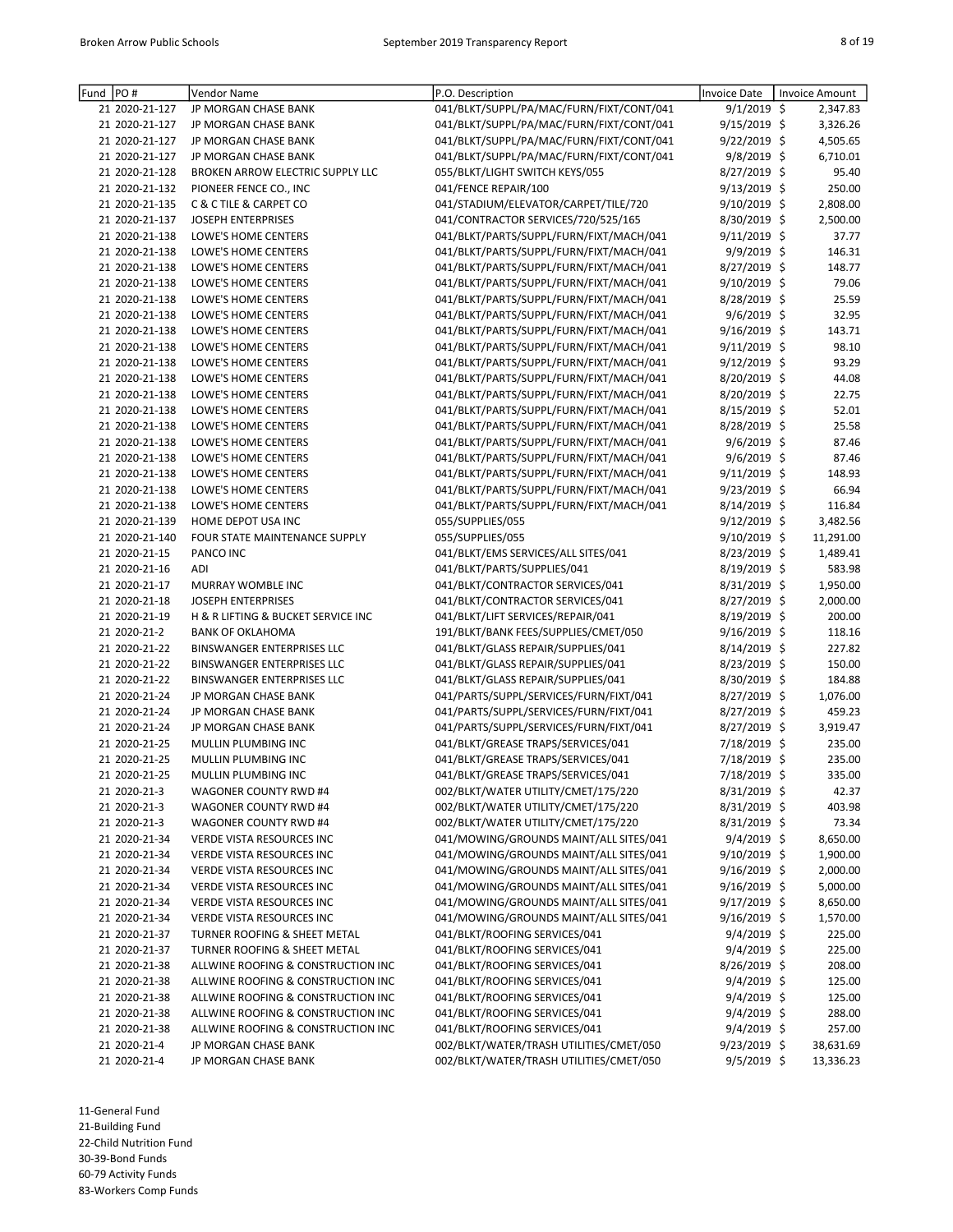| Fund | PO#            | Vendor Name                           | P.O. Description                         | <b>Invoice Date</b> | Invoice Amount |
|------|----------------|---------------------------------------|------------------------------------------|---------------------|----------------|
|      | 21 2020-21-127 | JP MORGAN CHASE BANK                  | 041/BLKT/SUPPL/PA/MAC/FURN/FIXT/CONT/041 | 9/1/2019 \$         | 2,347.83       |
|      | 21 2020-21-127 | JP MORGAN CHASE BANK                  | 041/BLKT/SUPPL/PA/MAC/FURN/FIXT/CONT/041 | 9/15/2019 \$        | 3,326.26       |
|      | 21 2020-21-127 | JP MORGAN CHASE BANK                  | 041/BLKT/SUPPL/PA/MAC/FURN/FIXT/CONT/041 | 9/22/2019 \$        | 4,505.65       |
|      | 21 2020-21-127 | JP MORGAN CHASE BANK                  | 041/BLKT/SUPPL/PA/MAC/FURN/FIXT/CONT/041 | 9/8/2019 \$         | 6,710.01       |
|      | 21 2020-21-128 | BROKEN ARROW ELECTRIC SUPPLY LLC      | 055/BLKT/LIGHT SWITCH KEYS/055           | 8/27/2019 \$        | 95.40          |
|      | 21 2020-21-132 | PIONEER FENCE CO., INC                | 041/FENCE REPAIR/100                     | 9/13/2019 \$        | 250.00         |
|      | 21 2020-21-135 | <b>C &amp; C TILE &amp; CARPET CO</b> | 041/STADIUM/ELEVATOR/CARPET/TILE/720     | $9/10/2019$ \$      | 2,808.00       |
|      | 21 2020-21-137 | <b>JOSEPH ENTERPRISES</b>             | 041/CONTRACTOR SERVICES/720/525/165      | 8/30/2019 \$        | 2,500.00       |
|      | 21 2020-21-138 | LOWE'S HOME CENTERS                   | 041/BLKT/PARTS/SUPPL/FURN/FIXT/MACH/041  | 9/11/2019 \$        | 37.77          |
|      | 21 2020-21-138 | LOWE'S HOME CENTERS                   | 041/BLKT/PARTS/SUPPL/FURN/FIXT/MACH/041  | 9/9/2019 \$         | 146.31         |
|      | 21 2020-21-138 | LOWE'S HOME CENTERS                   | 041/BLKT/PARTS/SUPPL/FURN/FIXT/MACH/041  | 8/27/2019 \$        | 148.77         |
|      | 21 2020-21-138 | LOWE'S HOME CENTERS                   | 041/BLKT/PARTS/SUPPL/FURN/FIXT/MACH/041  | $9/10/2019$ \$      | 79.06          |
|      |                |                                       | 041/BLKT/PARTS/SUPPL/FURN/FIXT/MACH/041  |                     |                |
|      | 21 2020-21-138 | LOWE'S HOME CENTERS                   |                                          | 8/28/2019 \$        | 25.59          |
|      | 21 2020-21-138 | LOWE'S HOME CENTERS                   | 041/BLKT/PARTS/SUPPL/FURN/FIXT/MACH/041  | $9/6/2019$ \$       | 32.95          |
|      | 21 2020-21-138 | LOWE'S HOME CENTERS                   | 041/BLKT/PARTS/SUPPL/FURN/FIXT/MACH/041  | 9/16/2019 \$        | 143.71         |
|      | 21 2020-21-138 | LOWE'S HOME CENTERS                   | 041/BLKT/PARTS/SUPPL/FURN/FIXT/MACH/041  | $9/11/2019$ \$      | 98.10          |
|      | 21 2020-21-138 | LOWE'S HOME CENTERS                   | 041/BLKT/PARTS/SUPPL/FURN/FIXT/MACH/041  | 9/12/2019 \$        | 93.29          |
|      | 21 2020-21-138 | LOWE'S HOME CENTERS                   | 041/BLKT/PARTS/SUPPL/FURN/FIXT/MACH/041  | 8/20/2019 \$        | 44.08          |
|      | 21 2020-21-138 | LOWE'S HOME CENTERS                   | 041/BLKT/PARTS/SUPPL/FURN/FIXT/MACH/041  | 8/20/2019 \$        | 22.75          |
|      | 21 2020-21-138 | LOWE'S HOME CENTERS                   | 041/BLKT/PARTS/SUPPL/FURN/FIXT/MACH/041  | 8/15/2019 \$        | 52.01          |
|      | 21 2020-21-138 | LOWE'S HOME CENTERS                   | 041/BLKT/PARTS/SUPPL/FURN/FIXT/MACH/041  | 8/28/2019 \$        | 25.58          |
|      | 21 2020-21-138 | LOWE'S HOME CENTERS                   | 041/BLKT/PARTS/SUPPL/FURN/FIXT/MACH/041  | $9/6/2019$ \$       | 87.46          |
|      | 21 2020-21-138 | LOWE'S HOME CENTERS                   | 041/BLKT/PARTS/SUPPL/FURN/FIXT/MACH/041  | $9/6/2019$ \$       | 87.46          |
|      | 21 2020-21-138 | LOWE'S HOME CENTERS                   | 041/BLKT/PARTS/SUPPL/FURN/FIXT/MACH/041  | $9/11/2019$ \$      | 148.93         |
|      | 21 2020-21-138 | LOWE'S HOME CENTERS                   | 041/BLKT/PARTS/SUPPL/FURN/FIXT/MACH/041  | 9/23/2019 \$        | 66.94          |
|      | 21 2020-21-138 | LOWE'S HOME CENTERS                   | 041/BLKT/PARTS/SUPPL/FURN/FIXT/MACH/041  | 8/14/2019 \$        | 116.84         |
|      | 21 2020-21-139 | HOME DEPOT USA INC                    | 055/SUPPLIES/055                         | 9/12/2019 \$        | 3,482.56       |
|      | 21 2020-21-140 | FOUR STATE MAINTENANCE SUPPLY         | 055/SUPPLIES/055                         | 9/10/2019 \$        | 11,291.00      |
|      | 21 2020-21-15  | PANCO INC                             | 041/BLKT/EMS SERVICES/ALL SITES/041      | 8/23/2019 \$        | 1,489.41       |
|      | 21 2020-21-16  | <b>ADI</b>                            | 041/BLKT/PARTS/SUPPLIES/041              | 8/19/2019 \$        | 583.98         |
|      | 21 2020-21-17  | MURRAY WOMBLE INC                     | 041/BLKT/CONTRACTOR SERVICES/041         | 8/31/2019 \$        | 1,950.00       |
|      | 21 2020-21-18  | <b>JOSEPH ENTERPRISES</b>             | 041/BLKT/CONTRACTOR SERVICES/041         | 8/27/2019 \$        | 2,000.00       |
|      | 21 2020-21-19  | H & R LIFTING & BUCKET SERVICE INC    | 041/BLKT/LIFT SERVICES/REPAIR/041        | 8/19/2019 \$        | 200.00         |
|      | 21 2020-21-2   | <b>BANK OF OKLAHOMA</b>               | 191/BLKT/BANK FEES/SUPPLIES/CMET/050     | $9/16/2019$ \$      | 118.16         |
|      | 21 2020-21-22  | BINSWANGER ENTERPRISES LLC            | 041/BLKT/GLASS REPAIR/SUPPLIES/041       | 8/14/2019 \$        | 227.82         |
|      | 21 2020-21-22  | <b>BINSWANGER ENTERPRISES LLC</b>     | 041/BLKT/GLASS REPAIR/SUPPLIES/041       | 8/23/2019 \$        | 150.00         |
|      | 21 2020-21-22  | <b>BINSWANGER ENTERPRISES LLC</b>     | 041/BLKT/GLASS REPAIR/SUPPLIES/041       | 8/30/2019 \$        | 184.88         |
|      |                | JP MORGAN CHASE BANK                  |                                          |                     |                |
|      | 21 2020-21-24  |                                       | 041/PARTS/SUPPL/SERVICES/FURN/FIXT/041   | 8/27/2019 \$        | 1,076.00       |
|      | 21 2020-21-24  | JP MORGAN CHASE BANK                  | 041/PARTS/SUPPL/SERVICES/FURN/FIXT/041   | 8/27/2019 \$        | 459.23         |
|      | 21 2020-21-24  | JP MORGAN CHASE BANK                  | 041/PARTS/SUPPL/SERVICES/FURN/FIXT/041   | 8/27/2019 \$        | 3,919.47       |
|      | 21 2020-21-25  | MULLIN PLUMBING INC                   | 041/BLKT/GREASE TRAPS/SERVICES/041       | 7/18/2019 \$        | 235.00         |
|      | 21 2020-21-25  | <b>MULLIN PLUMBING INC</b>            | 041/BLKT/GREASE TRAPS/SERVICES/041       | 7/18/2019 \$        | 235.00         |
|      | 21 2020-21-25  | MULLIN PLUMBING INC                   | 041/BLKT/GREASE TRAPS/SERVICES/041       | 7/18/2019 \$        | 335.00         |
|      | 21 2020-21-3   | WAGONER COUNTY RWD #4                 | 002/BLKT/WATER UTILITY/CMET/175/220      | $8/31/2019$ \$      | 42.37          |
|      | 21 2020-21-3   | WAGONER COUNTY RWD #4                 | 002/BLKT/WATER UTILITY/CMET/175/220      | 8/31/2019 \$        | 403.98         |
|      | 21 2020-21-3   | WAGONER COUNTY RWD #4                 | 002/BLKT/WATER UTILITY/CMET/175/220      | 8/31/2019 \$        | 73.34          |
|      | 21 2020-21-34  | <b>VERDE VISTA RESOURCES INC</b>      | 041/MOWING/GROUNDS MAINT/ALL SITES/041   | 9/4/2019 \$         | 8,650.00       |
|      | 21 2020-21-34  | <b>VERDE VISTA RESOURCES INC</b>      | 041/MOWING/GROUNDS MAINT/ALL SITES/041   | $9/10/2019$ \$      | 1,900.00       |
|      | 21 2020-21-34  | VERDE VISTA RESOURCES INC             | 041/MOWING/GROUNDS MAINT/ALL SITES/041   | $9/16/2019$ \$      | 2,000.00       |
|      | 21 2020-21-34  | <b>VERDE VISTA RESOURCES INC</b>      | 041/MOWING/GROUNDS MAINT/ALL SITES/041   | $9/16/2019$ \$      | 5,000.00       |
|      | 21 2020-21-34  | <b>VERDE VISTA RESOURCES INC</b>      | 041/MOWING/GROUNDS MAINT/ALL SITES/041   | 9/17/2019 \$        | 8,650.00       |
|      | 21 2020-21-34  | <b>VERDE VISTA RESOURCES INC</b>      | 041/MOWING/GROUNDS MAINT/ALL SITES/041   | 9/16/2019 \$        | 1,570.00       |
|      | 21 2020-21-37  | TURNER ROOFING & SHEET METAL          | 041/BLKT/ROOFING SERVICES/041            | 9/4/2019 \$         | 225.00         |
|      | 21 2020-21-37  | TURNER ROOFING & SHEET METAL          | 041/BLKT/ROOFING SERVICES/041            | 9/4/2019 \$         | 225.00         |
|      | 21 2020-21-38  | ALLWINE ROOFING & CONSTRUCTION INC    | 041/BLKT/ROOFING SERVICES/041            | 8/26/2019 \$        | 208.00         |
|      | 21 2020-21-38  | ALLWINE ROOFING & CONSTRUCTION INC    | 041/BLKT/ROOFING SERVICES/041            | 9/4/2019 \$         | 125.00         |
|      | 21 2020-21-38  | ALLWINE ROOFING & CONSTRUCTION INC    | 041/BLKT/ROOFING SERVICES/041            | 9/4/2019 \$         | 125.00         |
|      | 21 2020-21-38  | ALLWINE ROOFING & CONSTRUCTION INC    | 041/BLKT/ROOFING SERVICES/041            | $9/4/2019$ \$       | 288.00         |
|      | 21 2020-21-38  | ALLWINE ROOFING & CONSTRUCTION INC    | 041/BLKT/ROOFING SERVICES/041            | 9/4/2019 \$         | 257.00         |
|      | 21 2020-21-4   | JP MORGAN CHASE BANK                  | 002/BLKT/WATER/TRASH UTILITIES/CMET/050  | 9/23/2019 \$        | 38,631.69      |
|      | 21 2020-21-4   | JP MORGAN CHASE BANK                  | 002/BLKT/WATER/TRASH UTILITIES/CMET/050  | 9/5/2019 \$         | 13,336.23      |
|      |                |                                       |                                          |                     |                |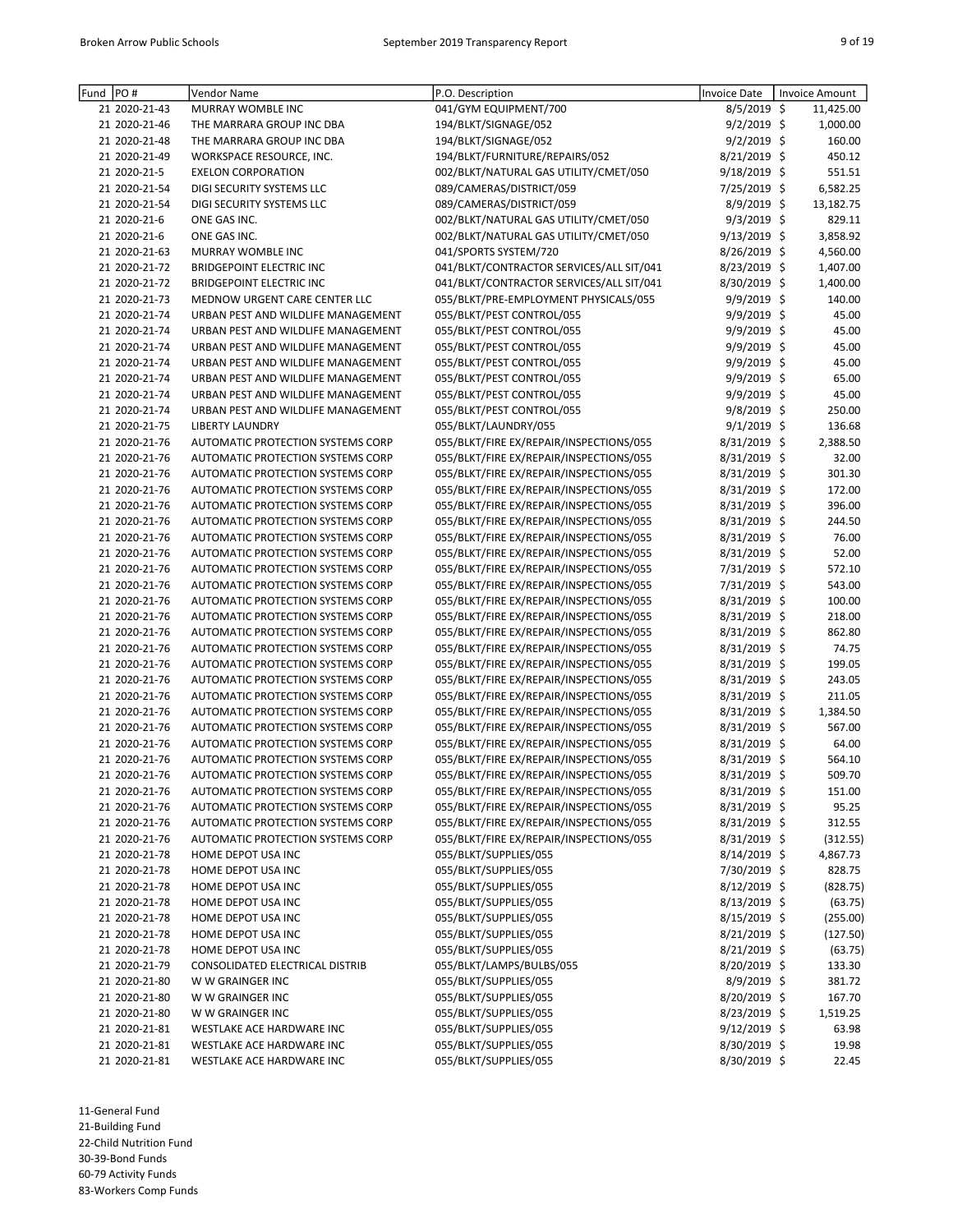| Fund | PO#                            | Vendor Name                                                                   | P.O. Description                                                                   | <b>Invoice Date</b>          | <b>Invoice Amount</b> |
|------|--------------------------------|-------------------------------------------------------------------------------|------------------------------------------------------------------------------------|------------------------------|-----------------------|
|      | 21 2020-21-43                  | MURRAY WOMBLE INC                                                             | 041/GYM EQUIPMENT/700                                                              | 8/5/2019 \$                  | 11,425.00             |
|      | 21 2020-21-46                  | THE MARRARA GROUP INC DBA                                                     | 194/BLKT/SIGNAGE/052                                                               | 9/2/2019 \$                  | 1,000.00              |
|      | 21 2020-21-48                  | THE MARRARA GROUP INC DBA                                                     | 194/BLKT/SIGNAGE/052                                                               | $9/2/2019$ \$                | 160.00                |
|      | 21 2020-21-49                  | WORKSPACE RESOURCE, INC.                                                      | 194/BLKT/FURNITURE/REPAIRS/052                                                     | 8/21/2019 \$                 | 450.12                |
|      | 21 2020-21-5                   | <b>EXELON CORPORATION</b>                                                     | 002/BLKT/NATURAL GAS UTILITY/CMET/050                                              | $9/18/2019$ \$               | 551.51                |
|      | 21 2020-21-54                  | DIGI SECURITY SYSTEMS LLC                                                     | 089/CAMERAS/DISTRICT/059                                                           | 7/25/2019 \$                 | 6,582.25              |
|      | 21 2020-21-54                  | DIGI SECURITY SYSTEMS LLC                                                     | 089/CAMERAS/DISTRICT/059                                                           | 8/9/2019 \$                  | 13,182.75             |
|      | 21 2020-21-6                   | ONE GAS INC.                                                                  | 002/BLKT/NATURAL GAS UTILITY/CMET/050                                              | $9/3/2019$ \$                | 829.11                |
|      | 21 2020-21-6                   | ONE GAS INC.                                                                  | 002/BLKT/NATURAL GAS UTILITY/CMET/050                                              | $9/13/2019$ \$               | 3,858.92              |
|      | 21 2020-21-63                  | MURRAY WOMBLE INC                                                             | 041/SPORTS SYSTEM/720                                                              | 8/26/2019 \$                 | 4,560.00              |
|      | 21 2020-21-72                  | <b>BRIDGEPOINT ELECTRIC INC</b>                                               | 041/BLKT/CONTRACTOR SERVICES/ALL SIT/041                                           | 8/23/2019 \$                 | 1,407.00              |
|      | 21 2020-21-72                  | <b>BRIDGEPOINT ELECTRIC INC</b>                                               | 041/BLKT/CONTRACTOR SERVICES/ALL SIT/041                                           | 8/30/2019 \$                 | 1,400.00              |
|      | 21 2020-21-73                  | <b>MEDNOW URGENT CARE CENTER LLC</b>                                          | 055/BLKT/PRE-EMPLOYMENT PHYSICALS/055                                              | 9/9/2019 \$                  | 140.00                |
|      | 21 2020-21-74                  | URBAN PEST AND WILDLIFE MANAGEMENT                                            | 055/BLKT/PEST CONTROL/055                                                          | 9/9/2019 \$                  | 45.00                 |
|      | 21 2020-21-74                  | URBAN PEST AND WILDLIFE MANAGEMENT                                            | 055/BLKT/PEST CONTROL/055                                                          | 9/9/2019 \$                  | 45.00                 |
|      | 21 2020-21-74                  | URBAN PEST AND WILDLIFE MANAGEMENT                                            | 055/BLKT/PEST CONTROL/055                                                          | $9/9/2019$ \$                | 45.00                 |
|      | 21 2020-21-74                  | URBAN PEST AND WILDLIFE MANAGEMENT                                            | 055/BLKT/PEST CONTROL/055                                                          | 9/9/2019 \$                  | 45.00                 |
|      | 21 2020-21-74                  | URBAN PEST AND WILDLIFE MANAGEMENT                                            | 055/BLKT/PEST CONTROL/055                                                          | 9/9/2019 \$                  | 65.00                 |
|      | 21 2020-21-74                  | URBAN PEST AND WILDLIFE MANAGEMENT                                            | 055/BLKT/PEST CONTROL/055                                                          | 9/9/2019 \$                  | 45.00                 |
|      | 21 2020-21-74                  | URBAN PEST AND WILDLIFE MANAGEMENT                                            | 055/BLKT/PEST CONTROL/055                                                          | 9/8/2019 \$                  | 250.00                |
|      | 21 2020-21-75                  | <b>LIBERTY LAUNDRY</b>                                                        | 055/BLKT/LAUNDRY/055                                                               | $9/1/2019$ \$                | 136.68                |
|      | 21 2020-21-76                  | AUTOMATIC PROTECTION SYSTEMS CORP                                             | 055/BLKT/FIRE EX/REPAIR/INSPECTIONS/055                                            | 8/31/2019 \$                 | 2,388.50              |
|      | 21 2020-21-76                  | AUTOMATIC PROTECTION SYSTEMS CORP                                             | 055/BLKT/FIRE EX/REPAIR/INSPECTIONS/055                                            | 8/31/2019 \$                 | 32.00                 |
|      | 21 2020-21-76                  | AUTOMATIC PROTECTION SYSTEMS CORP                                             | 055/BLKT/FIRE EX/REPAIR/INSPECTIONS/055                                            | 8/31/2019 \$                 | 301.30                |
|      | 21 2020-21-76                  | AUTOMATIC PROTECTION SYSTEMS CORP                                             | 055/BLKT/FIRE EX/REPAIR/INSPECTIONS/055                                            | 8/31/2019 \$                 | 172.00                |
|      | 21 2020-21-76                  | AUTOMATIC PROTECTION SYSTEMS CORP                                             | 055/BLKT/FIRE EX/REPAIR/INSPECTIONS/055                                            | 8/31/2019 \$                 | 396.00                |
|      | 21 2020-21-76                  | AUTOMATIC PROTECTION SYSTEMS CORP                                             | 055/BLKT/FIRE EX/REPAIR/INSPECTIONS/055                                            | 8/31/2019 \$                 | 244.50                |
|      | 21 2020-21-76                  | AUTOMATIC PROTECTION SYSTEMS CORP                                             | 055/BLKT/FIRE EX/REPAIR/INSPECTIONS/055                                            | 8/31/2019 \$                 | 76.00                 |
|      | 21 2020-21-76                  | AUTOMATIC PROTECTION SYSTEMS CORP                                             | 055/BLKT/FIRE EX/REPAIR/INSPECTIONS/055                                            | 8/31/2019 \$                 | 52.00                 |
|      | 21 2020-21-76                  | AUTOMATIC PROTECTION SYSTEMS CORP                                             | 055/BLKT/FIRE EX/REPAIR/INSPECTIONS/055                                            | 7/31/2019 \$                 | 572.10                |
|      | 21 2020-21-76                  | AUTOMATIC PROTECTION SYSTEMS CORP                                             | 055/BLKT/FIRE EX/REPAIR/INSPECTIONS/055                                            | 7/31/2019 \$                 | 543.00                |
|      | 21 2020-21-76                  | AUTOMATIC PROTECTION SYSTEMS CORP                                             | 055/BLKT/FIRE EX/REPAIR/INSPECTIONS/055                                            | 8/31/2019 \$                 | 100.00                |
|      | 21 2020-21-76                  | AUTOMATIC PROTECTION SYSTEMS CORP                                             | 055/BLKT/FIRE EX/REPAIR/INSPECTIONS/055                                            | 8/31/2019 \$                 | 218.00                |
|      | 21 2020-21-76                  | AUTOMATIC PROTECTION SYSTEMS CORP                                             | 055/BLKT/FIRE EX/REPAIR/INSPECTIONS/055                                            | 8/31/2019 \$                 | 862.80                |
|      | 21 2020-21-76                  | AUTOMATIC PROTECTION SYSTEMS CORP                                             |                                                                                    |                              | 74.75                 |
|      | 21 2020-21-76                  |                                                                               | 055/BLKT/FIRE EX/REPAIR/INSPECTIONS/055                                            | 8/31/2019 \$                 |                       |
|      | 21 2020-21-76                  | AUTOMATIC PROTECTION SYSTEMS CORP<br>AUTOMATIC PROTECTION SYSTEMS CORP        | 055/BLKT/FIRE EX/REPAIR/INSPECTIONS/055<br>055/BLKT/FIRE EX/REPAIR/INSPECTIONS/055 | 8/31/2019 \$<br>8/31/2019 \$ | 199.05<br>243.05      |
|      | 21 2020-21-76                  |                                                                               |                                                                                    |                              |                       |
|      |                                | AUTOMATIC PROTECTION SYSTEMS CORP<br>AUTOMATIC PROTECTION SYSTEMS CORP        | 055/BLKT/FIRE EX/REPAIR/INSPECTIONS/055                                            | 8/31/2019 \$                 | 211.05                |
|      | 21 2020-21-76                  |                                                                               | 055/BLKT/FIRE EX/REPAIR/INSPECTIONS/055                                            | 8/31/2019 \$                 | 1,384.50              |
|      | 21 2020-21-76                  | AUTOMATIC PROTECTION SYSTEMS CORP<br><b>AUTOMATIC PROTECTION SYSTEMS CORP</b> | 055/BLKT/FIRE EX/REPAIR/INSPECTIONS/055                                            | 8/31/2019 \$                 | 567.00                |
|      | 21 2020-21-76<br>21 2020-21-76 |                                                                               | 055/BLKT/FIRE EX/REPAIR/INSPECTIONS/055                                            | 8/31/2019 \$                 | 64.00                 |
|      |                                | AUTOMATIC PROTECTION SYSTEMS CORP                                             | 055/BLKT/FIRE EX/REPAIR/INSPECTIONS/055                                            | 8/31/2019 \$                 | 564.10                |
|      | 21 2020-21-76                  | AUTOMATIC PROTECTION SYSTEMS CORP                                             | 055/BLKT/FIRE EX/REPAIR/INSPECTIONS/055                                            | 8/31/2019 \$                 | 509.70                |
|      | 21 2020-21-76                  | AUTOMATIC PROTECTION SYSTEMS CORP                                             | 055/BLKT/FIRE EX/REPAIR/INSPECTIONS/055                                            | 8/31/2019 \$                 | 151.00                |
|      | 21 2020-21-76                  | AUTOMATIC PROTECTION SYSTEMS CORP                                             | 055/BLKT/FIRE EX/REPAIR/INSPECTIONS/055                                            | 8/31/2019 \$                 | 95.25                 |
|      | 21 2020-21-76                  | AUTOMATIC PROTECTION SYSTEMS CORP                                             | 055/BLKT/FIRE EX/REPAIR/INSPECTIONS/055                                            | 8/31/2019 \$                 | 312.55                |
|      | 21 2020-21-76                  | AUTOMATIC PROTECTION SYSTEMS CORP                                             | 055/BLKT/FIRE EX/REPAIR/INSPECTIONS/055                                            | 8/31/2019 \$                 | (312.55)              |
|      | 21 2020-21-78                  | HOME DEPOT USA INC                                                            | 055/BLKT/SUPPLIES/055                                                              | $8/14/2019$ \$               | 4,867.73              |
|      | 21 2020-21-78                  | HOME DEPOT USA INC                                                            | 055/BLKT/SUPPLIES/055                                                              | 7/30/2019 \$                 | 828.75                |
|      | 21 2020-21-78                  | HOME DEPOT USA INC                                                            | 055/BLKT/SUPPLIES/055                                                              | $8/12/2019$ \$               | (828.75)              |
|      | 21 2020-21-78                  | HOME DEPOT USA INC                                                            | 055/BLKT/SUPPLIES/055                                                              | 8/13/2019 \$                 | (63.75)               |
|      | 21 2020-21-78                  | HOME DEPOT USA INC                                                            | 055/BLKT/SUPPLIES/055                                                              | 8/15/2019 \$                 | (255.00)              |
|      | 21 2020-21-78                  | HOME DEPOT USA INC                                                            | 055/BLKT/SUPPLIES/055                                                              | 8/21/2019 \$                 | (127.50)              |
|      | 21 2020-21-78                  | HOME DEPOT USA INC                                                            | 055/BLKT/SUPPLIES/055                                                              | 8/21/2019 \$                 | (63.75)               |
|      | 21 2020-21-79                  | CONSOLIDATED ELECTRICAL DISTRIB                                               | 055/BLKT/LAMPS/BULBS/055                                                           | 8/20/2019 \$                 | 133.30                |
|      | 21 2020-21-80                  | W W GRAINGER INC                                                              | 055/BLKT/SUPPLIES/055                                                              | $8/9/2019$ \$                | 381.72                |
|      | 21 2020-21-80                  | W W GRAINGER INC                                                              | 055/BLKT/SUPPLIES/055                                                              | 8/20/2019 \$                 | 167.70                |
|      | 21 2020-21-80                  | W W GRAINGER INC                                                              | 055/BLKT/SUPPLIES/055                                                              | $8/23/2019$ \$               | 1,519.25              |
|      | 21 2020-21-81                  | WESTLAKE ACE HARDWARE INC                                                     | 055/BLKT/SUPPLIES/055                                                              | $9/12/2019$ \$               | 63.98                 |
|      | 21 2020-21-81                  | WESTLAKE ACE HARDWARE INC                                                     | 055/BLKT/SUPPLIES/055                                                              | $8/30/2019$ \$               | 19.98                 |
|      | 21 2020-21-81                  | WESTLAKE ACE HARDWARE INC                                                     | 055/BLKT/SUPPLIES/055                                                              | 8/30/2019 \$                 | 22.45                 |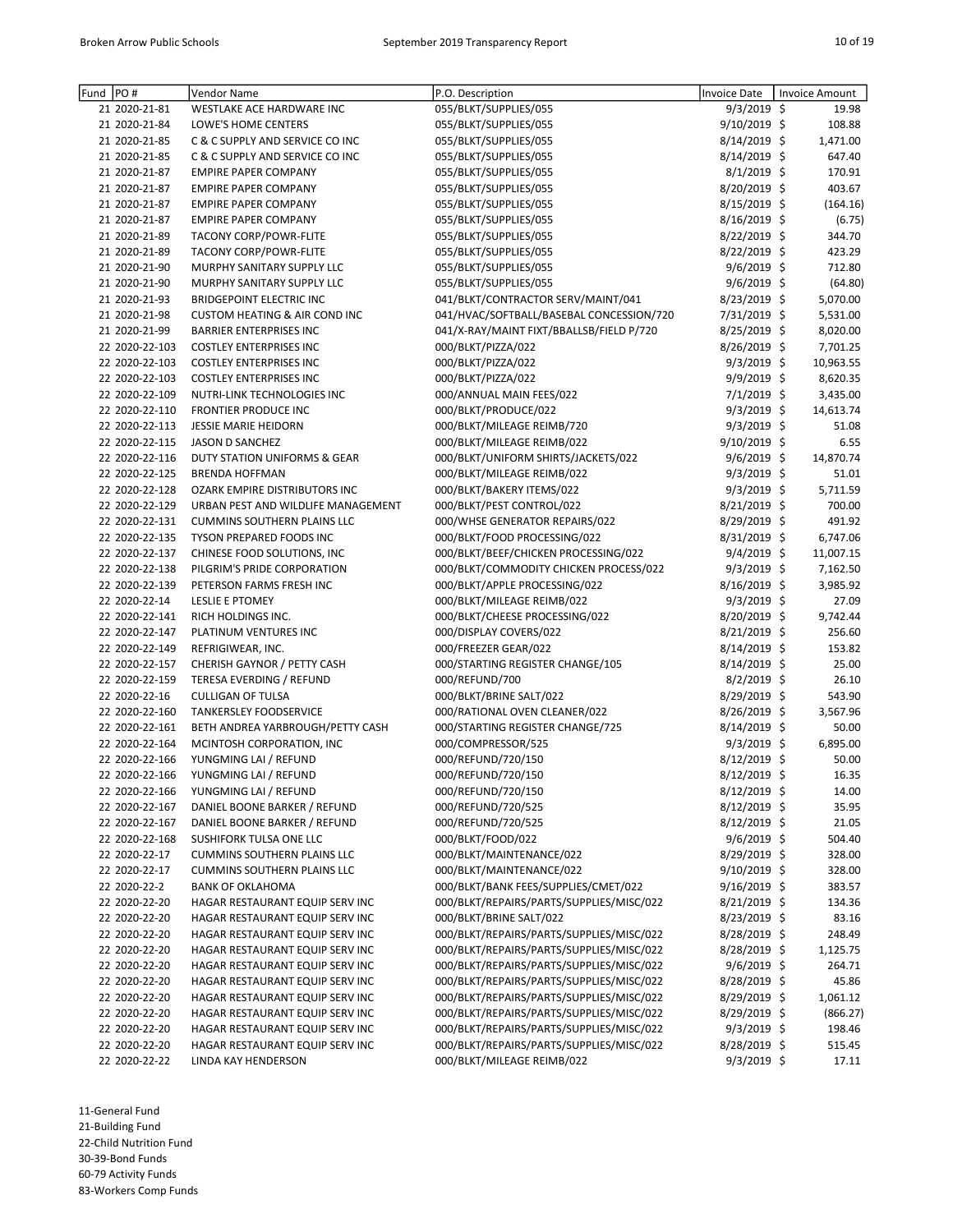| Fund | PO#            | Vendor Name                              | P.O. Description                                            | <b>Invoice Date</b> | Invoice Amount |          |
|------|----------------|------------------------------------------|-------------------------------------------------------------|---------------------|----------------|----------|
|      | 21 2020-21-81  | WESTLAKE ACE HARDWARE INC                | 055/BLKT/SUPPLIES/055                                       | $9/3/2019$ \$       |                | 19.98    |
|      | 21 2020-21-84  | <b>LOWE'S HOME CENTERS</b>               | 055/BLKT/SUPPLIES/055                                       | 9/10/2019 \$        |                | 108.88   |
|      | 21 2020-21-85  | C & C SUPPLY AND SERVICE CO INC          | 055/BLKT/SUPPLIES/055                                       | 8/14/2019 \$        |                | 1,471.00 |
|      | 21 2020-21-85  | C & C SUPPLY AND SERVICE CO INC          | 055/BLKT/SUPPLIES/055                                       | 8/14/2019 \$        |                | 647.40   |
|      | 21 2020-21-87  | <b>EMPIRE PAPER COMPANY</b>              | 055/BLKT/SUPPLIES/055                                       | $8/1/2019$ \$       |                | 170.91   |
|      | 21 2020-21-87  | <b>EMPIRE PAPER COMPANY</b>              | 055/BLKT/SUPPLIES/055                                       | 8/20/2019 \$        |                | 403.67   |
|      | 21 2020-21-87  | <b>EMPIRE PAPER COMPANY</b>              | 055/BLKT/SUPPLIES/055                                       | 8/15/2019 \$        |                | (164.16) |
|      | 21 2020-21-87  | <b>EMPIRE PAPER COMPANY</b>              | 055/BLKT/SUPPLIES/055                                       | 8/16/2019 \$        |                | (6.75)   |
|      | 21 2020-21-89  | <b>TACONY CORP/POWR-FLITE</b>            | 055/BLKT/SUPPLIES/055                                       | 8/22/2019 \$        |                | 344.70   |
|      | 21 2020-21-89  | <b>TACONY CORP/POWR-FLITE</b>            | 055/BLKT/SUPPLIES/055                                       | 8/22/2019 \$        |                | 423.29   |
|      | 21 2020-21-90  | MURPHY SANITARY SUPPLY LLC               | 055/BLKT/SUPPLIES/055                                       | $9/6/2019$ \$       |                | 712.80   |
|      | 21 2020-21-90  |                                          |                                                             |                     |                |          |
|      |                | MURPHY SANITARY SUPPLY LLC               | 055/BLKT/SUPPLIES/055<br>041/BLKT/CONTRACTOR SERV/MAINT/041 | $9/6/2019$ \$       |                | (64.80)  |
|      | 21 2020-21-93  | <b>BRIDGEPOINT ELECTRIC INC</b>          |                                                             | 8/23/2019 \$        |                | 5,070.00 |
|      | 21 2020-21-98  | <b>CUSTOM HEATING &amp; AIR COND INC</b> | 041/HVAC/SOFTBALL/BASEBAL CONCESSION/720                    | 7/31/2019 \$        |                | 5,531.00 |
|      | 21 2020-21-99  | <b>BARRIER ENTERPRISES INC</b>           | 041/X-RAY/MAINT FIXT/BBALLSB/FIELD P/720                    | $8/25/2019$ \$      |                | 8,020.00 |
|      | 22 2020-22-103 | <b>COSTLEY ENTERPRISES INC</b>           | 000/BLKT/PIZZA/022                                          | 8/26/2019 \$        |                | 7,701.25 |
|      | 22 2020-22-103 | <b>COSTLEY ENTERPRISES INC</b>           | 000/BLKT/PIZZA/022                                          | $9/3/2019$ \$       | 10,963.55      |          |
|      | 22 2020-22-103 | <b>COSTLEY ENTERPRISES INC</b>           | 000/BLKT/PIZZA/022                                          | 9/9/2019 \$         |                | 8,620.35 |
|      | 22 2020-22-109 | NUTRI-LINK TECHNOLOGIES INC              | 000/ANNUAL MAIN FEES/022                                    | $7/1/2019$ \$       |                | 3,435.00 |
|      | 22 2020-22-110 | <b>FRONTIER PRODUCE INC</b>              | 000/BLKT/PRODUCE/022                                        | $9/3/2019$ \$       | 14,613.74      |          |
|      | 22 2020-22-113 | <b>JESSIE MARIE HEIDORN</b>              | 000/BLKT/MILEAGE REIMB/720                                  | $9/3/2019$ \$       |                | 51.08    |
|      | 22 2020-22-115 | <b>JASON D SANCHEZ</b>                   | 000/BLKT/MILEAGE REIMB/022                                  | 9/10/2019 \$        |                | 6.55     |
|      | 22 2020-22-116 | DUTY STATION UNIFORMS & GEAR             | 000/BLKT/UNIFORM SHIRTS/JACKETS/022                         | $9/6/2019$ \$       | 14,870.74      |          |
|      | 22 2020-22-125 | <b>BRENDA HOFFMAN</b>                    | 000/BLKT/MILEAGE REIMB/022                                  | $9/3/2019$ \$       |                | 51.01    |
|      | 22 2020-22-128 | OZARK EMPIRE DISTRIBUTORS INC            | 000/BLKT/BAKERY ITEMS/022                                   | $9/3/2019$ \$       |                | 5,711.59 |
|      | 22 2020-22-129 | URBAN PEST AND WILDLIFE MANAGEMENT       | 000/BLKT/PEST CONTROL/022                                   | 8/21/2019 \$        |                | 700.00   |
|      | 22 2020-22-131 | <b>CUMMINS SOUTHERN PLAINS LLC</b>       | 000/WHSE GENERATOR REPAIRS/022                              | 8/29/2019 \$        |                | 491.92   |
|      | 22 2020-22-135 | TYSON PREPARED FOODS INC                 | 000/BLKT/FOOD PROCESSING/022                                | 8/31/2019 \$        |                | 6,747.06 |
|      | 22 2020-22-137 | CHINESE FOOD SOLUTIONS, INC              | 000/BLKT/BEEF/CHICKEN PROCESSING/022                        | $9/4/2019$ \$       | 11,007.15      |          |
|      | 22 2020-22-138 | PILGRIM'S PRIDE CORPORATION              | 000/BLKT/COMMODITY CHICKEN PROCESS/022                      | 9/3/2019 \$         |                | 7,162.50 |
|      | 22 2020-22-139 | PETERSON FARMS FRESH INC                 | 000/BLKT/APPLE PROCESSING/022                               | $8/16/2019$ \$      |                | 3,985.92 |
|      | 22 2020-22-14  | <b>LESLIE E PTOMEY</b>                   | 000/BLKT/MILEAGE REIMB/022                                  | $9/3/2019$ \$       |                | 27.09    |
|      | 22 2020-22-141 | RICH HOLDINGS INC.                       | 000/BLKT/CHEESE PROCESSING/022                              | 8/20/2019 \$        |                | 9,742.44 |
|      | 22 2020-22-147 | PLATINUM VENTURES INC                    | 000/DISPLAY COVERS/022                                      | 8/21/2019 \$        |                | 256.60   |
|      | 22 2020-22-149 | REFRIGIWEAR, INC.                        | 000/FREEZER GEAR/022                                        |                     |                | 153.82   |
|      |                |                                          |                                                             | $8/14/2019$ \$      |                |          |
|      | 22 2020-22-157 | CHERISH GAYNOR / PETTY CASH              | 000/STARTING REGISTER CHANGE/105                            | 8/14/2019 \$        |                | 25.00    |
|      | 22 2020-22-159 | <b>TERESA EVERDING / REFUND</b>          | 000/REFUND/700                                              | $8/2/2019$ \$       |                | 26.10    |
|      | 22 2020-22-16  | <b>CULLIGAN OF TULSA</b>                 | 000/BLKT/BRINE SALT/022                                     | 8/29/2019 \$        |                | 543.90   |
|      | 22 2020-22-160 | <b>TANKERSLEY FOODSERVICE</b>            | 000/RATIONAL OVEN CLEANER/022                               | $8/26/2019$ \$      |                | 3,567.96 |
|      | 22 2020-22-161 | BETH ANDREA YARBROUGH/PETTY CASH         | 000/STARTING REGISTER CHANGE/725                            | 8/14/2019 \$        |                | 50.00    |
|      | 22 2020-22-164 | MCINTOSH CORPORATION, INC                | 000/COMPRESSOR/525                                          | $9/3/2019$ \$       |                | 6,895.00 |
|      | 22 2020-22-166 | YUNGMING LAI / REFUND                    | 000/REFUND/720/150                                          | 8/12/2019 \$        |                | 50.00    |
|      | 22 2020-22-166 | YUNGMING LAI / REFUND                    | 000/REFUND/720/150                                          | 8/12/2019 \$        |                | 16.35    |
|      | 22 2020-22-166 | YUNGMING LAI / REFUND                    | 000/REFUND/720/150                                          | 8/12/2019 \$        |                | 14.00    |
|      | 22 2020-22-167 | DANIEL BOONE BARKER / REFUND             | 000/REFUND/720/525                                          | 8/12/2019 \$        |                | 35.95    |
|      | 22 2020-22-167 | DANIEL BOONE BARKER / REFUND             | 000/REFUND/720/525                                          | 8/12/2019 \$        |                | 21.05    |
|      | 22 2020-22-168 | SUSHIFORK TULSA ONE LLC                  | 000/BLKT/FOOD/022                                           | $9/6/2019$ \$       |                | 504.40   |
|      | 22 2020-22-17  | <b>CUMMINS SOUTHERN PLAINS LLC</b>       | 000/BLKT/MAINTENANCE/022                                    | 8/29/2019 \$        |                | 328.00   |
|      | 22 2020-22-17  | <b>CUMMINS SOUTHERN PLAINS LLC</b>       | 000/BLKT/MAINTENANCE/022                                    | $9/10/2019$ \$      |                | 328.00   |
|      | 22 2020-22-2   | <b>BANK OF OKLAHOMA</b>                  | 000/BLKT/BANK FEES/SUPPLIES/CMET/022                        | $9/16/2019$ \$      |                | 383.57   |
|      | 22 2020-22-20  | HAGAR RESTAURANT EQUIP SERV INC          | 000/BLKT/REPAIRS/PARTS/SUPPLIES/MISC/022                    | 8/21/2019 \$        |                | 134.36   |
|      | 22 2020-22-20  | HAGAR RESTAURANT EQUIP SERV INC          | 000/BLKT/BRINE SALT/022                                     | $8/23/2019$ \$      |                | 83.16    |
|      | 22 2020-22-20  | HAGAR RESTAURANT EQUIP SERV INC          | 000/BLKT/REPAIRS/PARTS/SUPPLIES/MISC/022                    | 8/28/2019 \$        |                | 248.49   |
|      | 22 2020-22-20  | HAGAR RESTAURANT EQUIP SERV INC          | 000/BLKT/REPAIRS/PARTS/SUPPLIES/MISC/022                    | 8/28/2019 \$        |                | 1,125.75 |
|      | 22 2020-22-20  | HAGAR RESTAURANT EQUIP SERV INC          | 000/BLKT/REPAIRS/PARTS/SUPPLIES/MISC/022                    | $9/6/2019$ \$       |                | 264.71   |
|      | 22 2020-22-20  | HAGAR RESTAURANT EQUIP SERV INC          | 000/BLKT/REPAIRS/PARTS/SUPPLIES/MISC/022                    | 8/28/2019 \$        |                | 45.86    |
|      | 22 2020-22-20  | HAGAR RESTAURANT EQUIP SERV INC          | 000/BLKT/REPAIRS/PARTS/SUPPLIES/MISC/022                    | 8/29/2019 \$        |                | 1,061.12 |
|      | 22 2020-22-20  | HAGAR RESTAURANT EQUIP SERV INC          | 000/BLKT/REPAIRS/PARTS/SUPPLIES/MISC/022                    | 8/29/2019 \$        |                | (866.27) |
|      | 22 2020-22-20  | HAGAR RESTAURANT EQUIP SERV INC          | 000/BLKT/REPAIRS/PARTS/SUPPLIES/MISC/022                    | 9/3/2019 \$         |                | 198.46   |
|      |                |                                          |                                                             |                     |                |          |
|      | 22 2020-22-20  | HAGAR RESTAURANT EQUIP SERV INC          | 000/BLKT/REPAIRS/PARTS/SUPPLIES/MISC/022                    | 8/28/2019 \$        |                | 515.45   |
|      | 22 2020-22-22  | LINDA KAY HENDERSON                      | 000/BLKT/MILEAGE REIMB/022                                  | $9/3/2019$ \$       |                | 17.11    |

21-Building Fund

22-Child Nutrition Fund

30-39-Bond Funds

60-79 Activity Funds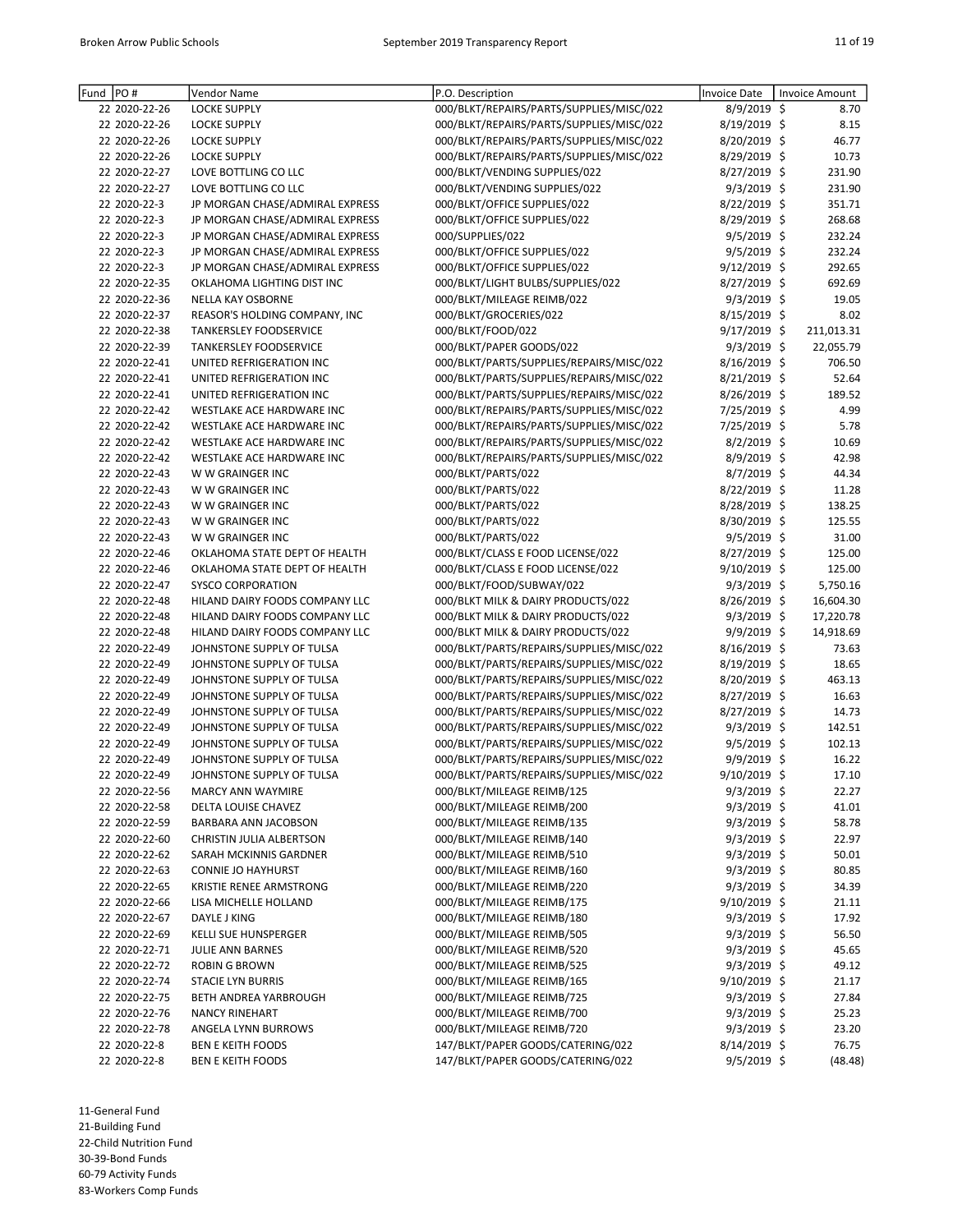| Fund | PO#           | Vendor Name                      | P.O. Description                         | Invoice Date   | <b>Invoice Amount</b> |
|------|---------------|----------------------------------|------------------------------------------|----------------|-----------------------|
|      | 22 2020-22-26 | <b>LOCKE SUPPLY</b>              | 000/BLKT/REPAIRS/PARTS/SUPPLIES/MISC/022 | 8/9/2019 \$    | 8.70                  |
|      | 22 2020-22-26 | <b>LOCKE SUPPLY</b>              | 000/BLKT/REPAIRS/PARTS/SUPPLIES/MISC/022 | 8/19/2019 \$   | 8.15                  |
|      | 22 2020-22-26 | <b>LOCKE SUPPLY</b>              | 000/BLKT/REPAIRS/PARTS/SUPPLIES/MISC/022 | 8/20/2019 \$   | 46.77                 |
|      | 22 2020-22-26 | <b>LOCKE SUPPLY</b>              | 000/BLKT/REPAIRS/PARTS/SUPPLIES/MISC/022 | 8/29/2019 \$   | 10.73                 |
|      | 22 2020-22-27 | LOVE BOTTLING CO LLC             | 000/BLKT/VENDING SUPPLIES/022            | 8/27/2019 \$   | 231.90                |
|      | 22 2020-22-27 | LOVE BOTTLING CO LLC             | 000/BLKT/VENDING SUPPLIES/022            | $9/3/2019$ \$  | 231.90                |
|      | 22 2020-22-3  | JP MORGAN CHASE/ADMIRAL EXPRESS  | 000/BLKT/OFFICE SUPPLIES/022             | 8/22/2019 \$   | 351.71                |
|      | 22 2020-22-3  | JP MORGAN CHASE/ADMIRAL EXPRESS  | 000/BLKT/OFFICE SUPPLIES/022             | 8/29/2019 \$   | 268.68                |
|      | 22 2020-22-3  | JP MORGAN CHASE/ADMIRAL EXPRESS  | 000/SUPPLIES/022                         | 9/5/2019 \$    | 232.24                |
|      | 22 2020-22-3  | JP MORGAN CHASE/ADMIRAL EXPRESS  | 000/BLKT/OFFICE SUPPLIES/022             | $9/5/2019$ \$  | 232.24                |
|      | 22 2020-22-3  | JP MORGAN CHASE/ADMIRAL EXPRESS  | 000/BLKT/OFFICE SUPPLIES/022             | $9/12/2019$ \$ | 292.65                |
|      | 22 2020-22-35 | OKLAHOMA LIGHTING DIST INC       | 000/BLKT/LIGHT BULBS/SUPPLIES/022        | 8/27/2019 \$   | 692.69                |
|      | 22 2020-22-36 | NELLA KAY OSBORNE                | 000/BLKT/MILEAGE REIMB/022               | 9/3/2019 \$    | 19.05                 |
|      | 22 2020-22-37 | REASOR'S HOLDING COMPANY, INC    | 000/BLKT/GROCERIES/022                   | 8/15/2019 \$   | 8.02                  |
|      | 22 2020-22-38 | TANKERSLEY FOODSERVICE           | 000/BLKT/FOOD/022                        | 9/17/2019 \$   | 211,013.31            |
|      | 22 2020-22-39 | <b>TANKERSLEY FOODSERVICE</b>    | 000/BLKT/PAPER GOODS/022                 | $9/3/2019$ \$  | 22,055.79             |
|      | 22 2020-22-41 | UNITED REFRIGERATION INC         | 000/BLKT/PARTS/SUPPLIES/REPAIRS/MISC/022 | $8/16/2019$ \$ | 706.50                |
|      | 22 2020-22-41 | UNITED REFRIGERATION INC         | 000/BLKT/PARTS/SUPPLIES/REPAIRS/MISC/022 | 8/21/2019 \$   | 52.64                 |
|      | 22 2020-22-41 | UNITED REFRIGERATION INC         | 000/BLKT/PARTS/SUPPLIES/REPAIRS/MISC/022 | 8/26/2019 \$   | 189.52                |
|      | 22 2020-22-42 | WESTLAKE ACE HARDWARE INC        | 000/BLKT/REPAIRS/PARTS/SUPPLIES/MISC/022 | 7/25/2019 \$   | 4.99                  |
|      | 22 2020-22-42 | WESTLAKE ACE HARDWARE INC        | 000/BLKT/REPAIRS/PARTS/SUPPLIES/MISC/022 | 7/25/2019 \$   | 5.78                  |
|      | 22 2020-22-42 | WESTLAKE ACE HARDWARE INC        | 000/BLKT/REPAIRS/PARTS/SUPPLIES/MISC/022 | $8/2/2019$ \$  | 10.69                 |
|      | 22 2020-22-42 | <b>WESTLAKE ACE HARDWARE INC</b> | 000/BLKT/REPAIRS/PARTS/SUPPLIES/MISC/022 | 8/9/2019 \$    | 42.98                 |
|      | 22 2020-22-43 | W W GRAINGER INC                 | 000/BLKT/PARTS/022                       | 8/7/2019 \$    | 44.34                 |
|      | 22 2020-22-43 | W W GRAINGER INC                 | 000/BLKT/PARTS/022                       | 8/22/2019 \$   | 11.28                 |
|      | 22 2020-22-43 | W W GRAINGER INC                 | 000/BLKT/PARTS/022                       | 8/28/2019 \$   | 138.25                |
|      | 22 2020-22-43 | W W GRAINGER INC                 | 000/BLKT/PARTS/022                       | 8/30/2019 \$   | 125.55                |
|      | 22 2020-22-43 | W W GRAINGER INC                 | 000/BLKT/PARTS/022                       | 9/5/2019 \$    | 31.00                 |
|      | 22 2020-22-46 | OKLAHOMA STATE DEPT OF HEALTH    | 000/BLKT/CLASS E FOOD LICENSE/022        | 8/27/2019 \$   | 125.00                |
|      | 22 2020-22-46 | OKLAHOMA STATE DEPT OF HEALTH    | 000/BLKT/CLASS E FOOD LICENSE/022        | $9/10/2019$ \$ | 125.00                |
|      | 22 2020-22-47 | <b>SYSCO CORPORATION</b>         | 000/BLKT/FOOD/SUBWAY/022                 | 9/3/2019 \$    | 5,750.16              |
|      | 22 2020-22-48 | HILAND DAIRY FOODS COMPANY LLC   | 000/BLKT MILK & DAIRY PRODUCTS/022       | 8/26/2019 \$   | 16,604.30             |
|      | 22 2020-22-48 | HILAND DAIRY FOODS COMPANY LLC   | 000/BLKT MILK & DAIRY PRODUCTS/022       | $9/3/2019$ \$  | 17,220.78             |
|      | 22 2020-22-48 | HILAND DAIRY FOODS COMPANY LLC   | 000/BLKT MILK & DAIRY PRODUCTS/022       | 9/9/2019 \$    | 14,918.69             |
|      | 22 2020-22-49 | JOHNSTONE SUPPLY OF TULSA        | 000/BLKT/PARTS/REPAIRS/SUPPLIES/MISC/022 | 8/16/2019 \$   | 73.63                 |
|      | 22 2020-22-49 | JOHNSTONE SUPPLY OF TULSA        | 000/BLKT/PARTS/REPAIRS/SUPPLIES/MISC/022 | 8/19/2019 \$   | 18.65                 |
|      | 22 2020-22-49 | JOHNSTONE SUPPLY OF TULSA        | 000/BLKT/PARTS/REPAIRS/SUPPLIES/MISC/022 | 8/20/2019 \$   | 463.13                |
|      | 22 2020-22-49 | JOHNSTONE SUPPLY OF TULSA        | 000/BLKT/PARTS/REPAIRS/SUPPLIES/MISC/022 | 8/27/2019 \$   | 16.63                 |
|      | 22 2020-22-49 | JOHNSTONE SUPPLY OF TULSA        | 000/BLKT/PARTS/REPAIRS/SUPPLIES/MISC/022 | 8/27/2019 \$   | 14.73                 |
|      | 22 2020-22-49 | JOHNSTONE SUPPLY OF TULSA        | 000/BLKT/PARTS/REPAIRS/SUPPLIES/MISC/022 | 9/3/2019 \$    | 142.51                |
|      | 22 2020-22-49 | JOHNSTONE SUPPLY OF TULSA        | 000/BLKT/PARTS/REPAIRS/SUPPLIES/MISC/022 | $9/5/2019$ \$  | 102.13                |
|      | 22 2020-22-49 | JOHNSTONE SUPPLY OF TULSA        | 000/BLKT/PARTS/REPAIRS/SUPPLIES/MISC/022 | $9/9/2019$ \$  | 16.22                 |
|      | 22 2020-22-49 | JOHNSTONE SUPPLY OF TULSA        | 000/BLKT/PARTS/REPAIRS/SUPPLIES/MISC/022 | 9/10/2019 \$   | 17.10                 |
|      | 22 2020-22-56 | <b>MARCY ANN WAYMIRE</b>         | 000/BLKT/MILEAGE REIMB/125               | 9/3/2019 \$    | 22.27                 |
|      | 22 2020-22-58 | DELTA LOUISE CHAVEZ              | 000/BLKT/MILEAGE REIMB/200               | $9/3/2019$ \$  | 41.01                 |
|      | 22 2020-22-59 | BARBARA ANN JACOBSON             | 000/BLKT/MILEAGE REIMB/135               | $9/3/2019$ \$  | 58.78                 |
|      | 22 2020-22-60 | CHRISTIN JULIA ALBERTSON         | 000/BLKT/MILEAGE REIMB/140               | $9/3/2019$ \$  | 22.97                 |
|      | 22 2020-22-62 | SARAH MCKINNIS GARDNER           | 000/BLKT/MILEAGE REIMB/510               | $9/3/2019$ \$  | 50.01                 |
|      | 22 2020-22-63 | <b>CONNIE JO HAYHURST</b>        | 000/BLKT/MILEAGE REIMB/160               | $9/3/2019$ \$  | 80.85                 |
|      | 22 2020-22-65 | KRISTIE RENEE ARMSTRONG          | 000/BLKT/MILEAGE REIMB/220               | $9/3/2019$ \$  | 34.39                 |
|      | 22 2020-22-66 | LISA MICHELLE HOLLAND            | 000/BLKT/MILEAGE REIMB/175               | $9/10/2019$ \$ | 21.11                 |
|      | 22 2020-22-67 | DAYLE J KING                     | 000/BLKT/MILEAGE REIMB/180               | $9/3/2019$ \$  | 17.92                 |
|      | 22 2020-22-69 | KELLI SUE HUNSPERGER             | 000/BLKT/MILEAGE REIMB/505               | $9/3/2019$ \$  | 56.50                 |
|      | 22 2020-22-71 | <b>JULIE ANN BARNES</b>          | 000/BLKT/MILEAGE REIMB/520               | $9/3/2019$ \$  | 45.65                 |
|      | 22 2020-22-72 | ROBIN G BROWN                    | 000/BLKT/MILEAGE REIMB/525               | $9/3/2019$ \$  | 49.12                 |
|      | 22 2020-22-74 | <b>STACIE LYN BURRIS</b>         | 000/BLKT/MILEAGE REIMB/165               | $9/10/2019$ \$ | 21.17                 |
|      | 22 2020-22-75 | BETH ANDREA YARBROUGH            | 000/BLKT/MILEAGE REIMB/725               | $9/3/2019$ \$  | 27.84                 |
|      | 22 2020-22-76 | <b>NANCY RINEHART</b>            | 000/BLKT/MILEAGE REIMB/700               | $9/3/2019$ \$  | 25.23                 |
|      | 22 2020-22-78 | ANGELA LYNN BURROWS              | 000/BLKT/MILEAGE REIMB/720               | $9/3/2019$ \$  | 23.20                 |
|      | 22 2020-22-8  | <b>BEN E KEITH FOODS</b>         | 147/BLKT/PAPER GOODS/CATERING/022        | 8/14/2019 \$   | 76.75                 |
|      | 22 2020-22-8  | <b>BEN E KEITH FOODS</b>         | 147/BLKT/PAPER GOODS/CATERING/022        | 9/5/2019 \$    | (48.48)               |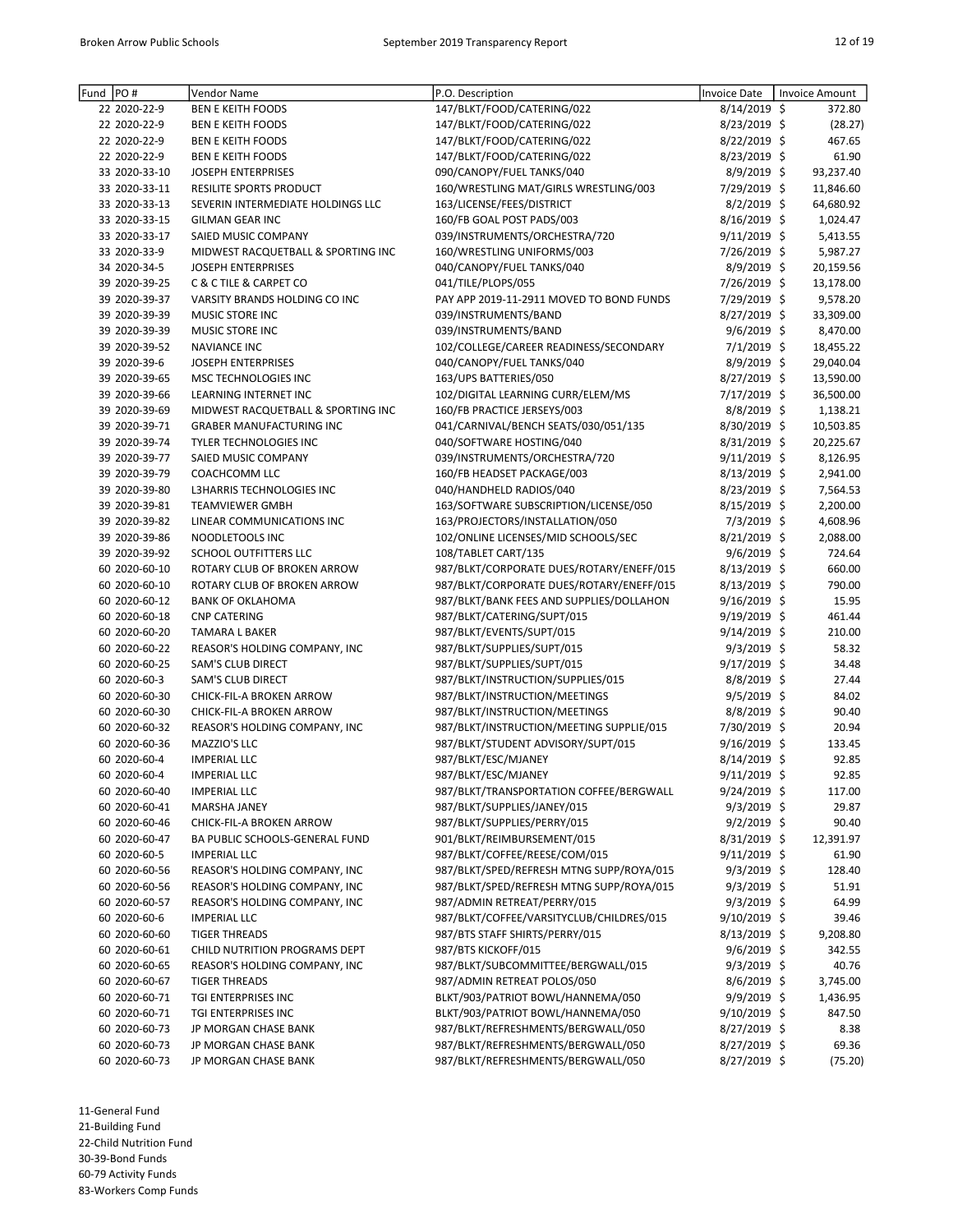| Fund | PO#                            | Vendor Name                                                    | P.O. Description                                                          | <b>Invoice Date</b>             | Invoice Amount    |
|------|--------------------------------|----------------------------------------------------------------|---------------------------------------------------------------------------|---------------------------------|-------------------|
|      | 22 2020-22-9                   | <b>BEN E KEITH FOODS</b>                                       | 147/BLKT/FOOD/CATERING/022                                                | 8/14/2019 \$                    | 372.80            |
|      | 22 2020-22-9                   | <b>BEN E KEITH FOODS</b>                                       | 147/BLKT/FOOD/CATERING/022                                                | 8/23/2019 \$                    | (28.27)           |
|      | 22 2020-22-9                   | <b>BEN E KEITH FOODS</b>                                       | 147/BLKT/FOOD/CATERING/022                                                | 8/22/2019 \$                    | 467.65            |
|      | 22 2020-22-9                   | <b>BEN E KEITH FOODS</b>                                       | 147/BLKT/FOOD/CATERING/022                                                | 8/23/2019 \$                    | 61.90             |
|      | 33 2020-33-10                  | JOSEPH ENTERPRISES                                             | 090/CANOPY/FUEL TANKS/040                                                 | $8/9/2019$ \$                   | 93,237.40         |
|      | 33 2020-33-11                  | RESILITE SPORTS PRODUCT                                        | 160/WRESTLING MAT/GIRLS WRESTLING/003                                     | 7/29/2019 \$                    | 11,846.60         |
|      | 33 2020-33-13                  | SEVERIN INTERMEDIATE HOLDINGS LLC                              | 163/LICENSE/FEES/DISTRICT                                                 | $8/2/2019$ \$                   | 64,680.92         |
|      | 33 2020-33-15                  | <b>GILMAN GEAR INC</b>                                         | 160/FB GOAL POST PADS/003                                                 | 8/16/2019 \$                    | 1,024.47          |
|      | 33 2020-33-17                  | SAIED MUSIC COMPANY                                            | 039/INSTRUMENTS/ORCHESTRA/720                                             | 9/11/2019 \$                    | 5,413.55          |
|      | 33 2020-33-9                   | MIDWEST RACQUETBALL & SPORTING INC                             | 160/WRESTLING UNIFORMS/003                                                | 7/26/2019 \$                    | 5,987.27          |
|      | 34 2020-34-5                   | <b>JOSEPH ENTERPRISES</b>                                      | 040/CANOPY/FUEL TANKS/040                                                 | 8/9/2019 \$                     | 20,159.56         |
|      | 39 2020-39-25                  | <b>C &amp; C TILE &amp; CARPET CO</b>                          | 041/TILE/PLOPS/055                                                        | 7/26/2019 \$                    | 13,178.00         |
|      | 39 2020-39-37                  | VARSITY BRANDS HOLDING CO INC                                  | PAY APP 2019-11-2911 MOVED TO BOND FUNDS                                  | 7/29/2019 \$                    | 9,578.20          |
|      | 39 2020-39-39                  | MUSIC STORE INC                                                | 039/INSTRUMENTS/BAND                                                      | 8/27/2019 \$                    | 33,309.00         |
|      | 39 2020-39-39                  | MUSIC STORE INC                                                | 039/INSTRUMENTS/BAND                                                      | $9/6/2019$ \$                   | 8,470.00          |
|      | 39 2020-39-52                  | <b>NAVIANCE INC</b>                                            | 102/COLLEGE/CAREER READINESS/SECONDARY                                    | 7/1/2019 \$                     | 18,455.22         |
|      | 39 2020-39-6                   | <b>JOSEPH ENTERPRISES</b>                                      | 040/CANOPY/FUEL TANKS/040                                                 | 8/9/2019 \$                     | 29,040.04         |
|      | 39 2020-39-65                  | MSC TECHNOLOGIES INC                                           | 163/UPS BATTERIES/050                                                     | 8/27/2019 \$                    | 13,590.00         |
|      | 39 2020-39-66                  | LEARNING INTERNET INC                                          | 102/DIGITAL LEARNING CURR/ELEM/MS                                         | 7/17/2019 \$                    | 36,500.00         |
|      | 39 2020-39-69                  | MIDWEST RACQUETBALL & SPORTING INC                             | 160/FB PRACTICE JERSEYS/003                                               | 8/8/2019 \$                     | 1,138.21          |
|      | 39 2020-39-71                  | <b>GRABER MANUFACTURING INC</b>                                | 041/CARNIVAL/BENCH SEATS/030/051/135                                      | 8/30/2019 \$                    | 10,503.85         |
|      | 39 2020-39-74                  | <b>TYLER TECHNOLOGIES INC</b>                                  | 040/SOFTWARE HOSTING/040                                                  | $8/31/2019$ \$                  | 20,225.67         |
|      | 39 2020-39-77                  | SAIED MUSIC COMPANY                                            | 039/INSTRUMENTS/ORCHESTRA/720                                             | 9/11/2019 \$                    | 8,126.95          |
|      | 39 2020-39-79                  | COACHCOMM LLC                                                  | 160/FB HEADSET PACKAGE/003                                                | 8/13/2019 \$                    | 2,941.00          |
|      | 39 2020-39-80                  | L3HARRIS TECHNOLOGIES INC                                      | 040/HANDHELD RADIOS/040                                                   | $8/23/2019$ \$                  | 7,564.53          |
|      | 39 2020-39-81                  | <b>TEAMVIEWER GMBH</b>                                         | 163/SOFTWARE SUBSCRIPTION/LICENSE/050                                     | 8/15/2019 \$                    | 2,200.00          |
|      | 39 2020-39-82                  | LINEAR COMMUNICATIONS INC                                      | 163/PROJECTORS/INSTALLATION/050                                           | 7/3/2019 \$                     | 4,608.96          |
|      | 39 2020-39-86                  | NOODLETOOLS INC                                                | 102/ONLINE LICENSES/MID SCHOOLS/SEC                                       | 8/21/2019 \$                    | 2,088.00          |
|      | 39 2020-39-92                  | SCHOOL OUTFITTERS LLC                                          | 108/TABLET CART/135                                                       | $9/6/2019$ \$                   | 724.64            |
|      | 60 2020-60-10                  | ROTARY CLUB OF BROKEN ARROW                                    | 987/BLKT/CORPORATE DUES/ROTARY/ENEFF/015                                  | $8/13/2019$ \$                  | 660.00            |
|      | 60 2020-60-10                  | ROTARY CLUB OF BROKEN ARROW                                    | 987/BLKT/CORPORATE DUES/ROTARY/ENEFF/015                                  | 8/13/2019 \$                    | 790.00            |
|      | 60 2020-60-12                  | <b>BANK OF OKLAHOMA</b>                                        | 987/BLKT/BANK FEES AND SUPPLIES/DOLLAHON                                  | $9/16/2019$ \$                  | 15.95             |
|      | 60 2020-60-18                  | <b>CNP CATERING</b>                                            | 987/BLKT/CATERING/SUPT/015                                                | 9/19/2019 \$                    | 461.44            |
|      | 60 2020-60-20                  | <b>TAMARA L BAKER</b>                                          | 987/BLKT/EVENTS/SUPT/015                                                  | 9/14/2019 \$                    | 210.00            |
|      | 60 2020-60-22                  | REASOR'S HOLDING COMPANY, INC                                  | 987/BLKT/SUPPLIES/SUPT/015                                                | $9/3/2019$ \$                   | 58.32             |
|      | 60 2020-60-25                  | SAM'S CLUB DIRECT                                              | 987/BLKT/SUPPLIES/SUPT/015                                                | 9/17/2019 \$                    | 34.48             |
|      | 60 2020-60-3                   | <b>SAM'S CLUB DIRECT</b>                                       | 987/BLKT/INSTRUCTION/SUPPLIES/015                                         | 8/8/2019 \$                     | 27.44             |
|      | 60 2020-60-30                  | CHICK-FIL-A BROKEN ARROW                                       | 987/BLKT/INSTRUCTION/MEETINGS                                             | $9/5/2019$ \$                   | 84.02             |
|      | 60 2020-60-30                  | CHICK-FIL-A BROKEN ARROW                                       | 987/BLKT/INSTRUCTION/MEETINGS                                             | 8/8/2019 \$                     | 90.40             |
|      | 60 2020-60-32                  | REASOR'S HOLDING COMPANY, INC                                  | 987/BLKT/INSTRUCTION/MEETING SUPPLIE/015                                  | 7/30/2019 \$                    | 20.94             |
|      | 60 2020-60-36                  | MAZZIO'S LLC                                                   | 987/BLKT/STUDENT ADVISORY/SUPT/015                                        | $9/16/2019$ \$                  | 133.45            |
|      | 60 2020-60-4                   | <b>IMPERIAL LLC</b>                                            | 987/BLKT/ESC/MJANEY                                                       | 8/14/2019 \$                    | 92.85             |
|      | 60 2020-60-4                   | <b>IMPERIAL LLC</b>                                            | 987/BLKT/ESC/MJANEY                                                       | 9/11/2019 \$                    | 92.85             |
|      | 60 2020-60-40                  | <b>IMPERIAL LLC</b>                                            | 987/BLKT/TRANSPORTATION COFFEE/BERGWALL                                   | 9/24/2019 \$                    | 117.00            |
|      | 60 2020-60-41                  | MARSHA JANEY                                                   | 987/BLKT/SUPPLIES/JANEY/015                                               | $9/3/2019$ \$                   | 29.87             |
|      | 60 2020-60-46                  | CHICK-FIL-A BROKEN ARROW                                       | 987/BLKT/SUPPLIES/PERRY/015                                               | $9/2/2019$ \$                   | 90.40             |
|      | 60 2020-60-47                  | BA PUBLIC SCHOOLS-GENERAL FUND                                 | 901/BLKT/REIMBURSEMENT/015                                                | 8/31/2019 \$                    | 12,391.97         |
|      | 60 2020-60-5                   | <b>IMPERIAL LLC</b>                                            | 987/BLKT/COFFEE/REESE/COM/015<br>987/BLKT/SPED/REFRESH MTNG SUPP/ROYA/015 | 9/11/2019 \$<br>$9/3/2019$ \$   | 61.90             |
|      | 60 2020-60-56<br>60 2020-60-56 | REASOR'S HOLDING COMPANY, INC<br>REASOR'S HOLDING COMPANY, INC |                                                                           |                                 | 128.40            |
|      |                                |                                                                | 987/BLKT/SPED/REFRESH MTNG SUPP/ROYA/015<br>987/ADMIN RETREAT/PERRY/015   | $9/3/2019$ \$                   | 51.91             |
|      | 60 2020-60-57<br>60 2020-60-6  | REASOR'S HOLDING COMPANY, INC<br><b>IMPERIAL LLC</b>           | 987/BLKT/COFFEE/VARSITYCLUB/CHILDRES/015                                  | $9/3/2019$ \$<br>9/10/2019 \$   | 64.99             |
|      | 60 2020-60-60                  | <b>TIGER THREADS</b>                                           | 987/BTS STAFF SHIRTS/PERRY/015                                            |                                 | 39.46<br>9,208.80 |
|      | 60 2020-60-61                  | CHILD NUTRITION PROGRAMS DEPT                                  | 987/BTS KICKOFF/015                                                       | $8/13/2019$ \$<br>$9/6/2019$ \$ | 342.55            |
|      | 60 2020-60-65                  | REASOR'S HOLDING COMPANY, INC                                  | 987/BLKT/SUBCOMMITTEE/BERGWALL/015                                        | $9/3/2019$ \$                   | 40.76             |
|      | 60 2020-60-67                  | <b>TIGER THREADS</b>                                           | 987/ADMIN RETREAT POLOS/050                                               | $8/6/2019$ \$                   | 3,745.00          |
|      | 60 2020-60-71                  | TGI ENTERPRISES INC                                            | BLKT/903/PATRIOT BOWL/HANNEMA/050                                         | 9/9/2019 \$                     | 1,436.95          |
|      | 60 2020-60-71                  | TGI ENTERPRISES INC                                            | BLKT/903/PATRIOT BOWL/HANNEMA/050                                         | 9/10/2019 \$                    | 847.50            |
|      | 60 2020-60-73                  | JP MORGAN CHASE BANK                                           | 987/BLKT/REFRESHMENTS/BERGWALL/050                                        | $8/27/2019$ \$                  | 8.38              |
|      | 60 2020-60-73                  | JP MORGAN CHASE BANK                                           | 987/BLKT/REFRESHMENTS/BERGWALL/050                                        | 8/27/2019 \$                    | 69.36             |
|      | 60 2020-60-73                  | JP MORGAN CHASE BANK                                           | 987/BLKT/REFRESHMENTS/BERGWALL/050                                        | 8/27/2019 \$                    | (75.20)           |
|      |                                |                                                                |                                                                           |                                 |                   |

11-General Fund 21-Building Fund 22-Child Nutrition Fund 30-39-Bond Funds

60-79 Activity Funds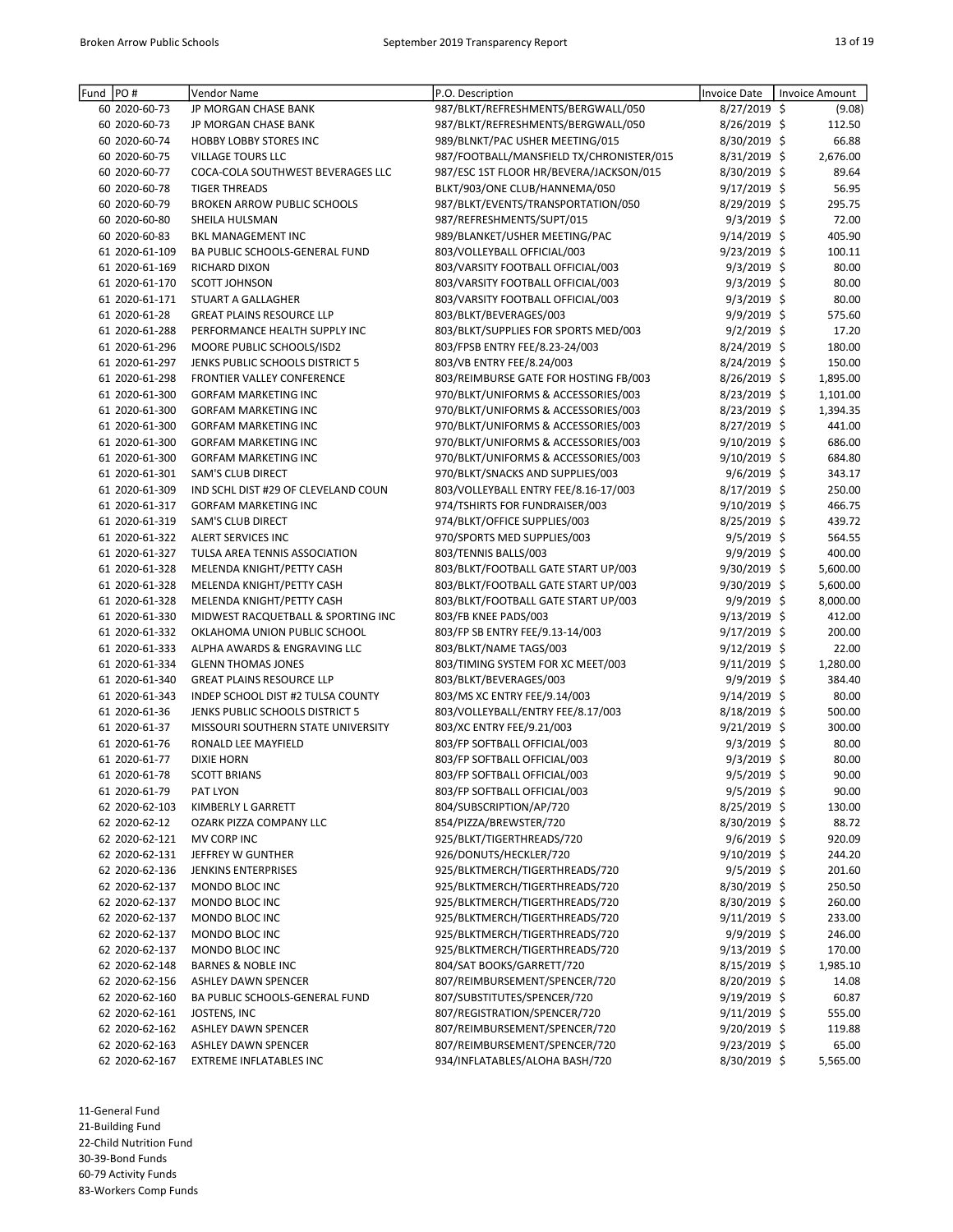| Fund | PO#            | Vendor Name                           | P.O. Description                         | Invoice Date   | Invoice Amount |
|------|----------------|---------------------------------------|------------------------------------------|----------------|----------------|
|      | 60 2020-60-73  | JP MORGAN CHASE BANK                  | 987/BLKT/REFRESHMENTS/BERGWALL/050       | 8/27/2019 \$   | (9.08)         |
|      | 60 2020-60-73  | JP MORGAN CHASE BANK                  | 987/BLKT/REFRESHMENTS/BERGWALL/050       | 8/26/2019 \$   | 112.50         |
|      | 60 2020-60-74  | HOBBY LOBBY STORES INC                | 989/BLNKT/PAC USHER MEETING/015          | 8/30/2019 \$   | 66.88          |
|      | 60 2020-60-75  | <b>VILLAGE TOURS LLC</b>              | 987/FOOTBALL/MANSFIELD TX/CHRONISTER/015 | 8/31/2019 \$   | 2,676.00       |
|      | 60 2020-60-77  | COCA-COLA SOUTHWEST BEVERAGES LLC     | 987/ESC 1ST FLOOR HR/BEVERA/JACKSON/015  | 8/30/2019 \$   | 89.64          |
|      | 60 2020-60-78  | <b>TIGER THREADS</b>                  | BLKT/903/ONE CLUB/HANNEMA/050            | 9/17/2019 \$   | 56.95          |
|      | 60 2020-60-79  | <b>BROKEN ARROW PUBLIC SCHOOLS</b>    | 987/BLKT/EVENTS/TRANSPORTATION/050       | 8/29/2019 \$   | 295.75         |
|      | 60 2020-60-80  | SHEILA HULSMAN                        | 987/REFRESHMENTS/SUPT/015                | $9/3/2019$ \$  | 72.00          |
|      | 60 2020-60-83  | <b>BKL MANAGEMENT INC</b>             | 989/BLANKET/USHER MEETING/PAC            | 9/14/2019 \$   | 405.90         |
|      | 61 2020-61-109 | <b>BA PUBLIC SCHOOLS-GENERAL FUND</b> | 803/VOLLEYBALL OFFICIAL/003              | 9/23/2019 \$   | 100.11         |
|      | 61 2020-61-169 | RICHARD DIXON                         | 803/VARSITY FOOTBALL OFFICIAL/003        | $9/3/2019$ \$  | 80.00          |
|      | 61 2020-61-170 | <b>SCOTT JOHNSON</b>                  | 803/VARSITY FOOTBALL OFFICIAL/003        | $9/3/2019$ \$  | 80.00          |
|      | 61 2020-61-171 | STUART A GALLAGHER                    | 803/VARSITY FOOTBALL OFFICIAL/003        | $9/3/2019$ \$  | 80.00          |
|      | 61 2020-61-28  | <b>GREAT PLAINS RESOURCE LLP</b>      | 803/BLKT/BEVERAGES/003                   | 9/9/2019 \$    | 575.60         |
|      | 61 2020-61-288 | PERFORMANCE HEALTH SUPPLY INC         | 803/BLKT/SUPPLIES FOR SPORTS MED/003     | 9/2/2019 \$    | 17.20          |
|      |                |                                       |                                          |                |                |
|      | 61 2020-61-296 | MOORE PUBLIC SCHOOLS/ISD2             | 803/FPSB ENTRY FEE/8.23-24/003           | 8/24/2019 \$   | 180.00         |
|      | 61 2020-61-297 | JENKS PUBLIC SCHOOLS DISTRICT 5       | 803/VB ENTRY FEE/8.24/003                | 8/24/2019 \$   | 150.00         |
|      | 61 2020-61-298 | FRONTIER VALLEY CONFERENCE            | 803/REIMBURSE GATE FOR HOSTING FB/003    | 8/26/2019 \$   | 1,895.00       |
|      | 61 2020-61-300 | <b>GORFAM MARKETING INC</b>           | 970/BLKT/UNIFORMS & ACCESSORIES/003      | 8/23/2019 \$   | 1,101.00       |
|      | 61 2020-61-300 | <b>GORFAM MARKETING INC</b>           | 970/BLKT/UNIFORMS & ACCESSORIES/003      | 8/23/2019 \$   | 1,394.35       |
|      | 61 2020-61-300 | <b>GORFAM MARKETING INC</b>           | 970/BLKT/UNIFORMS & ACCESSORIES/003      | 8/27/2019 \$   | 441.00         |
|      | 61 2020-61-300 | <b>GORFAM MARKETING INC</b>           | 970/BLKT/UNIFORMS & ACCESSORIES/003      | 9/10/2019 \$   | 686.00         |
|      | 61 2020-61-300 | <b>GORFAM MARKETING INC</b>           | 970/BLKT/UNIFORMS & ACCESSORIES/003      | $9/10/2019$ \$ | 684.80         |
|      | 61 2020-61-301 | <b>SAM'S CLUB DIRECT</b>              | 970/BLKT/SNACKS AND SUPPLIES/003         | 9/6/2019 \$    | 343.17         |
|      | 61 2020-61-309 | IND SCHL DIST #29 OF CLEVELAND COUN   | 803/VOLLEYBALL ENTRY FEE/8.16-17/003     | 8/17/2019 \$   | 250.00         |
|      | 61 2020-61-317 | <b>GORFAM MARKETING INC</b>           | 974/TSHIRTS FOR FUNDRAISER/003           | 9/10/2019 \$   | 466.75         |
|      | 61 2020-61-319 | <b>SAM'S CLUB DIRECT</b>              | 974/BLKT/OFFICE SUPPLIES/003             | 8/25/2019 \$   | 439.72         |
|      | 61 2020-61-322 | ALERT SERVICES INC                    | 970/SPORTS MED SUPPLIES/003              | $9/5/2019$ \$  | 564.55         |
|      | 61 2020-61-327 | TULSA AREA TENNIS ASSOCIATION         | 803/TENNIS BALLS/003                     | 9/9/2019 \$    | 400.00         |
|      | 61 2020-61-328 | MELENDA KNIGHT/PETTY CASH             | 803/BLKT/FOOTBALL GATE START UP/003      | 9/30/2019 \$   | 5,600.00       |
|      | 61 2020-61-328 | MELENDA KNIGHT/PETTY CASH             | 803/BLKT/FOOTBALL GATE START UP/003      | 9/30/2019 \$   | 5,600.00       |
|      | 61 2020-61-328 | MELENDA KNIGHT/PETTY CASH             | 803/BLKT/FOOTBALL GATE START UP/003      | 9/9/2019 \$    | 8,000.00       |
|      |                |                                       |                                          |                |                |
|      | 61 2020-61-330 | MIDWEST RACQUETBALL & SPORTING INC    | 803/FB KNEE PADS/003                     | $9/13/2019$ \$ | 412.00         |
|      | 61 2020-61-332 | OKLAHOMA UNION PUBLIC SCHOOL          | 803/FP SB ENTRY FEE/9.13-14/003          | 9/17/2019 \$   | 200.00         |
|      | 61 2020-61-333 | ALPHA AWARDS & ENGRAVING LLC          | 803/BLKT/NAME TAGS/003                   | 9/12/2019 \$   | 22.00          |
|      | 61 2020-61-334 | <b>GLENN THOMAS JONES</b>             | 803/TIMING SYSTEM FOR XC MEET/003        | $9/11/2019$ \$ | 1,280.00       |
|      | 61 2020-61-340 | <b>GREAT PLAINS RESOURCE LLP</b>      | 803/BLKT/BEVERAGES/003                   | 9/9/2019 \$    | 384.40         |
|      | 61 2020-61-343 | INDEP SCHOOL DIST #2 TULSA COUNTY     | 803/MS XC ENTRY FEE/9.14/003             | 9/14/2019 \$   | 80.00          |
|      | 61 2020-61-36  | JENKS PUBLIC SCHOOLS DISTRICT 5       | 803/VOLLEYBALL/ENTRY FEE/8.17/003        | 8/18/2019 \$   | 500.00         |
|      | 61 2020-61-37  | MISSOURI SOUTHERN STATE UNIVERSITY    | 803/XC ENTRY FEE/9.21/003                | 9/21/2019 \$   | 300.00         |
|      | 61 2020-61-76  | RONALD LEE MAYFIELD                   | 803/FP SOFTBALL OFFICIAL/003             | $9/3/2019$ \$  | 80.00          |
|      | 61 2020-61-77  | <b>DIXIE HORN</b>                     | 803/FP SOFTBALL OFFICIAL/003             | $9/3/2019$ \$  | 80.00          |
|      | 61 2020-61-78  | <b>SCOTT BRIANS</b>                   | 803/FP SOFTBALL OFFICIAL/003             | 9/5/2019 \$    | 90.00          |
|      | 61 2020-61-79  | PAT LYON                              | 803/FP SOFTBALL OFFICIAL/003             | 9/5/2019 \$    | 90.00          |
|      | 62 2020-62-103 | KIMBERLY L GARRETT                    | 804/SUBSCRIPTION/AP/720                  | 8/25/2019 \$   | 130.00         |
|      | 62 2020-62-12  | OZARK PIZZA COMPANY LLC               | 854/PIZZA/BREWSTER/720                   | 8/30/2019 \$   | 88.72          |
|      | 62 2020-62-121 | MV CORP INC                           | 925/BLKT/TIGERTHREADS/720                | $9/6/2019$ \$  | 920.09         |
|      | 62 2020-62-131 | JEFFREY W GUNTHER                     | 926/DONUTS/HECKLER/720                   | $9/10/2019$ \$ | 244.20         |
|      | 62 2020-62-136 | <b>JENKINS ENTERPRISES</b>            | 925/BLKTMERCH/TIGERTHREADS/720           | $9/5/2019$ \$  | 201.60         |
|      | 62 2020-62-137 |                                       | 925/BLKTMERCH/TIGERTHREADS/720           | 8/30/2019 \$   | 250.50         |
|      |                | MONDO BLOC INC                        |                                          |                |                |
|      | 62 2020-62-137 | MONDO BLOC INC                        | 925/BLKTMERCH/TIGERTHREADS/720           | 8/30/2019 \$   | 260.00         |
|      | 62 2020-62-137 | MONDO BLOC INC                        | 925/BLKTMERCH/TIGERTHREADS/720           | 9/11/2019 \$   | 233.00         |
|      | 62 2020-62-137 | MONDO BLOC INC                        | 925/BLKTMERCH/TIGERTHREADS/720           | $9/9/2019$ \$  | 246.00         |
|      | 62 2020-62-137 | MONDO BLOC INC                        | 925/BLKTMERCH/TIGERTHREADS/720           | $9/13/2019$ \$ | 170.00         |
|      | 62 2020-62-148 | <b>BARNES &amp; NOBLE INC</b>         | 804/SAT BOOKS/GARRETT/720                | 8/15/2019 \$   | 1,985.10       |
|      | 62 2020-62-156 | ASHLEY DAWN SPENCER                   | 807/REIMBURSEMENT/SPENCER/720            | $8/20/2019$ \$ | 14.08          |
|      | 62 2020-62-160 | BA PUBLIC SCHOOLS-GENERAL FUND        | 807/SUBSTITUTES/SPENCER/720              | $9/19/2019$ \$ | 60.87          |
|      | 62 2020-62-161 | JOSTENS, INC                          | 807/REGISTRATION/SPENCER/720             | $9/11/2019$ \$ | 555.00         |
|      | 62 2020-62-162 | ASHLEY DAWN SPENCER                   | 807/REIMBURSEMENT/SPENCER/720            | $9/20/2019$ \$ | 119.88         |
|      | 62 2020-62-163 | ASHLEY DAWN SPENCER                   | 807/REIMBURSEMENT/SPENCER/720            | $9/23/2019$ \$ | 65.00          |
|      | 62 2020-62-167 | <b>EXTREME INFLATABLES INC</b>        | 934/INFLATABLES/ALOHA BASH/720           | 8/30/2019 \$   | 5,565.00       |
|      |                |                                       |                                          |                |                |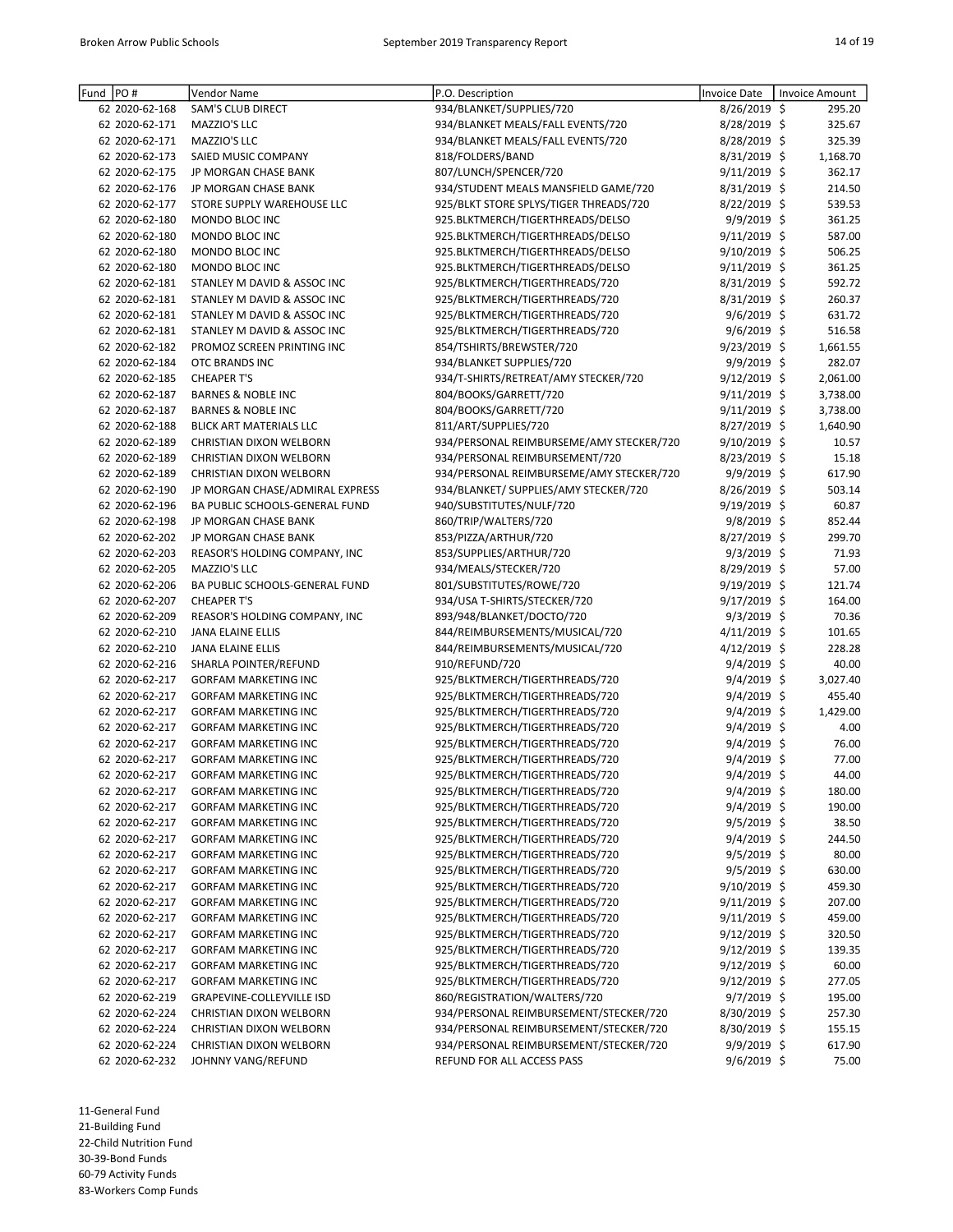| Fund PO# |                                  | Vendor Name                      | P.O. Description                         | Invoice Date      | Invoice Amount |
|----------|----------------------------------|----------------------------------|------------------------------------------|-------------------|----------------|
|          | 62 2020-62-168                   | SAM'S CLUB DIRECT                | 934/BLANKET/SUPPLIES/720                 | 8/26/2019 \$      | 295.20         |
|          | 62 2020-62-171                   | MAZZIO'S LLC                     | 934/BLANKET MEALS/FALL EVENTS/720        | 8/28/2019 \$      | 325.67         |
|          | 62 2020-62-171                   | MAZZIO'S LLC                     | 934/BLANKET MEALS/FALL EVENTS/720        | 8/28/2019 \$      | 325.39         |
|          | 62 2020-62-173                   | SAIED MUSIC COMPANY              | 818/FOLDERS/BAND                         | $8/31/2019$ \$    | 1,168.70       |
|          | 62 2020-62-175                   | JP MORGAN CHASE BANK             | 807/LUNCH/SPENCER/720                    | $9/11/2019$ \$    | 362.17         |
|          | 62 2020-62-176                   | JP MORGAN CHASE BANK             | 934/STUDENT MEALS MANSFIELD GAME/720     | 8/31/2019 \$      | 214.50         |
|          | 62 2020-62-177                   | STORE SUPPLY WAREHOUSE LLC       | 925/BLKT STORE SPLYS/TIGER THREADS/720   | 8/22/2019 \$      | 539.53         |
|          | 62 2020-62-180                   | MONDO BLOC INC                   | 925.BLKTMERCH/TIGERTHREADS/DELSO         | 9/9/2019 \$       | 361.25         |
|          | 62 2020-62-180                   | MONDO BLOC INC                   | 925.BLKTMERCH/TIGERTHREADS/DELSO         | $9/11/2019$ \$    | 587.00         |
|          | 62 2020-62-180                   | MONDO BLOC INC                   | 925.BLKTMERCH/TIGERTHREADS/DELSO         | 9/10/2019 \$      | 506.25         |
|          | 62 2020-62-180                   | MONDO BLOC INC                   | 925.BLKTMERCH/TIGERTHREADS/DELSO         | $9/11/2019 \;$ \$ | 361.25         |
|          | 62 2020-62-181                   | STANLEY M DAVID & ASSOC INC      | 925/BLKTMERCH/TIGERTHREADS/720           | 8/31/2019 \$      | 592.72         |
|          | 62 2020-62-181                   | STANLEY M DAVID & ASSOC INC      | 925/BLKTMERCH/TIGERTHREADS/720           | $8/31/2019$ \$    | 260.37         |
|          | 62 2020-62-181                   | STANLEY M DAVID & ASSOC INC      | 925/BLKTMERCH/TIGERTHREADS/720           | $9/6/2019$ \$     | 631.72         |
|          | 62 2020-62-181                   | STANLEY M DAVID & ASSOC INC      | 925/BLKTMERCH/TIGERTHREADS/720           | $9/6/2019$ \$     | 516.58         |
|          | 62 2020-62-182                   | PROMOZ SCREEN PRINTING INC       | 854/TSHIRTS/BREWSTER/720                 | $9/23/2019$ \$    | 1,661.55       |
|          | 62 2020-62-184                   | OTC BRANDS INC                   | 934/BLANKET SUPPLIES/720                 | $9/9/2019$ \$     | 282.07         |
|          | 62 2020-62-185                   | <b>CHEAPER T'S</b>               | 934/T-SHIRTS/RETREAT/AMY STECKER/720     | $9/12/2019$ \$    | 2,061.00       |
|          | 62 2020-62-187                   | <b>BARNES &amp; NOBLE INC</b>    | 804/BOOKS/GARRETT/720                    |                   |                |
|          |                                  |                                  |                                          | $9/11/2019$ \$    | 3,738.00       |
|          | 62 2020-62-187                   | <b>BARNES &amp; NOBLE INC</b>    | 804/BOOKS/GARRETT/720                    | 9/11/2019 \$      | 3,738.00       |
|          | 62 2020-62-188                   | BLICK ART MATERIALS LLC          | 811/ART/SUPPLIES/720                     | 8/27/2019 \$      | 1,640.90       |
|          | 62 2020-62-189                   | <b>CHRISTIAN DIXON WELBORN</b>   | 934/PERSONAL REIMBURSEME/AMY STECKER/720 | 9/10/2019 \$      | 10.57          |
|          | 62 2020-62-189                   | <b>CHRISTIAN DIXON WELBORN</b>   | 934/PERSONAL REIMBURSEMENT/720           | $8/23/2019$ \$    | 15.18          |
|          | 62 2020-62-189                   | CHRISTIAN DIXON WELBORN          | 934/PERSONAL REIMBURSEME/AMY STECKER/720 | 9/9/2019 \$       | 617.90         |
|          | 62 2020-62-190                   | JP MORGAN CHASE/ADMIRAL EXPRESS  | 934/BLANKET/ SUPPLIES/AMY STECKER/720    | 8/26/2019 \$      | 503.14         |
|          | 62 2020-62-196                   | BA PUBLIC SCHOOLS-GENERAL FUND   | 940/SUBSTITUTES/NULF/720                 | $9/19/2019$ \$    | 60.87          |
|          | 62 2020-62-198                   | JP MORGAN CHASE BANK             | 860/TRIP/WALTERS/720                     | $9/8/2019$ \$     | 852.44         |
|          | 62 2020-62-202                   | JP MORGAN CHASE BANK             | 853/PIZZA/ARTHUR/720                     | 8/27/2019 \$      | 299.70         |
|          | 62 2020-62-203                   | REASOR'S HOLDING COMPANY, INC    | 853/SUPPLIES/ARTHUR/720                  | 9/3/2019 \$       | 71.93          |
|          | 62 2020-62-205                   | MAZZIO'S LLC                     | 934/MEALS/STECKER/720                    | 8/29/2019 \$      | 57.00          |
|          | 62 2020-62-206                   | BA PUBLIC SCHOOLS-GENERAL FUND   | 801/SUBSTITUTES/ROWE/720                 | 9/19/2019 \$      | 121.74         |
|          | 62 2020-62-207                   | <b>CHEAPER T'S</b>               | 934/USA T-SHIRTS/STECKER/720             | 9/17/2019 \$      | 164.00         |
|          | 62 2020-62-209                   | REASOR'S HOLDING COMPANY, INC    | 893/948/BLANKET/DOCTO/720                | 9/3/2019 \$       | 70.36          |
|          | 62 2020-62-210                   | JANA ELAINE ELLIS                | 844/REIMBURSEMENTS/MUSICAL/720           | $4/11/2019$ \$    | 101.65         |
|          | 62 2020-62-210                   | JANA ELAINE ELLIS                | 844/REIMBURSEMENTS/MUSICAL/720           | 4/12/2019 \$      | 228.28         |
|          | 62 2020-62-216                   | SHARLA POINTER/REFUND            | 910/REFUND/720                           | $9/4/2019$ \$     | 40.00          |
|          | 62 2020-62-217                   | <b>GORFAM MARKETING INC</b>      | 925/BLKTMERCH/TIGERTHREADS/720           | 9/4/2019 \$       | 3,027.40       |
|          | 62 2020-62-217                   | <b>GORFAM MARKETING INC</b>      | 925/BLKTMERCH/TIGERTHREADS/720           | 9/4/2019 \$       | 455.40         |
|          | 62 2020-62-217                   | <b>GORFAM MARKETING INC</b>      | 925/BLKTMERCH/TIGERTHREADS/720           | $9/4/2019$ \$     | 1,429.00       |
|          | 62 2020-62-217                   | <b>GORFAM MARKETING INC</b>      | 925/BLKTMERCH/TIGERTHREADS/720           | 9/4/2019 \$       | 4.00           |
|          |                                  |                                  | 925/BLKTMERCH/TIGERTHREADS/720           | 9/4/2019 \$       | 76.00          |
|          | 62 2020-62-217                   | <b>GORFAM MARKETING INC</b>      |                                          |                   |                |
|          | 62 2020-62-217<br>62 2020-62-217 | <b>GORFAM MARKETING INC</b>      | 925/BLKTMERCH/TIGERTHREADS/720           | $9/4/2019$ \$     | 77.00          |
|          |                                  | <b>GORFAM MARKETING INC</b>      | 925/BLKTMERCH/TIGERTHREADS/720           | 9/4/2019 \$       | 44.00          |
|          | 62 2020-62-217                   | <b>GORFAM MARKETING INC</b>      | 925/BLKTMERCH/TIGERTHREADS/720           | $9/4/2019$ \$     | 180.00         |
|          | 62 2020-62-217                   | <b>GORFAM MARKETING INC</b>      | 925/BLKTMERCH/TIGERTHREADS/720           | $9/4/2019$ \$     | 190.00         |
|          | 62 2020-62-217                   | <b>GORFAM MARKETING INC</b>      | 925/BLKTMERCH/TIGERTHREADS/720           | $9/5/2019$ \$     | 38.50          |
|          | 62 2020-62-217                   | <b>GORFAM MARKETING INC</b>      | 925/BLKTMERCH/TIGERTHREADS/720           | $9/4/2019$ \$     | 244.50         |
|          | 62 2020-62-217                   | <b>GORFAM MARKETING INC</b>      | 925/BLKTMERCH/TIGERTHREADS/720           | $9/5/2019$ \$     | 80.00          |
|          | 62 2020-62-217                   | <b>GORFAM MARKETING INC</b>      | 925/BLKTMERCH/TIGERTHREADS/720           | $9/5/2019$ \$     | 630.00         |
|          | 62 2020-62-217                   | <b>GORFAM MARKETING INC</b>      | 925/BLKTMERCH/TIGERTHREADS/720           | $9/10/2019$ \$    | 459.30         |
|          | 62 2020-62-217                   | <b>GORFAM MARKETING INC</b>      | 925/BLKTMERCH/TIGERTHREADS/720           | $9/11/2019$ \$    | 207.00         |
|          | 62 2020-62-217                   | <b>GORFAM MARKETING INC</b>      | 925/BLKTMERCH/TIGERTHREADS/720           | $9/11/2019$ \$    | 459.00         |
|          | 62 2020-62-217                   | <b>GORFAM MARKETING INC</b>      | 925/BLKTMERCH/TIGERTHREADS/720           | $9/12/2019$ \$    | 320.50         |
|          | 62 2020-62-217                   | <b>GORFAM MARKETING INC</b>      | 925/BLKTMERCH/TIGERTHREADS/720           | $9/12/2019$ \$    | 139.35         |
|          | 62 2020-62-217                   | <b>GORFAM MARKETING INC</b>      | 925/BLKTMERCH/TIGERTHREADS/720           | $9/12/2019$ \$    | 60.00          |
|          | 62 2020-62-217                   | <b>GORFAM MARKETING INC</b>      | 925/BLKTMERCH/TIGERTHREADS/720           | $9/12/2019$ \$    | 277.05         |
|          | 62 2020-62-219                   | <b>GRAPEVINE-COLLEYVILLE ISD</b> | 860/REGISTRATION/WALTERS/720             | $9/7/2019$ \$     | 195.00         |
|          | 62 2020-62-224                   | CHRISTIAN DIXON WELBORN          | 934/PERSONAL REIMBURSEMENT/STECKER/720   | $8/30/2019$ \$    | 257.30         |
|          | 62 2020-62-224                   | CHRISTIAN DIXON WELBORN          | 934/PERSONAL REIMBURSEMENT/STECKER/720   | 8/30/2019 \$      | 155.15         |
|          | 62 2020-62-224                   | CHRISTIAN DIXON WELBORN          | 934/PERSONAL REIMBURSEMENT/STECKER/720   | $9/9/2019$ \$     | 617.90         |
|          | 62 2020-62-232                   | JOHNNY VANG/REFUND               | REFUND FOR ALL ACCESS PASS               | $9/6/2019$ \$     | 75.00          |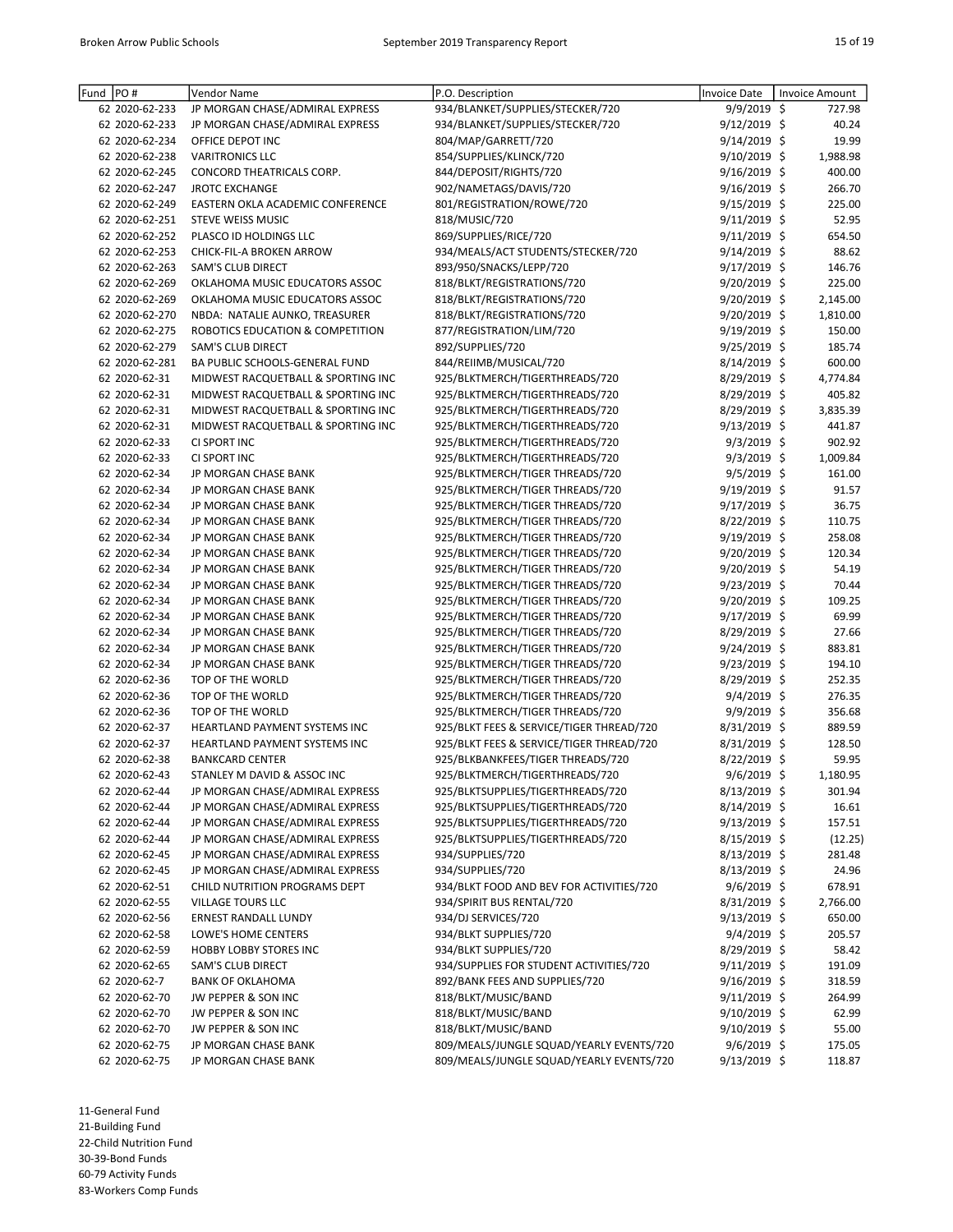| Fund | PO#                            | Vendor Name                                 | P.O. Description                         | <b>Invoice Date</b>           | <b>Invoice Amount</b> |
|------|--------------------------------|---------------------------------------------|------------------------------------------|-------------------------------|-----------------------|
|      | 62 2020-62-233                 | JP MORGAN CHASE/ADMIRAL EXPRESS             | 934/BLANKET/SUPPLIES/STECKER/720         | 9/9/2019 \$                   | 727.98                |
|      | 62 2020-62-233                 | JP MORGAN CHASE/ADMIRAL EXPRESS             | 934/BLANKET/SUPPLIES/STECKER/720         | 9/12/2019 \$                  | 40.24                 |
|      | 62 2020-62-234                 | OFFICE DEPOT INC                            | 804/MAP/GARRETT/720                      | 9/14/2019 \$                  | 19.99                 |
|      | 62 2020-62-238                 | <b>VARITRONICS LLC</b>                      | 854/SUPPLIES/KLINCK/720                  | $9/10/2019$ \$                | 1,988.98              |
|      | 62 2020-62-245                 | CONCORD THEATRICALS CORP.                   | 844/DEPOSIT/RIGHTS/720                   | 9/16/2019 \$                  | 400.00                |
|      | 62 2020-62-247                 | <b>JROTC EXCHANGE</b>                       | 902/NAMETAGS/DAVIS/720                   | $9/16/2019$ \$                | 266.70                |
|      | 62 2020-62-249                 | EASTERN OKLA ACADEMIC CONFERENCE            | 801/REGISTRATION/ROWE/720                | 9/15/2019 \$                  | 225.00                |
|      | 62 2020-62-251                 | STEVE WEISS MUSIC                           | 818/MUSIC/720                            | 9/11/2019 \$                  | 52.95                 |
|      | 62 2020-62-252                 | PLASCO ID HOLDINGS LLC                      | 869/SUPPLIES/RICE/720                    | $9/11/2019$ \$                | 654.50                |
|      |                                |                                             |                                          |                               | 88.62                 |
|      | 62 2020-62-253                 | CHICK-FIL-A BROKEN ARROW                    | 934/MEALS/ACT STUDENTS/STECKER/720       | 9/14/2019 \$                  |                       |
|      | 62 2020-62-263                 | SAM'S CLUB DIRECT                           | 893/950/SNACKS/LEPP/720                  | 9/17/2019 \$                  | 146.76                |
|      | 62 2020-62-269                 | OKLAHOMA MUSIC EDUCATORS ASSOC              | 818/BLKT/REGISTRATIONS/720               | 9/20/2019 \$                  | 225.00                |
|      | 62 2020-62-269                 | OKLAHOMA MUSIC EDUCATORS ASSOC              | 818/BLKT/REGISTRATIONS/720               | $9/20/2019$ \$                | 2,145.00              |
|      | 62 2020-62-270                 | NBDA: NATALIE AUNKO, TREASURER              | 818/BLKT/REGISTRATIONS/720               | $9/20/2019$ \$                | 1,810.00              |
|      | 62 2020-62-275                 | ROBOTICS EDUCATION & COMPETITION            | 877/REGISTRATION/LIM/720                 | 9/19/2019 \$                  | 150.00                |
|      | 62 2020-62-279                 | <b>SAM'S CLUB DIRECT</b>                    | 892/SUPPLIES/720                         | $9/25/2019$ \$                | 185.74                |
|      | 62 2020-62-281                 | BA PUBLIC SCHOOLS-GENERAL FUND              | 844/REIIMB/MUSICAL/720                   | 8/14/2019 \$                  | 600.00                |
|      | 62 2020-62-31                  | MIDWEST RACQUETBALL & SPORTING INC          | 925/BLKTMERCH/TIGERTHREADS/720           | 8/29/2019 \$                  | 4,774.84              |
|      | 62 2020-62-31                  | MIDWEST RACQUETBALL & SPORTING INC          | 925/BLKTMERCH/TIGERTHREADS/720           | 8/29/2019 \$                  | 405.82                |
|      | 62 2020-62-31                  | MIDWEST RACQUETBALL & SPORTING INC          | 925/BLKTMERCH/TIGERTHREADS/720           | 8/29/2019 \$                  | 3,835.39              |
|      | 62 2020-62-31                  | MIDWEST RACQUETBALL & SPORTING INC          | 925/BLKTMERCH/TIGERTHREADS/720           | 9/13/2019 \$                  | 441.87                |
|      | 62 2020-62-33                  | CI SPORT INC                                | 925/BLKTMERCH/TIGERTHREADS/720           | 9/3/2019 \$                   | 902.92                |
|      | 62 2020-62-33                  | CI SPORT INC                                | 925/BLKTMERCH/TIGERTHREADS/720           | $9/3/2019$ \$                 | 1,009.84              |
|      | 62 2020-62-34                  | JP MORGAN CHASE BANK                        | 925/BLKTMERCH/TIGER THREADS/720          | 9/5/2019 \$                   | 161.00                |
|      | 62 2020-62-34                  | JP MORGAN CHASE BANK                        | 925/BLKTMERCH/TIGER THREADS/720          | 9/19/2019 \$                  | 91.57                 |
|      | 62 2020-62-34                  | JP MORGAN CHASE BANK                        | 925/BLKTMERCH/TIGER THREADS/720          | $9/17/2019$ \$                | 36.75                 |
|      | 62 2020-62-34                  | JP MORGAN CHASE BANK                        | 925/BLKTMERCH/TIGER THREADS/720          | 8/22/2019 \$                  | 110.75                |
|      | 62 2020-62-34                  | JP MORGAN CHASE BANK                        | 925/BLKTMERCH/TIGER THREADS/720          | 9/19/2019 \$                  | 258.08                |
|      | 62 2020-62-34                  | JP MORGAN CHASE BANK                        | 925/BLKTMERCH/TIGER THREADS/720          | $9/20/2019$ \$                | 120.34                |
|      | 62 2020-62-34                  | JP MORGAN CHASE BANK                        |                                          | 9/20/2019 \$                  | 54.19                 |
|      |                                |                                             | 925/BLKTMERCH/TIGER THREADS/720          |                               |                       |
|      | 62 2020-62-34                  | JP MORGAN CHASE BANK                        | 925/BLKTMERCH/TIGER THREADS/720          | $9/23/2019$ \$                | 70.44                 |
|      | 62 2020-62-34                  | JP MORGAN CHASE BANK                        | 925/BLKTMERCH/TIGER THREADS/720          | $9/20/2019$ \$                | 109.25                |
|      | 62 2020-62-34                  | JP MORGAN CHASE BANK                        | 925/BLKTMERCH/TIGER THREADS/720          | $9/17/2019$ \$                | 69.99                 |
|      | 62 2020-62-34                  | JP MORGAN CHASE BANK                        | 925/BLKTMERCH/TIGER THREADS/720          | $8/29/2019$ \$                | 27.66                 |
|      | 62 2020-62-34                  | JP MORGAN CHASE BANK                        | 925/BLKTMERCH/TIGER THREADS/720          | 9/24/2019 \$                  | 883.81                |
|      | 62 2020-62-34                  | JP MORGAN CHASE BANK                        | 925/BLKTMERCH/TIGER THREADS/720          | $9/23/2019$ \$                | 194.10                |
|      | 62 2020-62-36                  | TOP OF THE WORLD                            | 925/BLKTMERCH/TIGER THREADS/720          | 8/29/2019 \$                  | 252.35                |
|      | 62 2020-62-36                  | TOP OF THE WORLD                            | 925/BLKTMERCH/TIGER THREADS/720          | $9/4/2019$ \$                 | 276.35                |
|      | 62 2020-62-36                  | TOP OF THE WORLD                            | 925/BLKTMERCH/TIGER THREADS/720          | 9/9/2019 \$                   | 356.68                |
|      | 62 2020-62-37                  | HEARTLAND PAYMENT SYSTEMS INC               | 925/BLKT FEES & SERVICE/TIGER THREAD/720 | 8/31/2019 \$                  | 889.59                |
|      | 62 2020-62-37                  | HEARTLAND PAYMENT SYSTEMS INC               | 925/BLKT FEES & SERVICE/TIGER THREAD/720 | 8/31/2019 \$                  | 128.50                |
|      | 62 2020-62-38                  | <b>BANKCARD CENTER</b>                      | 925/BLKBANKFEES/TIGER THREADS/720        | 8/22/2019 \$                  | 59.95                 |
|      | 62 2020-62-43                  | STANLEY M DAVID & ASSOC INC                 | 925/BLKTMERCH/TIGERTHREADS/720           | 9/6/2019 \$                   | 1,180.95              |
|      | 62 2020-62-44                  | JP MORGAN CHASE/ADMIRAL EXPRESS             | 925/BLKTSUPPLIES/TIGERTHREADS/720        | $8/13/2019$ \$                | 301.94                |
|      | 62 2020-62-44                  | JP MORGAN CHASE/ADMIRAL EXPRESS             | 925/BLKTSUPPLIES/TIGERTHREADS/720        | 8/14/2019 \$                  | 16.61                 |
|      | 62 2020-62-44                  | JP MORGAN CHASE/ADMIRAL EXPRESS             | 925/BLKTSUPPLIES/TIGERTHREADS/720        | $9/13/2019$ \$                | 157.51                |
|      | 62 2020-62-44                  | JP MORGAN CHASE/ADMIRAL EXPRESS             | 925/BLKTSUPPLIES/TIGERTHREADS/720        | $8/15/2019$ \$                | (12.25)               |
|      | 62 2020-62-45                  | JP MORGAN CHASE/ADMIRAL EXPRESS             | 934/SUPPLIES/720                         | $8/13/2019$ \$                | 281.48                |
|      | 62 2020-62-45                  | JP MORGAN CHASE/ADMIRAL EXPRESS             | 934/SUPPLIES/720                         | $8/13/2019$ \$                | 24.96                 |
|      | 62 2020-62-51                  | CHILD NUTRITION PROGRAMS DEPT               | 934/BLKT FOOD AND BEV FOR ACTIVITIES/720 | $9/6/2019$ \$                 | 678.91                |
|      | 62 2020-62-55                  | VILLAGE TOURS LLC                           | 934/SPIRIT BUS RENTAL/720                | $8/31/2019$ \$                | 2,766.00              |
|      |                                |                                             | 934/DJ SERVICES/720                      |                               |                       |
|      | 62 2020-62-56<br>62 2020-62-58 | ERNEST RANDALL LUNDY<br>LOWE'S HOME CENTERS | 934/BLKT SUPPLIES/720                    | $9/13/2019$ \$<br>9/4/2019 \$ | 650.00<br>205.57      |
|      |                                |                                             |                                          |                               |                       |
|      | 62 2020-62-59                  | <b>HOBBY LOBBY STORES INC</b>               | 934/BLKT SUPPLIES/720                    | $8/29/2019$ \$                | 58.42                 |
|      | 62 2020-62-65                  | <b>SAM'S CLUB DIRECT</b>                    | 934/SUPPLIES FOR STUDENT ACTIVITIES/720  | $9/11/2019$ \$                | 191.09                |
|      | 62 2020-62-7                   | <b>BANK OF OKLAHOMA</b>                     | 892/BANK FEES AND SUPPLIES/720           | $9/16/2019$ \$                | 318.59                |
|      | 62 2020-62-70                  | JW PEPPER & SON INC                         | 818/BLKT/MUSIC/BAND                      | $9/11/2019$ \$                | 264.99                |
|      | 62 2020-62-70                  | JW PEPPER & SON INC                         | 818/BLKT/MUSIC/BAND                      | $9/10/2019$ \$                | 62.99                 |
|      | 62 2020-62-70                  | JW PEPPER & SON INC                         | 818/BLKT/MUSIC/BAND                      | $9/10/2019$ \$                | 55.00                 |
|      | 62 2020-62-75                  | JP MORGAN CHASE BANK                        | 809/MEALS/JUNGLE SQUAD/YEARLY EVENTS/720 | $9/6/2019$ \$                 | 175.05                |
|      | 62 2020-62-75                  | JP MORGAN CHASE BANK                        | 809/MEALS/JUNGLE SQUAD/YEARLY EVENTS/720 | $9/13/2019$ \$                | 118.87                |

21-Building Fund

22-Child Nutrition Fund

30-39-Bond Funds

60-79 Activity Funds 83-Workers Comp Funds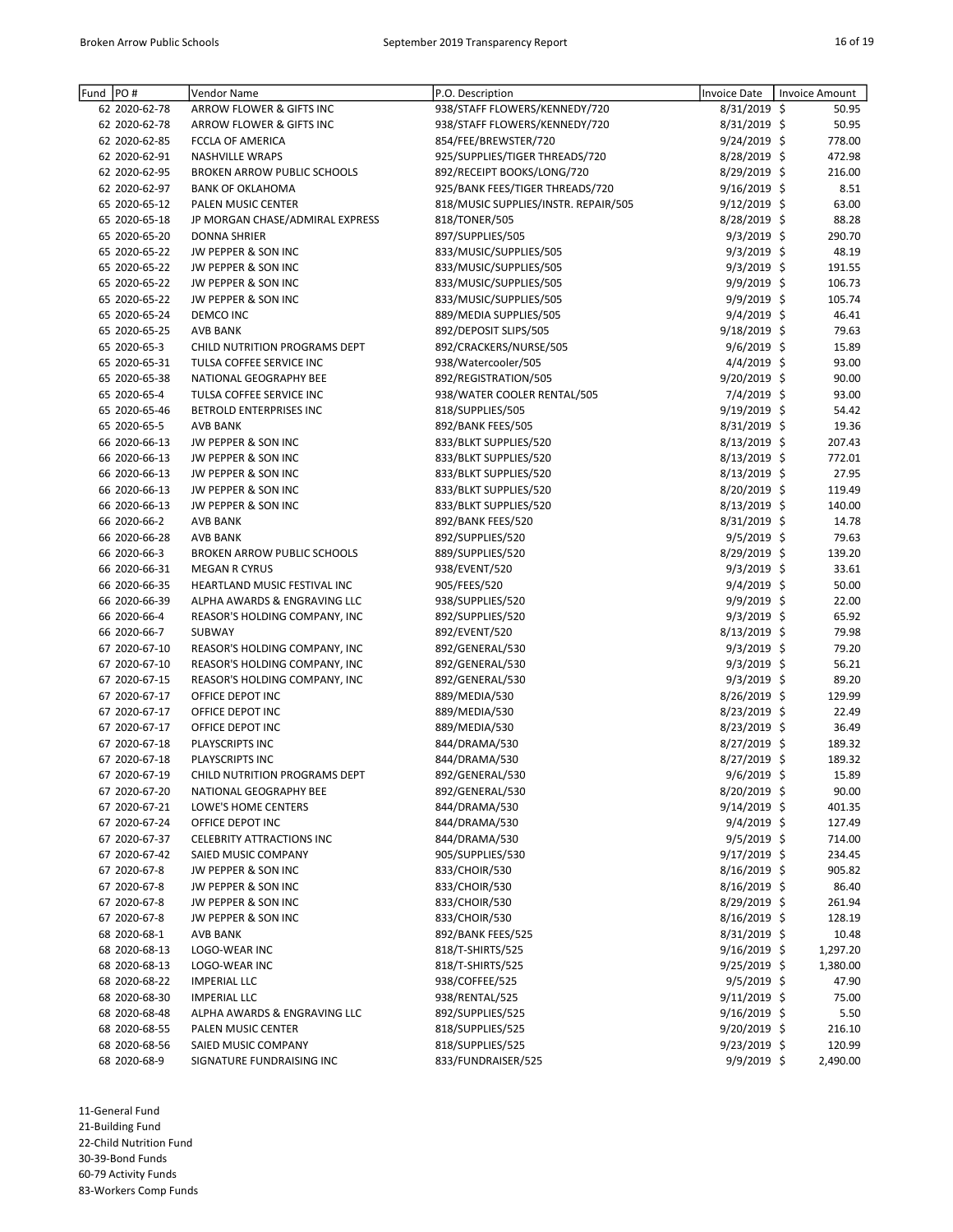| Fund PO# |               | Vendor Name                        | P.O. Description                     | <b>Invoice Date</b> | Invoice Amount |
|----------|---------------|------------------------------------|--------------------------------------|---------------------|----------------|
|          | 62 2020-62-78 | ARROW FLOWER & GIFTS INC           | 938/STAFF FLOWERS/KENNEDY/720        | 8/31/2019 \$        | 50.95          |
|          | 62 2020-62-78 | ARROW FLOWER & GIFTS INC           | 938/STAFF FLOWERS/KENNEDY/720        | 8/31/2019 \$        | 50.95          |
|          | 62 2020-62-85 | FCCLA OF AMERICA                   | 854/FEE/BREWSTER/720                 | 9/24/2019 \$        | 778.00         |
|          | 62 2020-62-91 | <b>NASHVILLE WRAPS</b>             | 925/SUPPLIES/TIGER THREADS/720       | 8/28/2019 \$        | 472.98         |
|          | 62 2020-62-95 | <b>BROKEN ARROW PUBLIC SCHOOLS</b> | 892/RECEIPT BOOKS/LONG/720           | 8/29/2019 \$        | 216.00         |
|          | 62 2020-62-97 | <b>BANK OF OKLAHOMA</b>            | 925/BANK FEES/TIGER THREADS/720      | $9/16/2019$ \$      | 8.51           |
|          | 65 2020-65-12 | PALEN MUSIC CENTER                 | 818/MUSIC SUPPLIES/INSTR. REPAIR/505 | 9/12/2019 \$        | 63.00          |
|          | 65 2020-65-18 | JP MORGAN CHASE/ADMIRAL EXPRESS    | 818/TONER/505                        | 8/28/2019 \$        | 88.28          |
|          | 65 2020-65-20 | <b>DONNA SHRIER</b>                | 897/SUPPLIES/505                     | $9/3/2019$ \$       | 290.70         |
|          | 65 2020-65-22 | JW PEPPER & SON INC                | 833/MUSIC/SUPPLIES/505               | $9/3/2019$ \$       | 48.19          |
|          | 65 2020-65-22 | JW PEPPER & SON INC                | 833/MUSIC/SUPPLIES/505               | $9/3/2019$ \$       | 191.55         |
|          | 65 2020-65-22 | JW PEPPER & SON INC                | 833/MUSIC/SUPPLIES/505               | $9/9/2019$ \$       | 106.73         |
|          | 65 2020-65-22 | JW PEPPER & SON INC                | 833/MUSIC/SUPPLIES/505               | 9/9/2019 \$         | 105.74         |
|          | 65 2020-65-24 | DEMCO INC                          | 889/MEDIA SUPPLIES/505               | 9/4/2019 \$         | 46.41          |
|          | 65 2020-65-25 | <b>AVB BANK</b>                    | 892/DEPOSIT SLIPS/505                | 9/18/2019 \$        | 79.63          |
|          | 65 2020-65-3  | CHILD NUTRITION PROGRAMS DEPT      | 892/CRACKERS/NURSE/505               | $9/6/2019$ \$       | 15.89          |
|          | 65 2020-65-31 | TULSA COFFEE SERVICE INC           | 938/Watercooler/505                  | $4/4/2019$ \$       | 93.00          |
|          | 65 2020-65-38 | NATIONAL GEOGRAPHY BEE             | 892/REGISTRATION/505                 | 9/20/2019 \$        | 90.00          |
|          | 65 2020-65-4  | TULSA COFFEE SERVICE INC           | 938/WATER COOLER RENTAL/505          | 7/4/2019 \$         | 93.00          |
|          | 65 2020-65-46 | BETROLD ENTERPRISES INC            | 818/SUPPLIES/505                     | 9/19/2019 \$        | 54.42          |
|          | 65 2020-65-5  | <b>AVB BANK</b>                    | 892/BANK FEES/505                    | 8/31/2019 \$        | 19.36          |
|          | 66 2020-66-13 | JW PEPPER & SON INC                | 833/BLKT SUPPLIES/520                | 8/13/2019 \$        | 207.43         |
|          | 66 2020-66-13 | JW PEPPER & SON INC                | 833/BLKT SUPPLIES/520                | $8/13/2019$ \$      | 772.01         |
|          | 66 2020-66-13 | JW PEPPER & SON INC                | 833/BLKT SUPPLIES/520                | 8/13/2019 \$        | 27.95          |
|          | 66 2020-66-13 | JW PEPPER & SON INC                | 833/BLKT SUPPLIES/520                | 8/20/2019 \$        | 119.49         |
|          | 66 2020-66-13 | JW PEPPER & SON INC                | 833/BLKT SUPPLIES/520                | $8/13/2019$ \$      | 140.00         |
|          | 66 2020-66-2  | <b>AVB BANK</b>                    | 892/BANK FEES/520                    | 8/31/2019 \$        | 14.78          |
|          | 66 2020-66-28 | AVB BANK                           | 892/SUPPLIES/520                     | $9/5/2019$ \$       | 79.63          |
|          | 66 2020-66-3  | <b>BROKEN ARROW PUBLIC SCHOOLS</b> | 889/SUPPLIES/520                     | 8/29/2019 \$        | 139.20         |
|          | 66 2020-66-31 | <b>MEGAN R CYRUS</b>               | 938/EVENT/520                        | $9/3/2019$ \$       | 33.61          |
|          | 66 2020-66-35 | HEARTLAND MUSIC FESTIVAL INC       | 905/FEES/520                         | $9/4/2019$ \$       | 50.00          |
|          | 66 2020-66-39 | ALPHA AWARDS & ENGRAVING LLC       | 938/SUPPLIES/520                     | 9/9/2019 \$         | 22.00          |
|          | 66 2020-66-4  | REASOR'S HOLDING COMPANY, INC      | 892/SUPPLIES/520                     | $9/3/2019$ \$       | 65.92          |
|          | 66 2020-66-7  | <b>SUBWAY</b>                      | 892/EVENT/520                        | $8/13/2019$ \$      | 79.98          |
|          | 67 2020-67-10 | REASOR'S HOLDING COMPANY, INC      | 892/GENERAL/530                      | $9/3/2019$ \$       | 79.20          |
|          | 67 2020-67-10 | REASOR'S HOLDING COMPANY, INC      | 892/GENERAL/530                      | $9/3/2019$ \$       | 56.21          |
|          | 67 2020-67-15 | REASOR'S HOLDING COMPANY, INC      | 892/GENERAL/530                      | $9/3/2019$ \$       | 89.20          |
|          | 67 2020-67-17 | OFFICE DEPOT INC                   | 889/MEDIA/530                        | $8/26/2019$ \$      | 129.99         |
|          | 67 2020-67-17 | OFFICE DEPOT INC                   | 889/MEDIA/530                        | $8/23/2019$ \$      | 22.49          |
|          | 67 2020-67-17 | OFFICE DEPOT INC                   | 889/MEDIA/530                        | 8/23/2019 \$        | 36.49          |
|          | 67 2020-67-18 | PLAYSCRIPTS INC                    | 844/DRAMA/530                        | 8/27/2019 \$        | 189.32         |
|          | 67 2020-67-18 | PLAYSCRIPTS INC                    | 844/DRAMA/530                        | 8/27/2019 \$        | 189.32         |
|          | 67 2020-67-19 | CHILD NUTRITION PROGRAMS DEPT      | 892/GENERAL/530                      | 9/6/2019 \$         | 15.89          |
|          | 67 2020-67-20 | NATIONAL GEOGRAPHY BEE             | 892/GENERAL/530                      | 8/20/2019 \$        | 90.00          |
|          | 67 2020-67-21 | LOWE'S HOME CENTERS                | 844/DRAMA/530                        | $9/14/2019$ \$      | 401.35         |
|          | 67 2020-67-24 | OFFICE DEPOT INC                   | 844/DRAMA/530                        | $9/4/2019$ \$       | 127.49         |
|          | 67 2020-67-37 | <b>CELEBRITY ATTRACTIONS INC</b>   | 844/DRAMA/530                        | $9/5/2019$ \$       | 714.00         |
|          | 67 2020-67-42 | SAIED MUSIC COMPANY                |                                      |                     |                |
|          |               |                                    | 905/SUPPLIES/530                     | $9/17/2019$ \$      | 234.45         |
|          | 67 2020-67-8  | JW PEPPER & SON INC                | 833/CHOIR/530                        | $8/16/2019$ \$      | 905.82         |
|          | 67 2020-67-8  | JW PEPPER & SON INC                | 833/CHOIR/530                        | 8/16/2019 \$        | 86.40          |
|          | 67 2020-67-8  | JW PEPPER & SON INC                | 833/CHOIR/530                        | 8/29/2019 \$        | 261.94         |
|          | 67 2020-67-8  | JW PEPPER & SON INC                | 833/CHOIR/530                        | $8/16/2019$ \$      | 128.19         |
|          | 68 2020-68-1  | AVB BANK                           | 892/BANK FEES/525                    | $8/31/2019$ \$      | 10.48          |
|          | 68 2020-68-13 | LOGO-WEAR INC                      | 818/T-SHIRTS/525                     | $9/16/2019$ \$      | 1,297.20       |
|          | 68 2020-68-13 | LOGO-WEAR INC                      | 818/T-SHIRTS/525                     | $9/25/2019$ \$      | 1,380.00       |
|          | 68 2020-68-22 | IMPERIAL LLC                       | 938/COFFEE/525                       | $9/5/2019$ \$       | 47.90          |
|          | 68 2020-68-30 | IMPERIAL LLC                       | 938/RENTAL/525                       | $9/11/2019$ \$      | 75.00          |
|          | 68 2020-68-48 | ALPHA AWARDS & ENGRAVING LLC       | 892/SUPPLIES/525                     | $9/16/2019$ \$      | 5.50           |
|          | 68 2020-68-55 | PALEN MUSIC CENTER                 | 818/SUPPLIES/525                     | $9/20/2019$ \$      | 216.10         |
|          | 68 2020-68-56 | SAIED MUSIC COMPANY                | 818/SUPPLIES/525                     | $9/23/2019$ \$      | 120.99         |
|          | 68 2020-68-9  | SIGNATURE FUNDRAISING INC          | 833/FUNDRAISER/525                   | 9/9/2019 \$         | 2,490.00       |

21-Building Fund

22-Child Nutrition Fund

30-39-Bond Funds

60-79 Activity Funds 83-Workers Comp Funds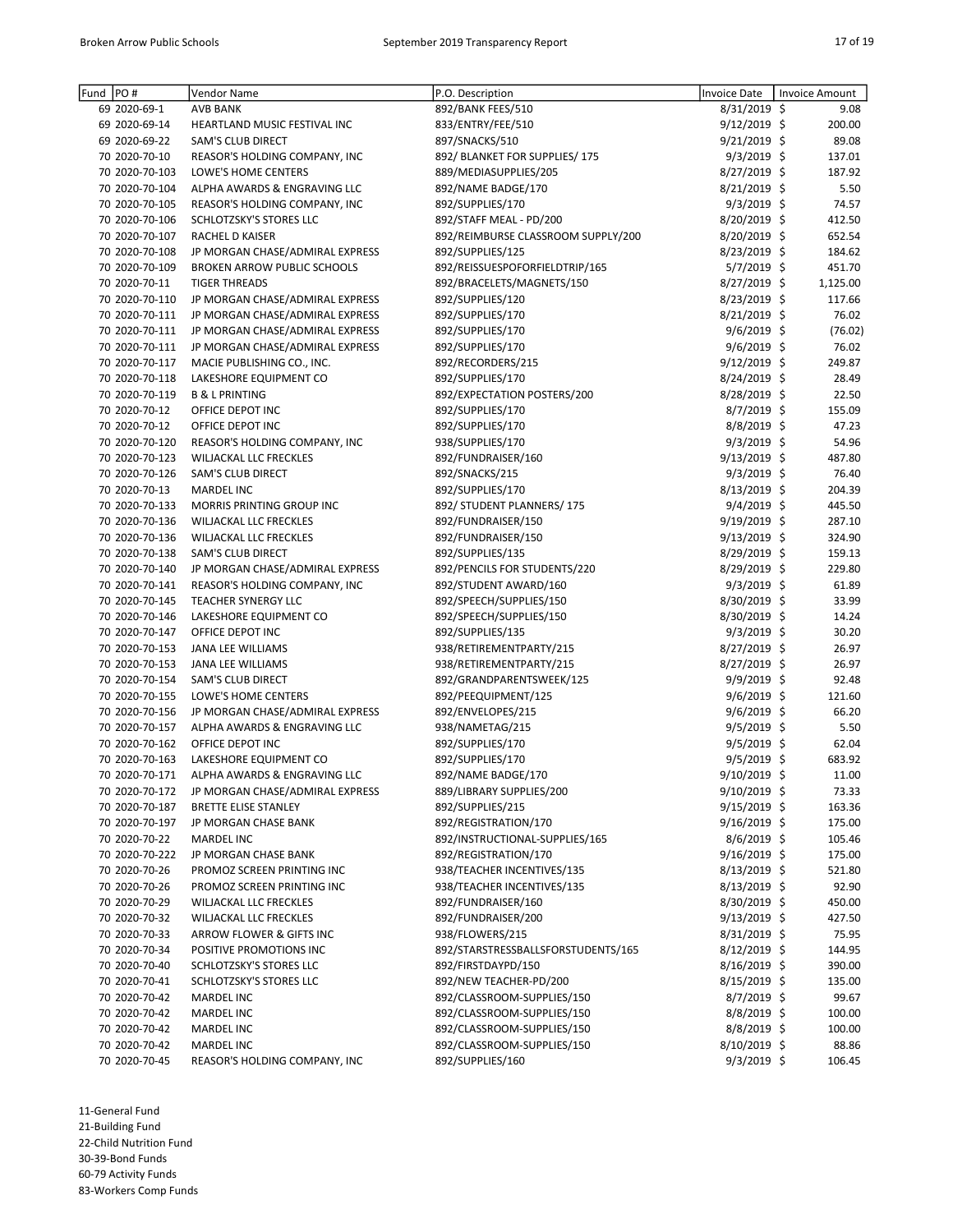| Fund PO# |                | Vendor Name                        | P.O. Description                                | <b>Invoice Date</b> | <b>Invoice Amount</b> |
|----------|----------------|------------------------------------|-------------------------------------------------|---------------------|-----------------------|
|          | 69 2020-69-1   | <b>AVB BANK</b>                    | 892/BANK FEES/510                               | 8/31/2019 \$        | 9.08                  |
|          | 69 2020-69-14  | HEARTLAND MUSIC FESTIVAL INC       | 833/ENTRY/FEE/510                               | 9/12/2019 \$        | 200.00                |
|          | 69 2020-69-22  | <b>SAM'S CLUB DIRECT</b>           | 897/SNACKS/510                                  | $9/21/2019$ \$      | 89.08                 |
|          | 70 2020-70-10  | REASOR'S HOLDING COMPANY, INC      | 892/ BLANKET FOR SUPPLIES/ 175                  | 9/3/2019 \$         | 137.01                |
|          | 70 2020-70-103 | <b>LOWE'S HOME CENTERS</b>         | 889/MEDIASUPPLIES/205                           | 8/27/2019 \$        | 187.92                |
|          | 70 2020-70-104 | ALPHA AWARDS & ENGRAVING LLC       | 892/NAME BADGE/170                              | 8/21/2019 \$        | 5.50                  |
|          | 70 2020-70-105 | REASOR'S HOLDING COMPANY, INC      | 892/SUPPLIES/170                                | $9/3/2019$ \$       | 74.57                 |
|          | 70 2020-70-106 | SCHLOTZSKY'S STORES LLC            | 892/STAFF MEAL - PD/200                         | 8/20/2019 \$        | 412.50                |
|          | 70 2020-70-107 | RACHEL D KAISER                    | 892/REIMBURSE CLASSROOM SUPPLY/200              | 8/20/2019 \$        | 652.54                |
|          | 70 2020-70-108 | JP MORGAN CHASE/ADMIRAL EXPRESS    | 892/SUPPLIES/125                                | 8/23/2019 \$        | 184.62                |
|          | 70 2020-70-109 | <b>BROKEN ARROW PUBLIC SCHOOLS</b> | 892/REISSUESPOFORFIELDTRIP/165                  | 5/7/2019 \$         | 451.70                |
|          | 70 2020-70-11  | <b>TIGER THREADS</b>               | 892/BRACELETS/MAGNETS/150                       | 8/27/2019 \$        | 1,125.00              |
|          | 70 2020-70-110 | JP MORGAN CHASE/ADMIRAL EXPRESS    | 892/SUPPLIES/120                                | 8/23/2019 \$        | 117.66                |
|          | 70 2020-70-111 | JP MORGAN CHASE/ADMIRAL EXPRESS    | 892/SUPPLIES/170                                | 8/21/2019 \$        | 76.02                 |
|          | 70 2020-70-111 | JP MORGAN CHASE/ADMIRAL EXPRESS    | 892/SUPPLIES/170                                | $9/6/2019$ \$       | (76.02)               |
|          | 70 2020-70-111 | JP MORGAN CHASE/ADMIRAL EXPRESS    | 892/SUPPLIES/170                                | $9/6/2019$ \$       | 76.02                 |
|          | 70 2020-70-117 | MACIE PUBLISHING CO., INC.         | 892/RECORDERS/215                               | $9/12/2019$ \$      | 249.87                |
|          | 70 2020-70-118 | LAKESHORE EQUIPMENT CO             | 892/SUPPLIES/170                                | 8/24/2019 \$        | 28.49                 |
|          | 70 2020-70-119 | <b>B &amp; L PRINTING</b>          |                                                 |                     | 22.50                 |
|          | 70 2020-70-12  |                                    | 892/EXPECTATION POSTERS/200<br>892/SUPPLIES/170 | $8/28/2019$ \$      |                       |
|          |                | OFFICE DEPOT INC                   |                                                 | 8/7/2019 \$         | 155.09                |
|          | 70 2020-70-12  | OFFICE DEPOT INC                   | 892/SUPPLIES/170                                | $8/8/2019$ \$       | 47.23                 |
|          | 70 2020-70-120 | REASOR'S HOLDING COMPANY, INC      | 938/SUPPLIES/170                                | $9/3/2019$ \$       | 54.96                 |
|          | 70 2020-70-123 | WILJACKAL LLC FRECKLES             | 892/FUNDRAISER/160                              | 9/13/2019 \$        | 487.80                |
|          | 70 2020-70-126 | SAM'S CLUB DIRECT                  | 892/SNACKS/215                                  | $9/3/2019$ \$       | 76.40                 |
|          | 70 2020-70-13  | <b>MARDEL INC</b>                  | 892/SUPPLIES/170                                | $8/13/2019$ \$      | 204.39                |
|          | 70 2020-70-133 | MORRIS PRINTING GROUP INC          | 892/ STUDENT PLANNERS/ 175                      | $9/4/2019$ \$       | 445.50                |
|          | 70 2020-70-136 | WILJACKAL LLC FRECKLES             | 892/FUNDRAISER/150                              | 9/19/2019 \$        | 287.10                |
|          | 70 2020-70-136 | WILJACKAL LLC FRECKLES             | 892/FUNDRAISER/150                              | 9/13/2019 \$        | 324.90                |
|          | 70 2020-70-138 | SAM'S CLUB DIRECT                  | 892/SUPPLIES/135                                | 8/29/2019 \$        | 159.13                |
|          | 70 2020-70-140 | JP MORGAN CHASE/ADMIRAL EXPRESS    | 892/PENCILS FOR STUDENTS/220                    | 8/29/2019 \$        | 229.80                |
|          | 70 2020-70-141 | REASOR'S HOLDING COMPANY, INC      | 892/STUDENT AWARD/160                           | $9/3/2019$ \$       | 61.89                 |
|          | 70 2020-70-145 | <b>TEACHER SYNERGY LLC</b>         | 892/SPEECH/SUPPLIES/150                         | 8/30/2019 \$        | 33.99                 |
|          | 70 2020-70-146 | LAKESHORE EQUIPMENT CO             | 892/SPEECH/SUPPLIES/150                         | 8/30/2019 \$        | 14.24                 |
|          | 70 2020-70-147 | OFFICE DEPOT INC                   | 892/SUPPLIES/135                                | $9/3/2019$ \$       | 30.20                 |
|          | 70 2020-70-153 | JANA LEE WILLIAMS                  | 938/RETIREMENTPARTY/215                         | 8/27/2019 \$        | 26.97                 |
|          | 70 2020-70-153 | JANA LEE WILLIAMS                  | 938/RETIREMENTPARTY/215                         | 8/27/2019 \$        | 26.97                 |
|          | 70 2020-70-154 | SAM'S CLUB DIRECT                  | 892/GRANDPARENTSWEEK/125                        | $9/9/2019$ \$       | 92.48                 |
|          | 70 2020-70-155 | LOWE'S HOME CENTERS                | 892/PEEQUIPMENT/125                             | $9/6/2019$ \$       | 121.60                |
|          | 70 2020-70-156 | JP MORGAN CHASE/ADMIRAL EXPRESS    | 892/ENVELOPES/215                               | 9/6/2019 \$         | 66.20                 |
|          | 70 2020-70-157 | ALPHA AWARDS & ENGRAVING LLC       | 938/NAMETAG/215                                 | $9/5/2019$ \$       | 5.50                  |
|          | 70 2020-70-162 | OFFICE DEPOT INC                   | 892/SUPPLIES/170                                | 9/5/2019 \$         | 62.04                 |
|          | 70 2020-70-163 | LAKESHORE EQUIPMENT CO             | 892/SUPPLIES/170                                | $9/5/2019$ \$       | 683.92                |
|          | 70 2020-70-171 | ALPHA AWARDS & ENGRAVING LLC       | 892/NAME BADGE/170                              | 9/10/2019 \$        | 11.00                 |
|          | 70 2020-70-172 | JP MORGAN CHASE/ADMIRAL EXPRESS    | 889/LIBRARY SUPPLIES/200                        | $9/10/2019$ \$      | 73.33                 |
|          | 70 2020-70-187 | <b>BRETTE ELISE STANLEY</b>        | 892/SUPPLIES/215                                | $9/15/2019$ \$      | 163.36                |
|          | 70 2020-70-197 | JP MORGAN CHASE BANK               | 892/REGISTRATION/170                            | $9/16/2019$ \$      | 175.00                |
|          | 70 2020-70-22  | MARDEL INC                         | 892/INSTRUCTIONAL-SUPPLIES/165                  | $8/6/2019$ \$       | 105.46                |
|          | 70 2020-70-222 | JP MORGAN CHASE BANK               | 892/REGISTRATION/170                            | $9/16/2019$ \$      | 175.00                |
|          | 70 2020-70-26  | PROMOZ SCREEN PRINTING INC         | 938/TEACHER INCENTIVES/135                      | 8/13/2019 \$        | 521.80                |
|          | 70 2020-70-26  | PROMOZ SCREEN PRINTING INC         | 938/TEACHER INCENTIVES/135                      | 8/13/2019 \$        | 92.90                 |
|          | 70 2020-70-29  | WILJACKAL LLC FRECKLES             | 892/FUNDRAISER/160                              | $8/30/2019$ \$      | 450.00                |
|          | 70 2020-70-32  | WILJACKAL LLC FRECKLES             | 892/FUNDRAISER/200                              | 9/13/2019 \$        | 427.50                |
|          | 70 2020-70-33  | ARROW FLOWER & GIFTS INC           | 938/FLOWERS/215                                 | $8/31/2019$ \$      | 75.95                 |
|          | 70 2020-70-34  | POSITIVE PROMOTIONS INC            | 892/STARSTRESSBALLSFORSTUDENTS/165              | $8/12/2019$ \$      | 144.95                |
|          | 70 2020-70-40  | SCHLOTZSKY'S STORES LLC            | 892/FIRSTDAYPD/150                              | $8/16/2019$ \$      |                       |
|          |                |                                    |                                                 |                     | 390.00                |
|          | 70 2020-70-41  | SCHLOTZSKY'S STORES LLC            | 892/NEW TEACHER-PD/200                          | $8/15/2019$ \$      | 135.00                |
|          | 70 2020-70-42  | MARDEL INC                         | 892/CLASSROOM-SUPPLIES/150                      | 8/7/2019 \$         | 99.67                 |
|          | 70 2020-70-42  | MARDEL INC                         | 892/CLASSROOM-SUPPLIES/150                      | $8/8/2019$ \$       | 100.00                |
|          | 70 2020-70-42  | MARDEL INC                         | 892/CLASSROOM-SUPPLIES/150                      | $8/8/2019$ \$       | 100.00                |
|          | 70 2020-70-42  | MARDEL INC                         | 892/CLASSROOM-SUPPLIES/150                      | $8/10/2019$ \$      | 88.86                 |
|          | 70 2020-70-45  | REASOR'S HOLDING COMPANY, INC      | 892/SUPPLIES/160                                | $9/3/2019$ \$       | 106.45                |

11-General Fund 21-Building Fund 22-Child Nutrition Fund

30-39-Bond Funds

60-79 Activity Funds 83-Workers Comp Funds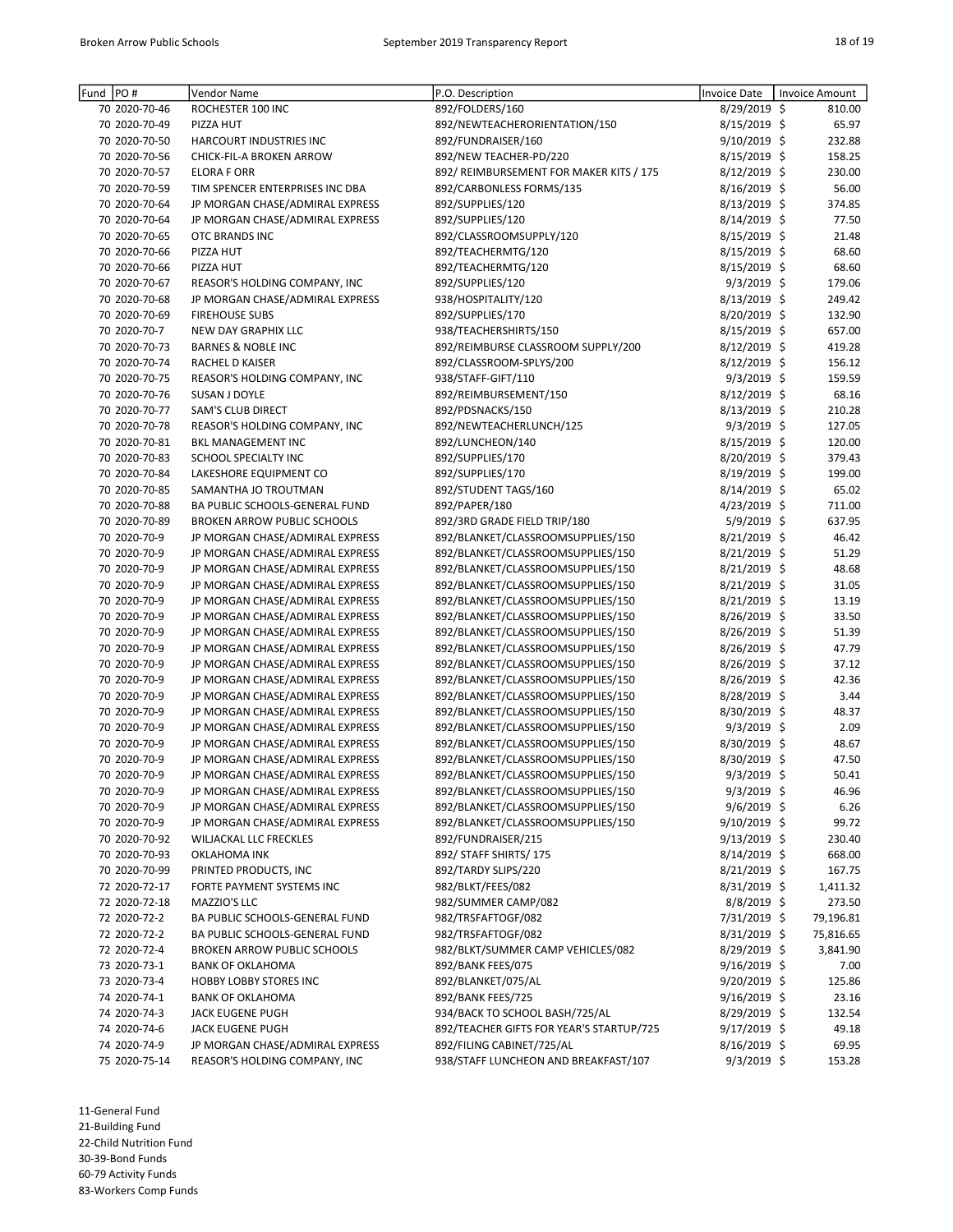| Fund  PO#     | Vendor Name                        | P.O. Description                         | Invoice Date   | <b>Invoice Amount</b> |
|---------------|------------------------------------|------------------------------------------|----------------|-----------------------|
| 70 2020-70-46 | ROCHESTER 100 INC                  | 892/FOLDERS/160                          | 8/29/2019 \$   | 810.00                |
| 70 2020-70-49 | PIZZA HUT                          | 892/NEWTEACHERORIENTATION/150            | 8/15/2019 \$   | 65.97                 |
| 70 2020-70-50 | HARCOURT INDUSTRIES INC            | 892/FUNDRAISER/160                       | $9/10/2019$ \$ | 232.88                |
| 70 2020-70-56 | CHICK-FIL-A BROKEN ARROW           | 892/NEW TEACHER-PD/220                   | 8/15/2019 \$   | 158.25                |
| 70 2020-70-57 | <b>ELORA F ORR</b>                 | 892/ REIMBURSEMENT FOR MAKER KITS / 175  | $8/12/2019$ \$ | 230.00                |
| 70 2020-70-59 | TIM SPENCER ENTERPRISES INC DBA    | 892/CARBONLESS FORMS/135                 | $8/16/2019$ \$ | 56.00                 |
| 70 2020-70-64 | JP MORGAN CHASE/ADMIRAL EXPRESS    | 892/SUPPLIES/120                         | 8/13/2019 \$   | 374.85                |
| 70 2020-70-64 | JP MORGAN CHASE/ADMIRAL EXPRESS    | 892/SUPPLIES/120                         | 8/14/2019 \$   | 77.50                 |
| 70 2020-70-65 | OTC BRANDS INC                     | 892/CLASSROOMSUPPLY/120                  | $8/15/2019$ \$ | 21.48                 |
| 70 2020-70-66 | PIZZA HUT                          | 892/TEACHERMTG/120                       | $8/15/2019$ \$ | 68.60                 |
| 70 2020-70-66 | PIZZA HUT                          | 892/TEACHERMTG/120                       | 8/15/2019 \$   | 68.60                 |
| 70 2020-70-67 | REASOR'S HOLDING COMPANY, INC      | 892/SUPPLIES/120                         | 9/3/2019 \$    | 179.06                |
| 70 2020-70-68 | JP MORGAN CHASE/ADMIRAL EXPRESS    | 938/HOSPITALITY/120                      | $8/13/2019$ \$ | 249.42                |
| 70 2020-70-69 | <b>FIREHOUSE SUBS</b>              | 892/SUPPLIES/170                         | 8/20/2019 \$   | 132.90                |
| 70 2020-70-7  | <b>NEW DAY GRAPHIX LLC</b>         | 938/TEACHERSHIRTS/150                    | $8/15/2019$ \$ | 657.00                |
| 70 2020-70-73 | <b>BARNES &amp; NOBLE INC</b>      | 892/REIMBURSE CLASSROOM SUPPLY/200       | 8/12/2019 \$   | 419.28                |
| 70 2020-70-74 | RACHEL D KAISER                    | 892/CLASSROOM-SPLYS/200                  | 8/12/2019 \$   | 156.12                |
| 70 2020-70-75 | REASOR'S HOLDING COMPANY, INC      | 938/STAFF-GIFT/110                       | 9/3/2019 \$    | 159.59                |
| 70 2020-70-76 | <b>SUSAN J DOYLE</b>               | 892/REIMBURSEMENT/150                    | 8/12/2019 \$   | 68.16                 |
| 70 2020-70-77 | SAM'S CLUB DIRECT                  | 892/PDSNACKS/150                         | $8/13/2019$ \$ | 210.28                |
| 70 2020-70-78 | REASOR'S HOLDING COMPANY, INC      | 892/NEWTEACHERLUNCH/125                  | $9/3/2019$ \$  | 127.05                |
| 70 2020-70-81 | <b>BKL MANAGEMENT INC</b>          | 892/LUNCHEON/140                         | 8/15/2019 \$   | 120.00                |
| 70 2020-70-83 | SCHOOL SPECIALTY INC               | 892/SUPPLIES/170                         | 8/20/2019 \$   | 379.43                |
| 70 2020-70-84 | LAKESHORE EQUIPMENT CO             | 892/SUPPLIES/170                         | 8/19/2019 \$   | 199.00                |
| 70 2020-70-85 | SAMANTHA JO TROUTMAN               | 892/STUDENT TAGS/160                     | $8/14/2019$ \$ | 65.02                 |
| 70 2020-70-88 | BA PUBLIC SCHOOLS-GENERAL FUND     | 892/PAPER/180                            | 4/23/2019 \$   | 711.00                |
| 70 2020-70-89 | <b>BROKEN ARROW PUBLIC SCHOOLS</b> | 892/3RD GRADE FIELD TRIP/180             | 5/9/2019 \$    | 637.95                |
| 70 2020-70-9  | JP MORGAN CHASE/ADMIRAL EXPRESS    | 892/BLANKET/CLASSROOMSUPPLIES/150        | 8/21/2019 \$   | 46.42                 |
| 70 2020-70-9  | JP MORGAN CHASE/ADMIRAL EXPRESS    | 892/BLANKET/CLASSROOMSUPPLIES/150        | 8/21/2019 \$   | 51.29                 |
| 70 2020-70-9  | JP MORGAN CHASE/ADMIRAL EXPRESS    | 892/BLANKET/CLASSROOMSUPPLIES/150        | $8/21/2019$ \$ | 48.68                 |
| 70 2020-70-9  | JP MORGAN CHASE/ADMIRAL EXPRESS    | 892/BLANKET/CLASSROOMSUPPLIES/150        | 8/21/2019 \$   | 31.05                 |
| 70 2020-70-9  | JP MORGAN CHASE/ADMIRAL EXPRESS    | 892/BLANKET/CLASSROOMSUPPLIES/150        | 8/21/2019 \$   | 13.19                 |
| 70 2020-70-9  | JP MORGAN CHASE/ADMIRAL EXPRESS    | 892/BLANKET/CLASSROOMSUPPLIES/150        | 8/26/2019 \$   | 33.50                 |
| 70 2020-70-9  | JP MORGAN CHASE/ADMIRAL EXPRESS    | 892/BLANKET/CLASSROOMSUPPLIES/150        | $8/26/2019$ \$ | 51.39                 |
| 70 2020-70-9  | JP MORGAN CHASE/ADMIRAL EXPRESS    | 892/BLANKET/CLASSROOMSUPPLIES/150        | $8/26/2019$ \$ | 47.79                 |
| 70 2020-70-9  | JP MORGAN CHASE/ADMIRAL EXPRESS    | 892/BLANKET/CLASSROOMSUPPLIES/150        | 8/26/2019 \$   | 37.12                 |
| 70 2020-70-9  | JP MORGAN CHASE/ADMIRAL EXPRESS    | 892/BLANKET/CLASSROOMSUPPLIES/150        | 8/26/2019 \$   | 42.36                 |
| 70 2020-70-9  | JP MORGAN CHASE/ADMIRAL EXPRESS    | 892/BLANKET/CLASSROOMSUPPLIES/150        | 8/28/2019 \$   | 3.44                  |
| 70 2020-70-9  | JP MORGAN CHASE/ADMIRAL EXPRESS    | 892/BLANKET/CLASSROOMSUPPLIES/150        | 8/30/2019 \$   | 48.37                 |
| 70 2020-70-9  | JP MORGAN CHASE/ADMIRAL EXPRESS    | 892/BLANKET/CLASSROOMSUPPLIES/150        | $9/3/2019$ \$  | 2.09                  |
| 70 2020-70-9  | JP MORGAN CHASE/ADMIRAL EXPRESS    | 892/BLANKET/CLASSROOMSUPPLIES/150        | 8/30/2019 \$   | 48.67                 |
| 70 2020-70-9  | JP MORGAN CHASE/ADMIRAL EXPRESS    | 892/BLANKET/CLASSROOMSUPPLIES/150        | 8/30/2019 \$   | 47.50                 |
| 70 2020-70-9  | JP MORGAN CHASE/ADMIRAL EXPRESS    | 892/BLANKET/CLASSROOMSUPPLIES/150        | 9/3/2019 \$    | 50.41                 |
| 70 2020-70-9  | JP MORGAN CHASE/ADMIRAL EXPRESS    | 892/BLANKET/CLASSROOMSUPPLIES/150        | $9/3/2019$ \$  | 46.96                 |
| 70 2020-70-9  | JP MORGAN CHASE/ADMIRAL EXPRESS    | 892/BLANKET/CLASSROOMSUPPLIES/150        | $9/6/2019$ \$  | 6.26                  |
| 70 2020-70-9  | JP MORGAN CHASE/ADMIRAL EXPRESS    | 892/BLANKET/CLASSROOMSUPPLIES/150        | $9/10/2019$ \$ | 99.72                 |
| 70 2020-70-92 | WILJACKAL LLC FRECKLES             | 892/FUNDRAISER/215                       | 9/13/2019 \$   | 230.40                |
| 70 2020-70-93 | <b>OKLAHOMA INK</b>                | 892/ STAFF SHIRTS/ 175                   | $8/14/2019$ \$ | 668.00                |
| 70 2020-70-99 | PRINTED PRODUCTS, INC              | 892/TARDY SLIPS/220                      | $8/21/2019$ \$ | 167.75                |
| 72 2020-72-17 | FORTE PAYMENT SYSTEMS INC          | 982/BLKT/FEES/082                        | $8/31/2019$ \$ | 1,411.32              |
| 72 2020-72-18 | MAZZIO'S LLC                       | 982/SUMMER CAMP/082                      | $8/8/2019$ \$  | 273.50                |
| 72 2020-72-2  | BA PUBLIC SCHOOLS-GENERAL FUND     | 982/TRSFAFTOGF/082                       | 7/31/2019 \$   | 79,196.81             |
| 72 2020-72-2  | BA PUBLIC SCHOOLS-GENERAL FUND     | 982/TRSFAFTOGF/082                       | $8/31/2019$ \$ | 75,816.65             |
| 72 2020-72-4  | <b>BROKEN ARROW PUBLIC SCHOOLS</b> | 982/BLKT/SUMMER CAMP VEHICLES/082        | $8/29/2019$ \$ | 3,841.90              |
| 73 2020-73-1  | <b>BANK OF OKLAHOMA</b>            | 892/BANK FEES/075                        | $9/16/2019$ \$ | 7.00                  |
| 73 2020-73-4  | <b>HOBBY LOBBY STORES INC</b>      | 892/BLANKET/075/AL                       | $9/20/2019$ \$ | 125.86                |
| 74 2020-74-1  | <b>BANK OF OKLAHOMA</b>            | 892/BANK FEES/725                        | 9/16/2019 \$   | 23.16                 |
| 74 2020-74-3  | JACK EUGENE PUGH                   | 934/BACK TO SCHOOL BASH/725/AL           | $8/29/2019$ \$ | 132.54                |
| 74 2020-74-6  | <b>JACK EUGENE PUGH</b>            | 892/TEACHER GIFTS FOR YEAR'S STARTUP/725 | $9/17/2019$ \$ | 49.18                 |
| 74 2020-74-9  | JP MORGAN CHASE/ADMIRAL EXPRESS    | 892/FILING CABINET/725/AL                | $8/16/2019$ \$ | 69.95                 |
| 75 2020-75-14 | REASOR'S HOLDING COMPANY, INC      | 938/STAFF LUNCHEON AND BREAKFAST/107     | 9/3/2019 \$    | 153.28                |

21-Building Fund

22-Child Nutrition Fund

30-39-Bond Funds

60-79 Activity Funds